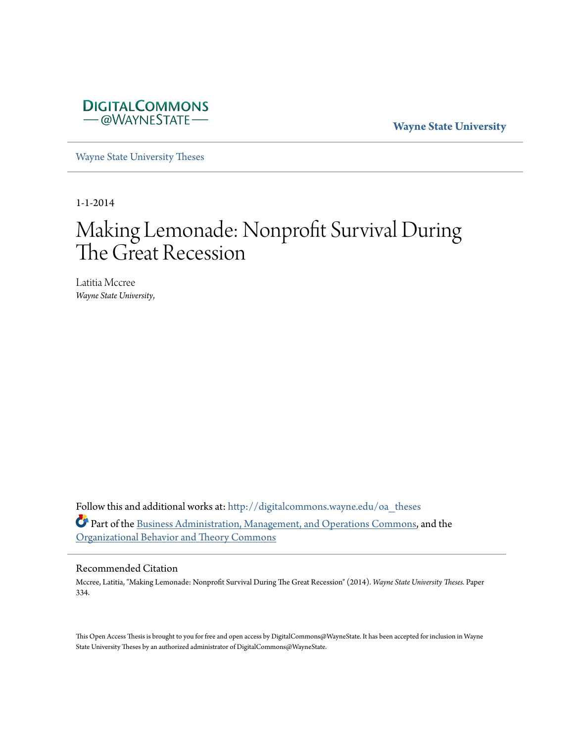

**Wayne State University**

[Wayne State University Theses](http://digitalcommons.wayne.edu/oa_theses?utm_source=digitalcommons.wayne.edu%2Foa_theses%2F334&utm_medium=PDF&utm_campaign=PDFCoverPages)

1-1-2014

# Making Lemonade: Nonprofit Survival During The Great Recession

Latitia Mccree *Wayne State University*,

Follow this and additional works at: [http://digitalcommons.wayne.edu/oa\\_theses](http://digitalcommons.wayne.edu/oa_theses?utm_source=digitalcommons.wayne.edu%2Foa_theses%2F334&utm_medium=PDF&utm_campaign=PDFCoverPages) Part of the [Business Administration, Management, and Operations Commons](http://network.bepress.com/hgg/discipline/623?utm_source=digitalcommons.wayne.edu%2Foa_theses%2F334&utm_medium=PDF&utm_campaign=PDFCoverPages), and the [Organizational Behavior and Theory Commons](http://network.bepress.com/hgg/discipline/639?utm_source=digitalcommons.wayne.edu%2Foa_theses%2F334&utm_medium=PDF&utm_campaign=PDFCoverPages)

#### Recommended Citation

Mccree, Latitia, "Making Lemonade: Nonprofit Survival During The Great Recession" (2014). *Wayne State University Theses.* Paper 334.

This Open Access Thesis is brought to you for free and open access by DigitalCommons@WayneState. It has been accepted for inclusion in Wayne State University Theses by an authorized administrator of DigitalCommons@WayneState.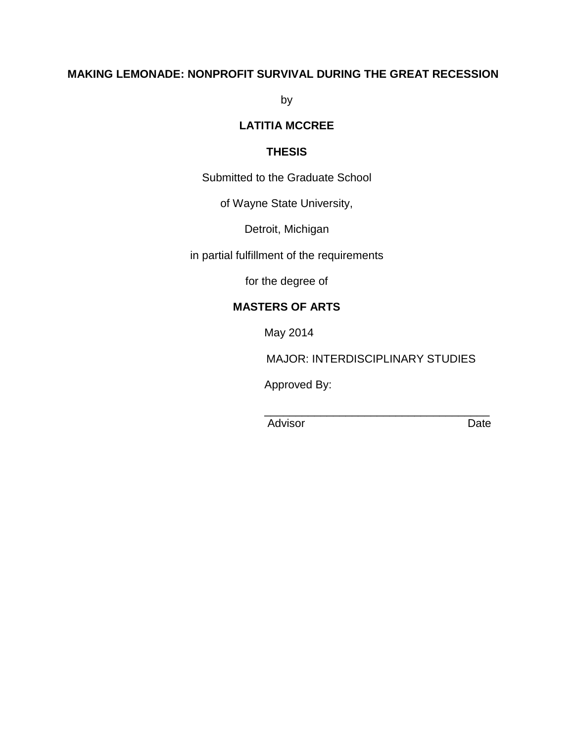# **MAKING LEMONADE: NONPROFIT SURVIVAL DURING THE GREAT RECESSION**

by

# **LATITIA MCCREE**

### **THESIS**

Submitted to the Graduate School

of Wayne State University,

Detroit, Michigan

in partial fulfillment of the requirements

for the degree of

# **MASTERS OF ARTS**

May 2014

MAJOR: INTERDISCIPLINARY STUDIES

Approved By:

Advisor Date

 $\overline{\phantom{a}}$  , and the contract of the contract of the contract of the contract of the contract of the contract of the contract of the contract of the contract of the contract of the contract of the contract of the contrac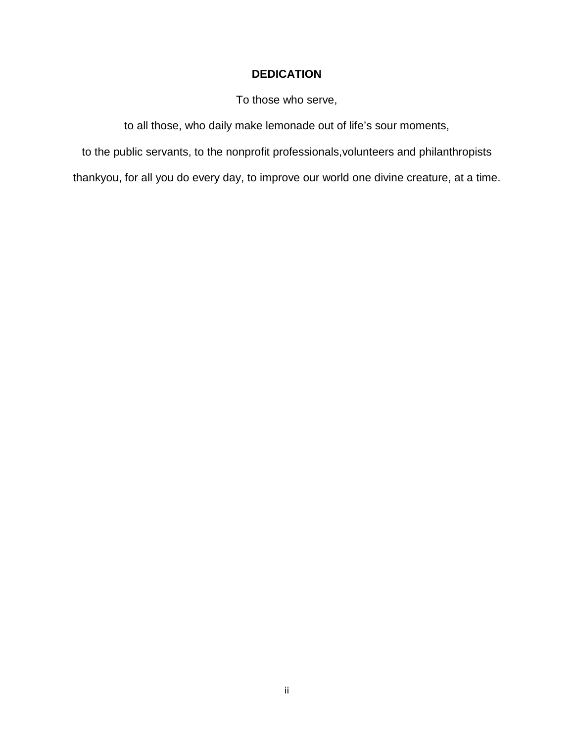# **DEDICATION**

To those who serve,

to all those, who daily make lemonade out of life's sour moments,

to the public servants, to the nonprofit professionals,volunteers and philanthropists

thankyou, for all you do every day, to improve our world one divine creature, at a time.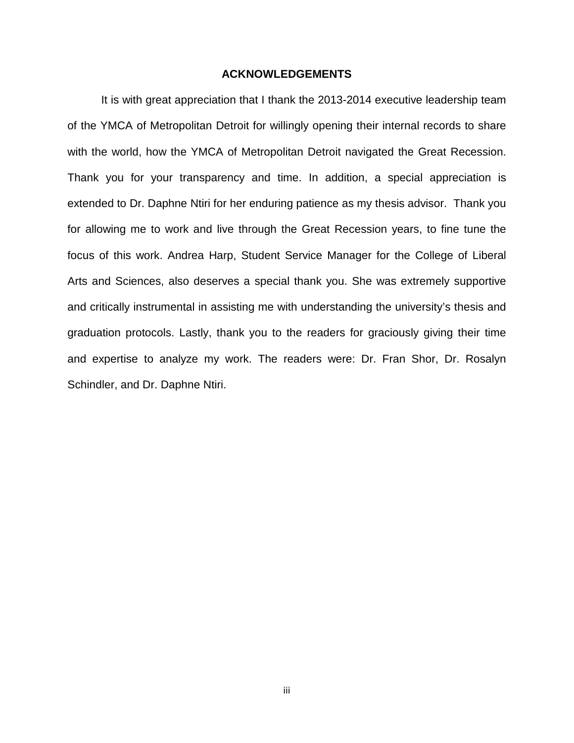### **ACKNOWLEDGEMENTS**

It is with great appreciation that I thank the 2013-2014 executive leadership team of the YMCA of Metropolitan Detroit for willingly opening their internal records to share with the world, how the YMCA of Metropolitan Detroit navigated the Great Recession. Thank you for your transparency and time. In addition, a special appreciation is extended to Dr. Daphne Ntiri for her enduring patience as my thesis advisor. Thank you for allowing me to work and live through the Great Recession years, to fine tune the focus of this work. Andrea Harp, Student Service Manager for the College of Liberal Arts and Sciences, also deserves a special thank you. She was extremely supportive and critically instrumental in assisting me with understanding the university's thesis and graduation protocols. Lastly, thank you to the readers for graciously giving their time and expertise to analyze my work. The readers were: Dr. Fran Shor, Dr. Rosalyn Schindler, and Dr. Daphne Ntiri.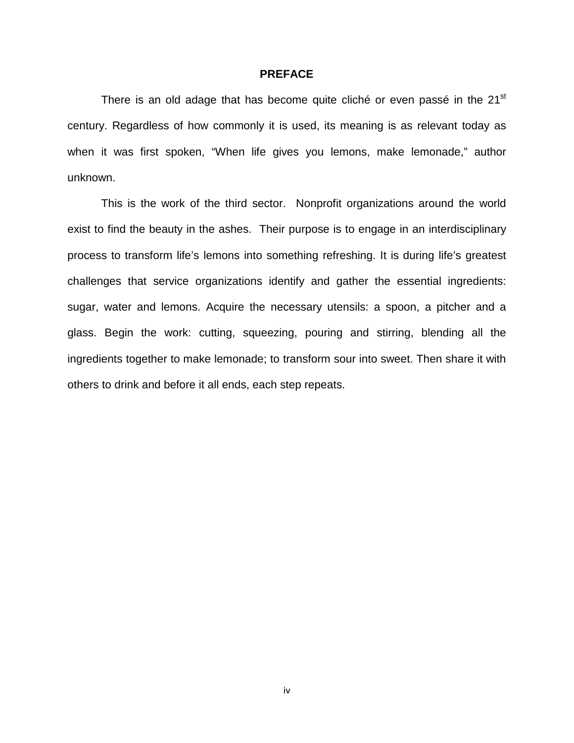#### **PREFACE**

There is an old adage that has become quite cliché or even passé in the 21<sup>st</sup> century. Regardless of how commonly it is used, its meaning is as relevant today as when it was first spoken, "When life gives you lemons, make lemonade," author unknown.

This is the work of the third sector. Nonprofit organizations around the world exist to find the beauty in the ashes. Their purpose is to engage in an interdisciplinary process to transform life's lemons into something refreshing. It is during life's greatest challenges that service organizations identify and gather the essential ingredients: sugar, water and lemons. Acquire the necessary utensils: a spoon, a pitcher and a glass. Begin the work: cutting, squeezing, pouring and stirring, blending all the ingredients together to make lemonade; to transform sour into sweet. Then share it with others to drink and before it all ends, each step repeats.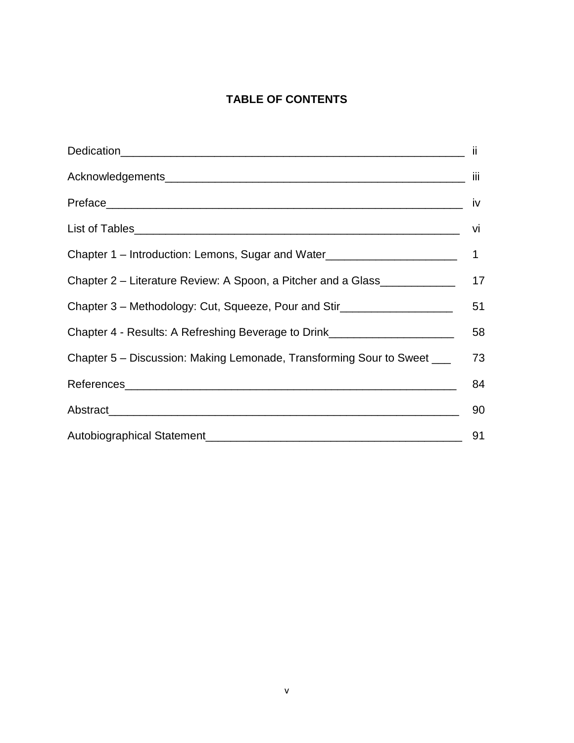# **TABLE OF CONTENTS**

| Chapter 2 – Literature Review: A Spoon, a Pitcher and a Glass ___________________ 17 |    |
|--------------------------------------------------------------------------------------|----|
| Chapter 3 – Methodology: Cut, Squeeze, Pour and Stir                                 | 51 |
| Chapter 4 - Results: A Refreshing Beverage to Drink_______________________           | 58 |
| Chapter 5 – Discussion: Making Lemonade, Transforming Sour to Sweet _____________    |    |
|                                                                                      | 84 |
|                                                                                      | 90 |
|                                                                                      | 91 |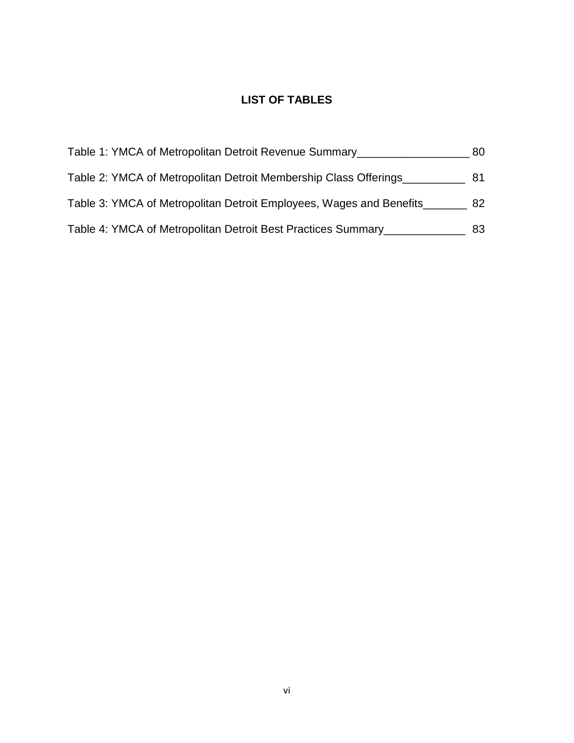# **LIST OF TABLES**

| Table 1: YMCA of Metropolitan Detroit Revenue Summary               | 80. |
|---------------------------------------------------------------------|-----|
| Table 2: YMCA of Metropolitan Detroit Membership Class Offerings    | 81  |
| Table 3: YMCA of Metropolitan Detroit Employees, Wages and Benefits | 82. |
| Table 4: YMCA of Metropolitan Detroit Best Practices Summary_       | 83. |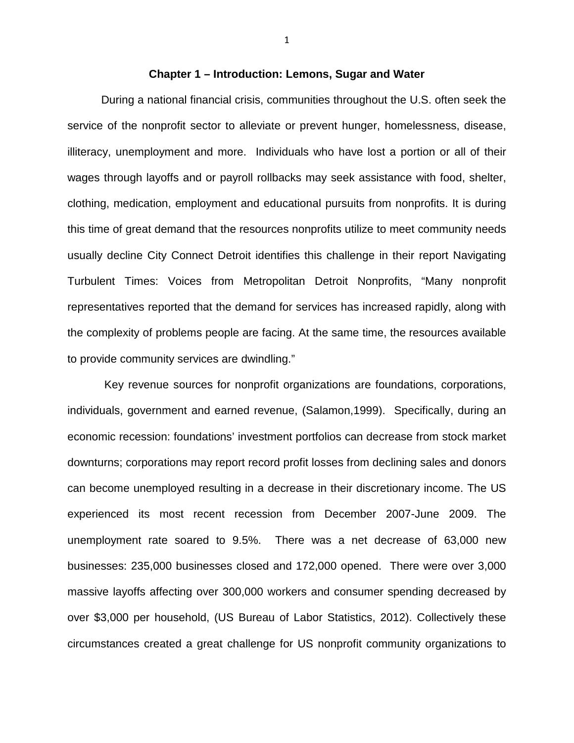### **Chapter 1 – Introduction: Lemons, Sugar and Water**

During a national financial crisis, communities throughout the U.S. often seek the service of the nonprofit sector to alleviate or prevent hunger, homelessness, disease, illiteracy, unemployment and more. Individuals who have lost a portion or all of their wages through layoffs and or payroll rollbacks may seek assistance with food, shelter, clothing, medication, employment and educational pursuits from nonprofits. It is during this time of great demand that the resources nonprofits utilize to meet community needs usually decline City Connect Detroit identifies this challenge in their report Navigating Turbulent Times: Voices from Metropolitan Detroit Nonprofits, "Many nonprofit representatives reported that the demand for services has increased rapidly, along with the complexity of problems people are facing. At the same time, the resources available to provide community services are dwindling."

 Key revenue sources for nonprofit organizations are foundations, corporations, individuals, government and earned revenue, (Salamon,1999). Specifically, during an economic recession: foundations' investment portfolios can decrease from stock market downturns; corporations may report record profit losses from declining sales and donors can become unemployed resulting in a decrease in their discretionary income. The US experienced its most recent recession from December 2007-June 2009. The unemployment rate soared to 9.5%. There was a net decrease of 63,000 new businesses: 235,000 businesses closed and 172,000 opened. There were over 3,000 massive layoffs affecting over 300,000 workers and consumer spending decreased by over \$3,000 per household, (US Bureau of Labor Statistics, 2012). Collectively these circumstances created a great challenge for US nonprofit community organizations to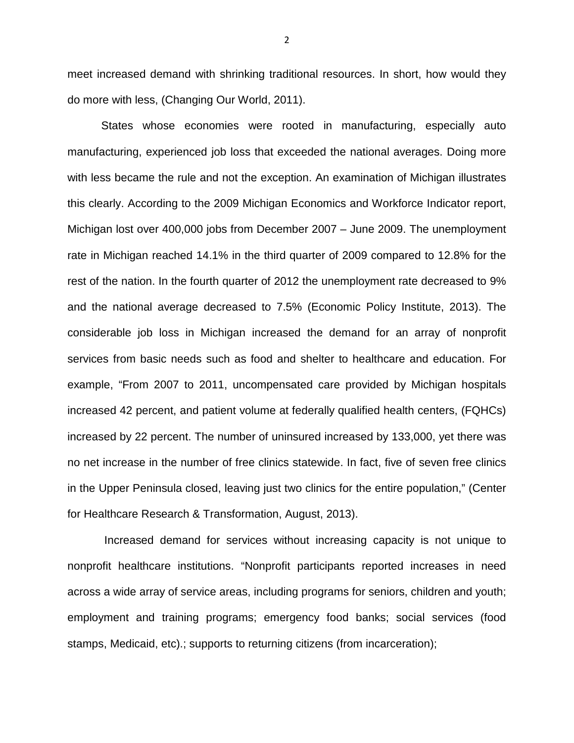meet increased demand with shrinking traditional resources. In short, how would they do more with less, (Changing Our World, 2011).

States whose economies were rooted in manufacturing, especially auto manufacturing, experienced job loss that exceeded the national averages. Doing more with less became the rule and not the exception. An examination of Michigan illustrates this clearly. According to the 2009 Michigan Economics and Workforce Indicator report, Michigan lost over 400,000 jobs from December 2007 – June 2009. The unemployment rate in Michigan reached 14.1% in the third quarter of 2009 compared to 12.8% for the rest of the nation. In the fourth quarter of 2012 the unemployment rate decreased to 9% and the national average decreased to 7.5% (Economic Policy Institute, 2013). The considerable job loss in Michigan increased the demand for an array of nonprofit services from basic needs such as food and shelter to healthcare and education. For example, "From 2007 to 2011, uncompensated care provided by Michigan hospitals increased 42 percent, and patient volume at federally qualified health centers, (FQHCs) increased by 22 percent. The number of uninsured increased by 133,000, yet there was no net increase in the number of free clinics statewide. In fact, five of seven free clinics in the Upper Peninsula closed, leaving just two clinics for the entire population," (Center for Healthcare Research & Transformation, August, 2013).

 Increased demand for services without increasing capacity is not unique to nonprofit healthcare institutions. "Nonprofit participants reported increases in need across a wide array of service areas, including programs for seniors, children and youth; employment and training programs; emergency food banks; social services (food stamps, Medicaid, etc).; supports to returning citizens (from incarceration);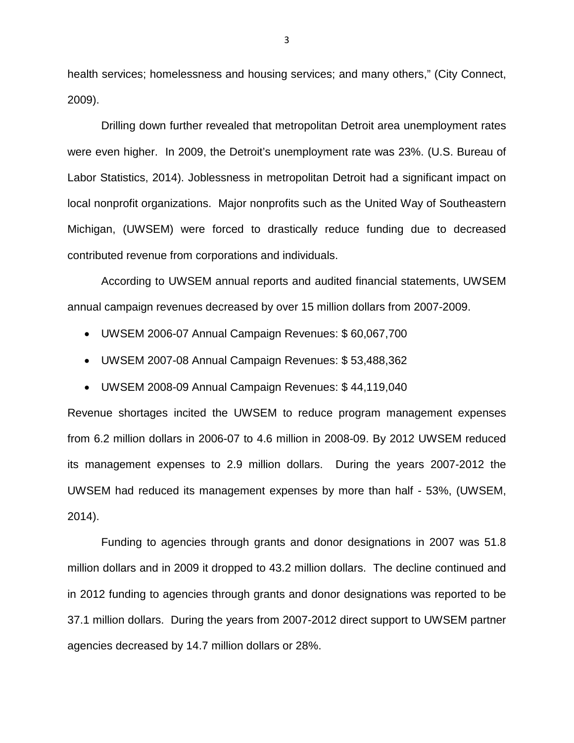health services; homelessness and housing services; and many others," (City Connect, 2009).

Drilling down further revealed that metropolitan Detroit area unemployment rates were even higher. In 2009, the Detroit's unemployment rate was 23%. (U.S. Bureau of Labor Statistics, 2014). Joblessness in metropolitan Detroit had a significant impact on local nonprofit organizations. Major nonprofits such as the United Way of Southeastern Michigan, (UWSEM) were forced to drastically reduce funding due to decreased contributed revenue from corporations and individuals.

According to UWSEM annual reports and audited financial statements, UWSEM annual campaign revenues decreased by over 15 million dollars from 2007-2009.

- UWSEM 2006-07 Annual Campaign Revenues: \$ 60,067,700
- UWSEM 2007-08 Annual Campaign Revenues: \$ 53,488,362
- UWSEM 2008-09 Annual Campaign Revenues: \$ 44,119,040

Revenue shortages incited the UWSEM to reduce program management expenses from 6.2 million dollars in 2006-07 to 4.6 million in 2008-09. By 2012 UWSEM reduced its management expenses to 2.9 million dollars. During the years 2007-2012 the UWSEM had reduced its management expenses by more than half - 53%, (UWSEM, 2014).

Funding to agencies through grants and donor designations in 2007 was 51.8 million dollars and in 2009 it dropped to 43.2 million dollars. The decline continued and in 2012 funding to agencies through grants and donor designations was reported to be 37.1 million dollars. During the years from 2007-2012 direct support to UWSEM partner agencies decreased by 14.7 million dollars or 28%.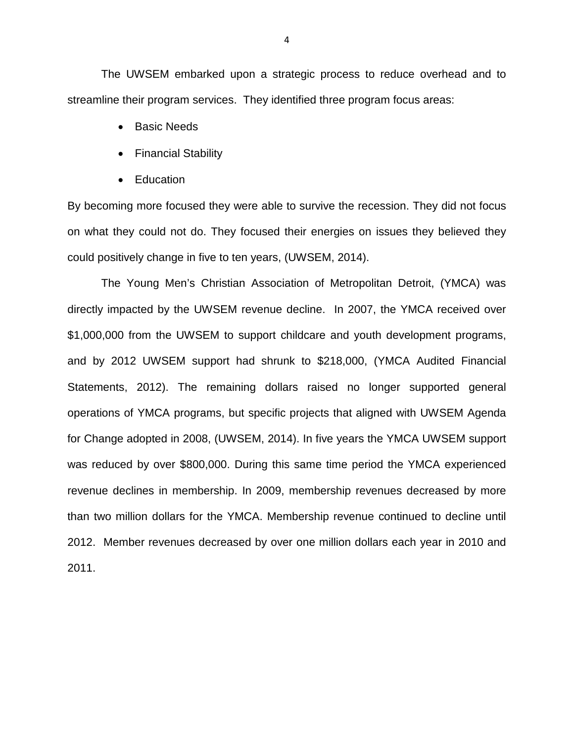The UWSEM embarked upon a strategic process to reduce overhead and to streamline their program services. They identified three program focus areas:

- Basic Needs
- Financial Stability
- Education

By becoming more focused they were able to survive the recession. They did not focus on what they could not do. They focused their energies on issues they believed they could positively change in five to ten years, (UWSEM, 2014).

The Young Men's Christian Association of Metropolitan Detroit, (YMCA) was directly impacted by the UWSEM revenue decline. In 2007, the YMCA received over \$1,000,000 from the UWSEM to support childcare and youth development programs, and by 2012 UWSEM support had shrunk to \$218,000, (YMCA Audited Financial Statements, 2012). The remaining dollars raised no longer supported general operations of YMCA programs, but specific projects that aligned with UWSEM Agenda for Change adopted in 2008, (UWSEM, 2014). In five years the YMCA UWSEM support was reduced by over \$800,000. During this same time period the YMCA experienced revenue declines in membership. In 2009, membership revenues decreased by more than two million dollars for the YMCA. Membership revenue continued to decline until 2012. Member revenues decreased by over one million dollars each year in 2010 and 2011.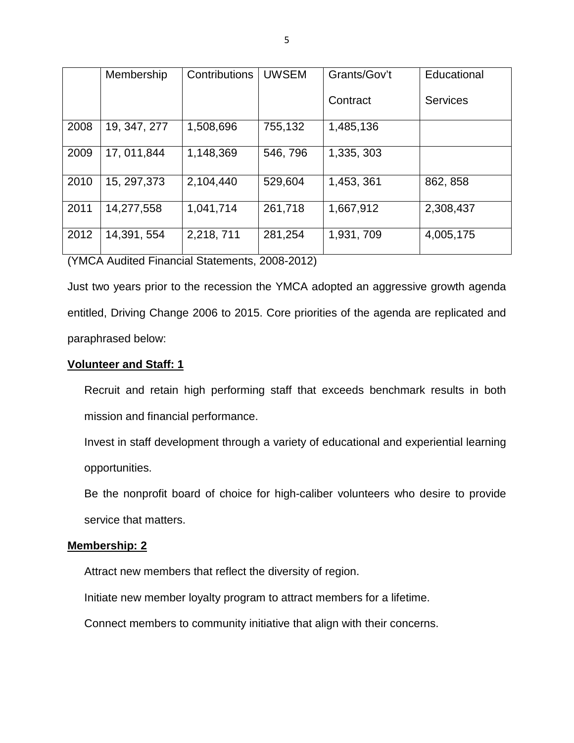|      | Membership   | <b>Contributions</b> | <b>UWSEM</b> | Grants/Gov't | Educational     |
|------|--------------|----------------------|--------------|--------------|-----------------|
|      |              |                      |              | Contract     | <b>Services</b> |
| 2008 | 19, 347, 277 | 1,508,696            | 755,132      | 1,485,136    |                 |
| 2009 | 17, 011, 844 | 1,148,369            | 546, 796     | 1,335, 303   |                 |
| 2010 | 15, 297, 373 | 2,104,440            | 529,604      | 1,453, 361   | 862, 858        |
| 2011 | 14,277,558   | 1,041,714            | 261,718      | 1,667,912    | 2,308,437       |
| 2012 | 14,391, 554  | 2,218,711            | 281,254      | 1,931, 709   | 4,005,175       |

(YMCA Audited Financial Statements, 2008-2012)

Just two years prior to the recession the YMCA adopted an aggressive growth agenda entitled, Driving Change 2006 to 2015. Core priorities of the agenda are replicated and paraphrased below:

### **Volunteer and Staff: 1**

Recruit and retain high performing staff that exceeds benchmark results in both mission and financial performance.

Invest in staff development through a variety of educational and experiential learning opportunities.

Be the nonprofit board of choice for high-caliber volunteers who desire to provide service that matters.

### **Membership: 2**

Attract new members that reflect the diversity of region.

Initiate new member loyalty program to attract members for a lifetime.

Connect members to community initiative that align with their concerns.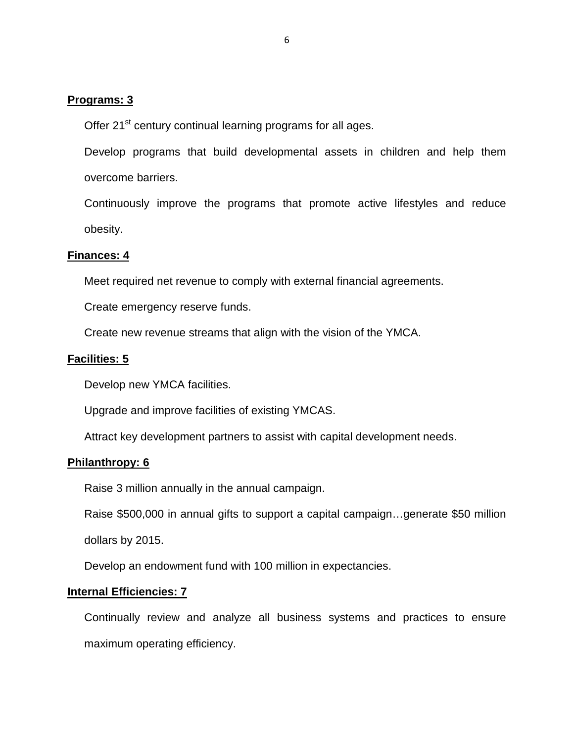### **Programs: 3**

Offer 21<sup>st</sup> century continual learning programs for all ages.

Develop programs that build developmental assets in children and help them overcome barriers.

Continuously improve the programs that promote active lifestyles and reduce obesity.

### **Finances: 4**

Meet required net revenue to comply with external financial agreements.

Create emergency reserve funds.

Create new revenue streams that align with the vision of the YMCA.

#### **Facilities: 5**

Develop new YMCA facilities.

Upgrade and improve facilities of existing YMCAS.

Attract key development partners to assist with capital development needs.

### **Philanthropy: 6**

Raise 3 million annually in the annual campaign.

Raise \$500,000 in annual gifts to support a capital campaign…generate \$50 million

dollars by 2015.

Develop an endowment fund with 100 million in expectancies.

#### **Internal Efficiencies: 7**

Continually review and analyze all business systems and practices to ensure maximum operating efficiency.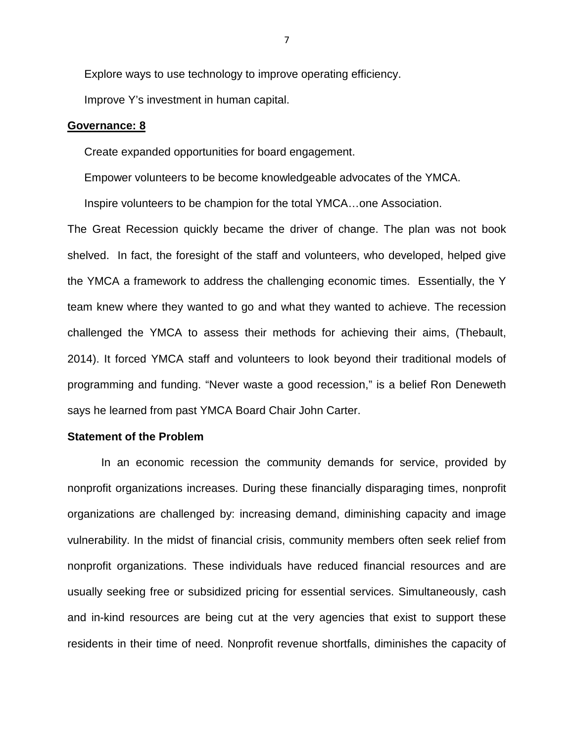Explore ways to use technology to improve operating efficiency.

Improve Y's investment in human capital.

#### **Governance: 8**

Create expanded opportunities for board engagement.

Empower volunteers to be become knowledgeable advocates of the YMCA.

Inspire volunteers to be champion for the total YMCA…one Association.

The Great Recession quickly became the driver of change. The plan was not book shelved. In fact, the foresight of the staff and volunteers, who developed, helped give the YMCA a framework to address the challenging economic times. Essentially, the Y team knew where they wanted to go and what they wanted to achieve. The recession challenged the YMCA to assess their methods for achieving their aims, (Thebault, 2014). It forced YMCA staff and volunteers to look beyond their traditional models of programming and funding. "Never waste a good recession," is a belief Ron Deneweth says he learned from past YMCA Board Chair John Carter.

#### **Statement of the Problem**

In an economic recession the community demands for service, provided by nonprofit organizations increases. During these financially disparaging times, nonprofit organizations are challenged by: increasing demand, diminishing capacity and image vulnerability. In the midst of financial crisis, community members often seek relief from nonprofit organizations. These individuals have reduced financial resources and are usually seeking free or subsidized pricing for essential services. Simultaneously, cash and in-kind resources are being cut at the very agencies that exist to support these residents in their time of need. Nonprofit revenue shortfalls, diminishes the capacity of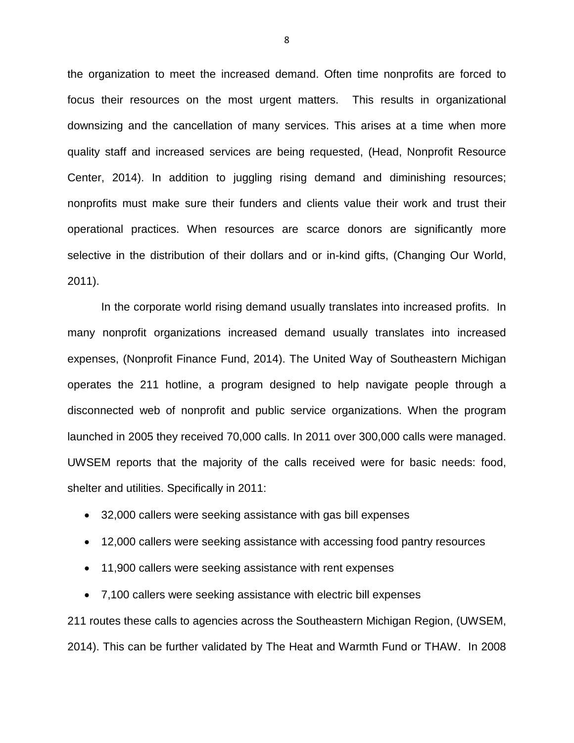the organization to meet the increased demand. Often time nonprofits are forced to focus their resources on the most urgent matters. This results in organizational downsizing and the cancellation of many services. This arises at a time when more quality staff and increased services are being requested, (Head, Nonprofit Resource Center, 2014). In addition to juggling rising demand and diminishing resources; nonprofits must make sure their funders and clients value their work and trust their operational practices. When resources are scarce donors are significantly more selective in the distribution of their dollars and or in-kind gifts, (Changing Our World, 2011).

 In the corporate world rising demand usually translates into increased profits. In many nonprofit organizations increased demand usually translates into increased expenses, (Nonprofit Finance Fund, 2014). The United Way of Southeastern Michigan operates the 211 hotline, a program designed to help navigate people through a disconnected web of nonprofit and public service organizations. When the program launched in 2005 they received 70,000 calls. In 2011 over 300,000 calls were managed. UWSEM reports that the majority of the calls received were for basic needs: food, shelter and utilities. Specifically in 2011:

- 32,000 callers were seeking assistance with gas bill expenses
- 12,000 callers were seeking assistance with accessing food pantry resources
- 11,900 callers were seeking assistance with rent expenses
- 7,100 callers were seeking assistance with electric bill expenses

211 routes these calls to agencies across the Southeastern Michigan Region, (UWSEM, 2014). This can be further validated by The Heat and Warmth Fund or THAW. In 2008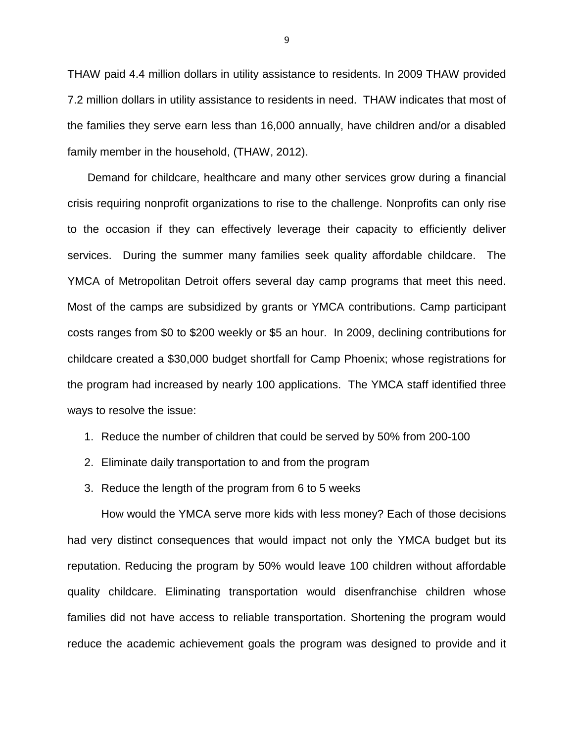THAW paid 4.4 million dollars in utility assistance to residents. In 2009 THAW provided 7.2 million dollars in utility assistance to residents in need. THAW indicates that most of the families they serve earn less than 16,000 annually, have children and/or a disabled family member in the household, (THAW, 2012).

 Demand for childcare, healthcare and many other services grow during a financial crisis requiring nonprofit organizations to rise to the challenge. Nonprofits can only rise to the occasion if they can effectively leverage their capacity to efficiently deliver services. During the summer many families seek quality affordable childcare. The YMCA of Metropolitan Detroit offers several day camp programs that meet this need. Most of the camps are subsidized by grants or YMCA contributions. Camp participant costs ranges from \$0 to \$200 weekly or \$5 an hour. In 2009, declining contributions for childcare created a \$30,000 budget shortfall for Camp Phoenix; whose registrations for the program had increased by nearly 100 applications. The YMCA staff identified three ways to resolve the issue:

- 1. Reduce the number of children that could be served by 50% from 200-100
- 2. Eliminate daily transportation to and from the program
- 3. Reduce the length of the program from 6 to 5 weeks

How would the YMCA serve more kids with less money? Each of those decisions had very distinct consequences that would impact not only the YMCA budget but its reputation. Reducing the program by 50% would leave 100 children without affordable quality childcare. Eliminating transportation would disenfranchise children whose families did not have access to reliable transportation. Shortening the program would reduce the academic achievement goals the program was designed to provide and it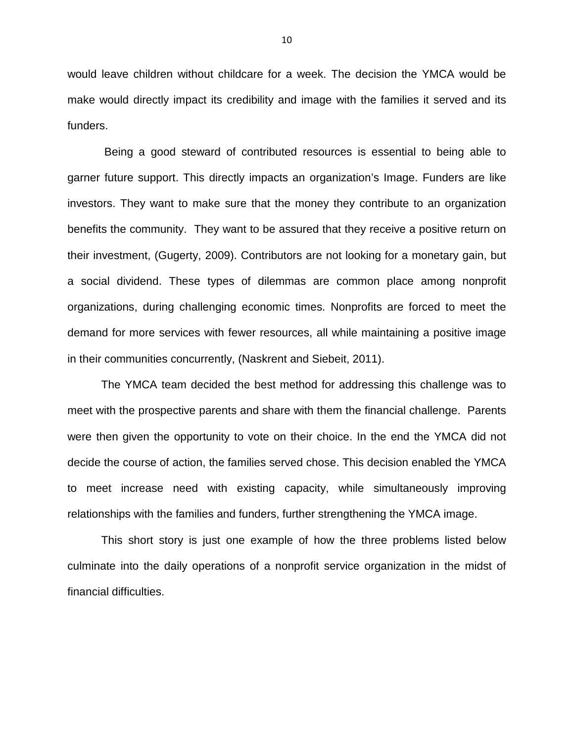would leave children without childcare for a week. The decision the YMCA would be make would directly impact its credibility and image with the families it served and its funders.

 Being a good steward of contributed resources is essential to being able to garner future support. This directly impacts an organization's Image. Funders are like investors. They want to make sure that the money they contribute to an organization benefits the community. They want to be assured that they receive a positive return on their investment, (Gugerty, 2009). Contributors are not looking for a monetary gain, but a social dividend. These types of dilemmas are common place among nonprofit organizations, during challenging economic times. Nonprofits are forced to meet the demand for more services with fewer resources, all while maintaining a positive image in their communities concurrently, (Naskrent and Siebeit, 2011).

The YMCA team decided the best method for addressing this challenge was to meet with the prospective parents and share with them the financial challenge. Parents were then given the opportunity to vote on their choice. In the end the YMCA did not decide the course of action, the families served chose. This decision enabled the YMCA to meet increase need with existing capacity, while simultaneously improving relationships with the families and funders, further strengthening the YMCA image.

This short story is just one example of how the three problems listed below culminate into the daily operations of a nonprofit service organization in the midst of financial difficulties.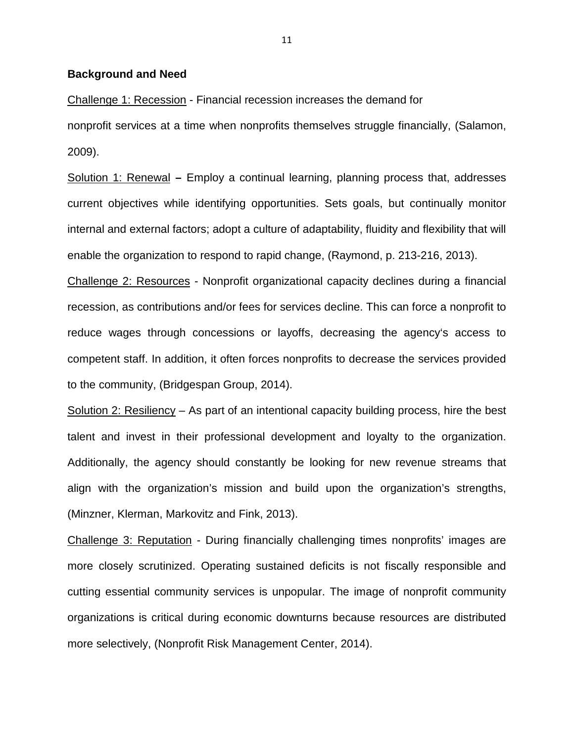#### **Background and Need**

Challenge 1: Recession - Financial recession increases the demand for nonprofit services at a time when nonprofits themselves struggle financially, (Salamon, 2009).

Solution 1: Renewal **–** Employ a continual learning, planning process that, addresses current objectives while identifying opportunities. Sets goals, but continually monitor internal and external factors; adopt a culture of adaptability, fluidity and flexibility that will enable the organization to respond to rapid change, (Raymond, p. 213-216, 2013).

Challenge 2: Resources - Nonprofit organizational capacity declines during a financial recession, as contributions and/or fees for services decline. This can force a nonprofit to reduce wages through concessions or layoffs, decreasing the agency's access to competent staff. In addition, it often forces nonprofits to decrease the services provided to the community, (Bridgespan Group, 2014).

Solution 2: Resiliency - As part of an intentional capacity building process, hire the best talent and invest in their professional development and loyalty to the organization. Additionally, the agency should constantly be looking for new revenue streams that align with the organization's mission and build upon the organization's strengths, (Minzner, Klerman, Markovitz and Fink, 2013).

Challenge 3: Reputation - During financially challenging times nonprofits' images are more closely scrutinized. Operating sustained deficits is not fiscally responsible and cutting essential community services is unpopular. The image of nonprofit community organizations is critical during economic downturns because resources are distributed more selectively, (Nonprofit Risk Management Center, 2014).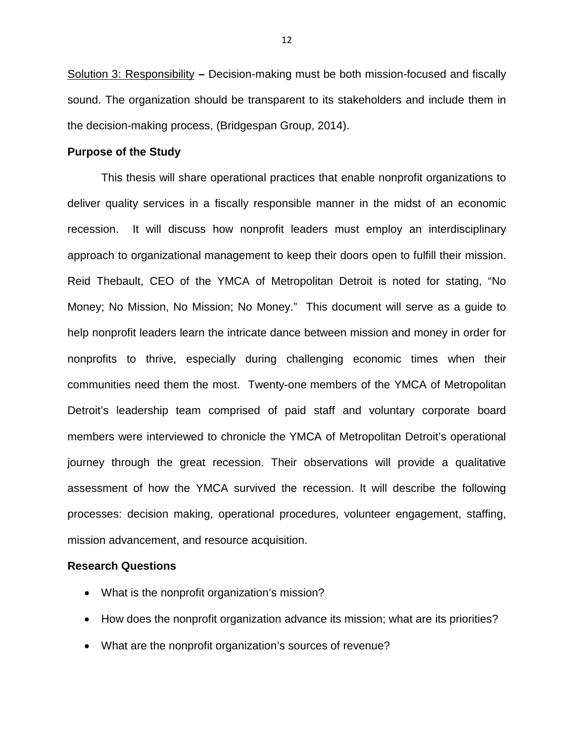Solution 3: Responsibility **–** Decision-making must be both mission-focused and fiscally sound. The organization should be transparent to its stakeholders and include them in the decision-making process, (Bridgespan Group, 2014).

#### **Purpose of the Study**

This thesis will share operational practices that enable nonprofit organizations to deliver quality services in a fiscally responsible manner in the midst of an economic recession. It will discuss how nonprofit leaders must employ an interdisciplinary approach to organizational management to keep their doors open to fulfill their mission. Reid Thebault, CEO of the YMCA of Metropolitan Detroit is noted for stating, "No Money; No Mission, No Mission; No Money." This document will serve as a guide to help nonprofit leaders learn the intricate dance between mission and money in order for nonprofits to thrive, especially during challenging economic times when their communities need them the most. Twenty-one members of the YMCA of Metropolitan Detroit's leadership team comprised of paid staff and voluntary corporate board members were interviewed to chronicle the YMCA of Metropolitan Detroit's operational journey through the great recession. Their observations will provide a qualitative assessment of how the YMCA survived the recession. It will describe the following processes: decision making, operational procedures, volunteer engagement, staffing, mission advancement, and resource acquisition.

### **Research Questions**

- What is the nonprofit organization's mission?
- How does the nonprofit organization advance its mission; what are its priorities?
- What are the nonprofit organization's sources of revenue?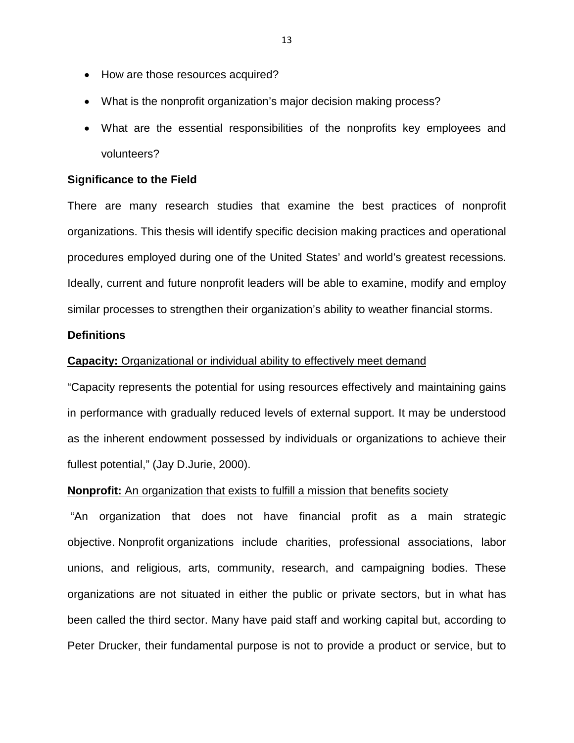- How are those resources acquired?
- What is the nonprofit organization's major decision making process?
- What are the essential responsibilities of the nonprofits key employees and volunteers?

#### **Significance to the Field**

There are many research studies that examine the best practices of nonprofit organizations. This thesis will identify specific decision making practices and operational procedures employed during one of the United States' and world's greatest recessions. Ideally, current and future nonprofit leaders will be able to examine, modify and employ similar processes to strengthen their organization's ability to weather financial storms.

### **Definitions**

#### **Capacity:** Organizational or individual ability to effectively meet demand

"Capacity represents the potential for using resources effectively and maintaining gains in performance with gradually reduced levels of external support. It may be understood as the inherent endowment possessed by individuals or organizations to achieve their fullest potential," (Jay D.Jurie, 2000).

#### **Nonprofit:** An organization that exists to fulfill a mission that benefits society

 "An organization that does not have financial profit as a main strategic objective. Nonprofit organizations include charities, professional associations, labor unions, and religious, arts, community, research, and campaigning bodies. These organizations are not situated in either the public or private sectors, but in what has been called the third sector. Many have paid staff and working capital but, according to Peter Drucker, their fundamental purpose is not to provide a product or service, but to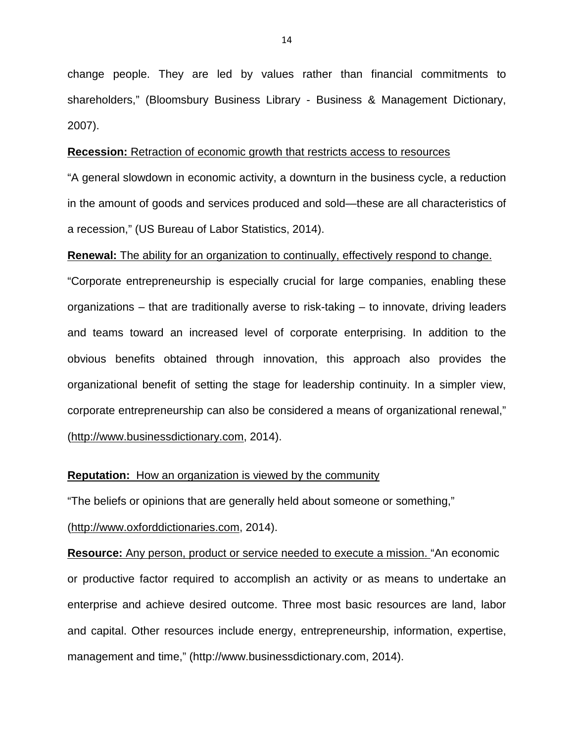change people. They are led by values rather than financial commitments to shareholders," (Bloomsbury Business Library - Business & Management Dictionary, 2007).

#### **Recession:** Retraction of economic growth that restricts access to resources

"A general slowdown in economic activity, a downturn in the business cycle, a reduction in the amount of goods and services produced and sold—these are all characteristics of a recession," (US Bureau of Labor Statistics, 2014).

#### **Renewal:** The ability for an organization to continually, effectively respond to change.

"Corporate entrepreneurship is especially crucial for large companies, enabling these organizations – that are traditionally averse to risk-taking – to innovate, driving leaders and teams toward an increased level of corporate enterprising. In addition to the obvious benefits obtained through innovation, this approach also provides the organizational benefit of setting the stage for leadership continuity. In a simpler view, corporate entrepreneurship can also be considered a means of organizational renewal," (http://www.businessdictionary.com, 2014).

### **Reputation:** How an organization is viewed by the community

"The beliefs or opinions that are generally held about someone or something,"

(http://www.oxforddictionaries.com, 2014).

**Resource:** Any person, product or service needed to execute a mission. "An economic or productive factor required to accomplish an activity or as means to undertake an enterprise and achieve desired outcome. Three most basic resources are land, labor and capital. Other resources include energy, entrepreneurship, information, expertise, management and time," (http://www.businessdictionary.com, 2014).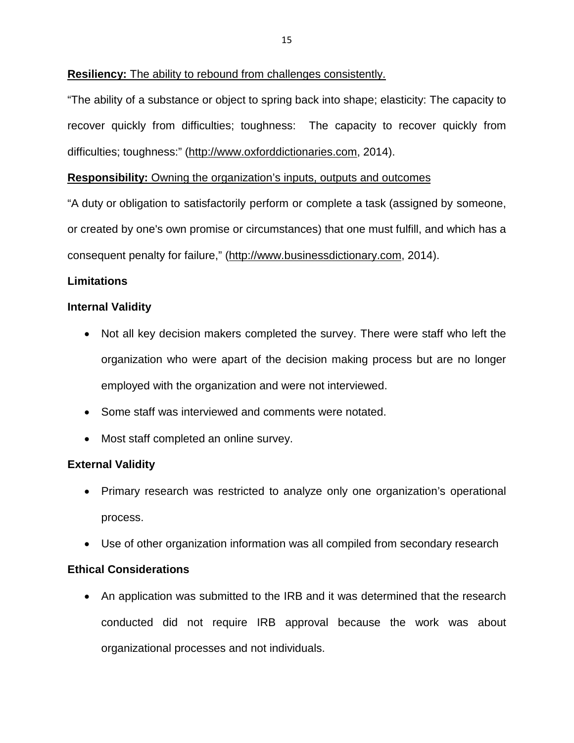# **Resiliency:** The ability to rebound from challenges consistently.

"The ability of a substance or object to spring back into shape; elasticity: The capacity to recover quickly from difficulties; toughness: The capacity to recover quickly from difficulties; toughness:" (http://www.oxforddictionaries.com, 2014).

# **Responsibility:** Owning the organization's inputs, outputs and outcomes

"A duty or obligation to satisfactorily perform or complete a task (assigned by someone, or created by one's own promise or circumstances) that one must fulfill, and which has a consequent penalty for failure," (http://www.businessdictionary.com, 2014).

# **Limitations**

# **Internal Validity**

- Not all key decision makers completed the survey. There were staff who left the organization who were apart of the decision making process but are no longer employed with the organization and were not interviewed.
- Some staff was interviewed and comments were notated.
- Most staff completed an online survey.

# **External Validity**

- Primary research was restricted to analyze only one organization's operational process.
- Use of other organization information was all compiled from secondary research

# **Ethical Considerations**

• An application was submitted to the IRB and it was determined that the research conducted did not require IRB approval because the work was about organizational processes and not individuals.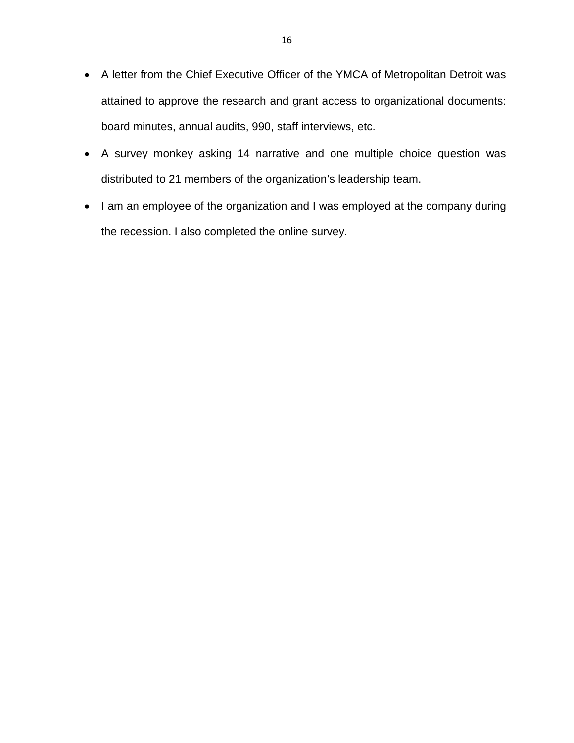- A letter from the Chief Executive Officer of the YMCA of Metropolitan Detroit was attained to approve the research and grant access to organizational documents: board minutes, annual audits, 990, staff interviews, etc.
- A survey monkey asking 14 narrative and one multiple choice question was distributed to 21 members of the organization's leadership team.
- I am an employee of the organization and I was employed at the company during the recession. I also completed the online survey.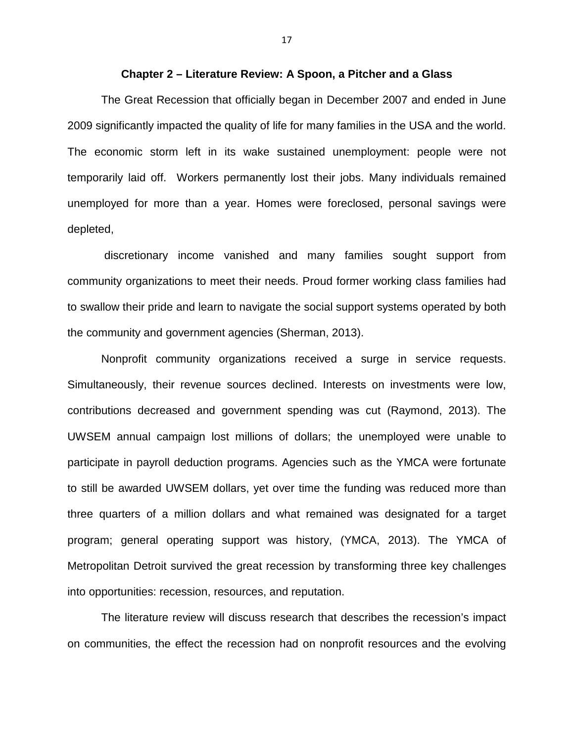#### **Chapter 2 – Literature Review: A Spoon, a Pitcher and a Glass**

The Great Recession that officially began in December 2007 and ended in June 2009 significantly impacted the quality of life for many families in the USA and the world. The economic storm left in its wake sustained unemployment: people were not temporarily laid off. Workers permanently lost their jobs. Many individuals remained unemployed for more than a year. Homes were foreclosed, personal savings were depleted,

 discretionary income vanished and many families sought support from community organizations to meet their needs. Proud former working class families had to swallow their pride and learn to navigate the social support systems operated by both the community and government agencies (Sherman, 2013).

Nonprofit community organizations received a surge in service requests. Simultaneously, their revenue sources declined. Interests on investments were low, contributions decreased and government spending was cut (Raymond, 2013). The UWSEM annual campaign lost millions of dollars; the unemployed were unable to participate in payroll deduction programs. Agencies such as the YMCA were fortunate to still be awarded UWSEM dollars, yet over time the funding was reduced more than three quarters of a million dollars and what remained was designated for a target program; general operating support was history, (YMCA, 2013). The YMCA of Metropolitan Detroit survived the great recession by transforming three key challenges into opportunities: recession, resources, and reputation.

The literature review will discuss research that describes the recession's impact on communities, the effect the recession had on nonprofit resources and the evolving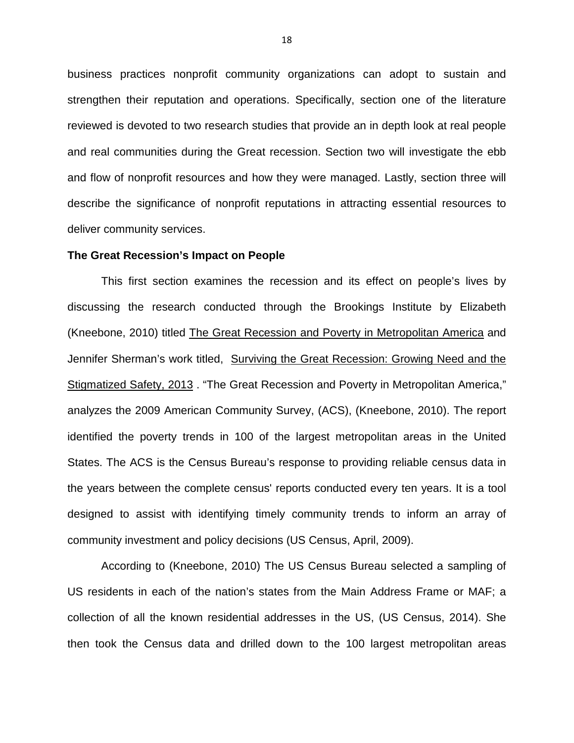business practices nonprofit community organizations can adopt to sustain and strengthen their reputation and operations. Specifically, section one of the literature reviewed is devoted to two research studies that provide an in depth look at real people and real communities during the Great recession. Section two will investigate the ebb and flow of nonprofit resources and how they were managed. Lastly, section three will describe the significance of nonprofit reputations in attracting essential resources to deliver community services.

#### **The Great Recession's Impact on People**

This first section examines the recession and its effect on people's lives by discussing the research conducted through the Brookings Institute by Elizabeth (Kneebone, 2010) titled The Great Recession and Poverty in Metropolitan America and Jennifer Sherman's work titled, Surviving the Great Recession: Growing Need and the Stigmatized Safety, 2013 . "The Great Recession and Poverty in Metropolitan America," analyzes the 2009 American Community Survey, (ACS), (Kneebone, 2010). The report identified the poverty trends in 100 of the largest metropolitan areas in the United States. The ACS is the Census Bureau's response to providing reliable census data in the years between the complete census' reports conducted every ten years. It is a tool designed to assist with identifying timely community trends to inform an array of community investment and policy decisions (US Census, April, 2009).

According to (Kneebone, 2010) The US Census Bureau selected a sampling of US residents in each of the nation's states from the Main Address Frame or MAF; a collection of all the known residential addresses in the US, (US Census, 2014). She then took the Census data and drilled down to the 100 largest metropolitan areas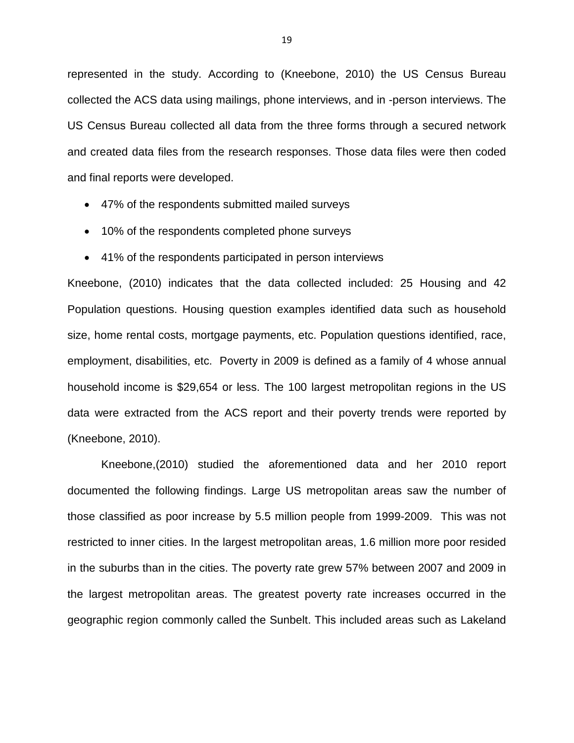represented in the study. According to (Kneebone, 2010) the US Census Bureau collected the ACS data using mailings, phone interviews, and in -person interviews. The US Census Bureau collected all data from the three forms through a secured network and created data files from the research responses. Those data files were then coded and final reports were developed.

- 47% of the respondents submitted mailed surveys
- 10% of the respondents completed phone surveys
- 41% of the respondents participated in person interviews

Kneebone, (2010) indicates that the data collected included: 25 Housing and 42 Population questions. Housing question examples identified data such as household size, home rental costs, mortgage payments, etc. Population questions identified, race, employment, disabilities, etc. Poverty in 2009 is defined as a family of 4 whose annual household income is \$29,654 or less. The 100 largest metropolitan regions in the US data were extracted from the ACS report and their poverty trends were reported by (Kneebone, 2010).

Kneebone,(2010) studied the aforementioned data and her 2010 report documented the following findings. Large US metropolitan areas saw the number of those classified as poor increase by 5.5 million people from 1999-2009. This was not restricted to inner cities. In the largest metropolitan areas, 1.6 million more poor resided in the suburbs than in the cities. The poverty rate grew 57% between 2007 and 2009 in the largest metropolitan areas. The greatest poverty rate increases occurred in the geographic region commonly called the Sunbelt. This included areas such as Lakeland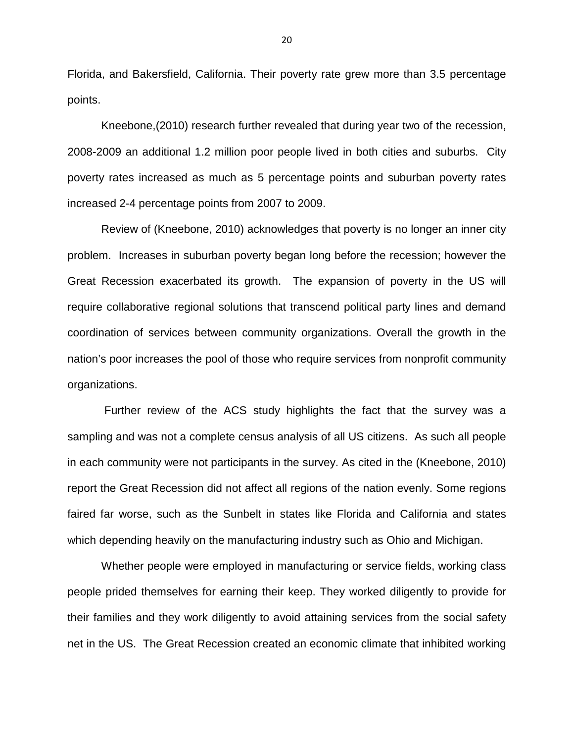Florida, and Bakersfield, California. Their poverty rate grew more than 3.5 percentage points.

Kneebone,(2010) research further revealed that during year two of the recession, 2008-2009 an additional 1.2 million poor people lived in both cities and suburbs. City poverty rates increased as much as 5 percentage points and suburban poverty rates increased 2-4 percentage points from 2007 to 2009.

Review of (Kneebone, 2010) acknowledges that poverty is no longer an inner city problem. Increases in suburban poverty began long before the recession; however the Great Recession exacerbated its growth. The expansion of poverty in the US will require collaborative regional solutions that transcend political party lines and demand coordination of services between community organizations. Overall the growth in the nation's poor increases the pool of those who require services from nonprofit community organizations.

 Further review of the ACS study highlights the fact that the survey was a sampling and was not a complete census analysis of all US citizens. As such all people in each community were not participants in the survey. As cited in the (Kneebone, 2010) report the Great Recession did not affect all regions of the nation evenly. Some regions faired far worse, such as the Sunbelt in states like Florida and California and states which depending heavily on the manufacturing industry such as Ohio and Michigan.

Whether people were employed in manufacturing or service fields, working class people prided themselves for earning their keep. They worked diligently to provide for their families and they work diligently to avoid attaining services from the social safety net in the US. The Great Recession created an economic climate that inhibited working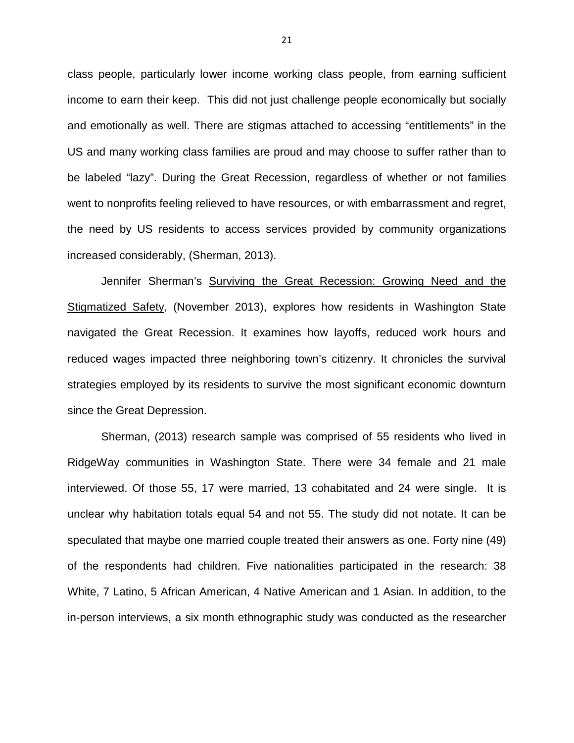class people, particularly lower income working class people, from earning sufficient income to earn their keep. This did not just challenge people economically but socially and emotionally as well. There are stigmas attached to accessing "entitlements" in the US and many working class families are proud and may choose to suffer rather than to be labeled "lazy". During the Great Recession, regardless of whether or not families went to nonprofits feeling relieved to have resources, or with embarrassment and regret, the need by US residents to access services provided by community organizations increased considerably, (Sherman, 2013).

Jennifer Sherman's Surviving the Great Recession: Growing Need and the Stigmatized Safety, (November 2013), explores how residents in Washington State navigated the Great Recession. It examines how layoffs, reduced work hours and reduced wages impacted three neighboring town's citizenry. It chronicles the survival strategies employed by its residents to survive the most significant economic downturn since the Great Depression.

 Sherman, (2013) research sample was comprised of 55 residents who lived in RidgeWay communities in Washington State. There were 34 female and 21 male interviewed. Of those 55, 17 were married, 13 cohabitated and 24 were single. It is unclear why habitation totals equal 54 and not 55. The study did not notate. It can be speculated that maybe one married couple treated their answers as one. Forty nine (49) of the respondents had children. Five nationalities participated in the research: 38 White, 7 Latino, 5 African American, 4 Native American and 1 Asian. In addition, to the in-person interviews, a six month ethnographic study was conducted as the researcher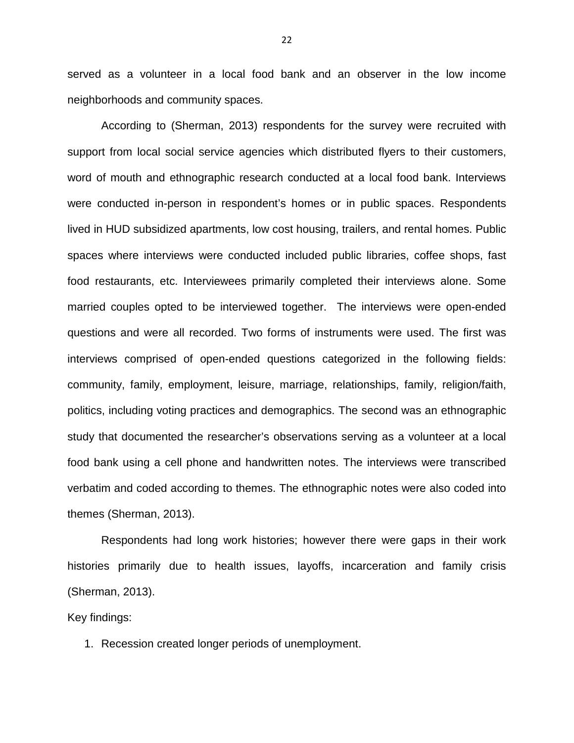served as a volunteer in a local food bank and an observer in the low income neighborhoods and community spaces.

According to (Sherman, 2013) respondents for the survey were recruited with support from local social service agencies which distributed flyers to their customers, word of mouth and ethnographic research conducted at a local food bank. Interviews were conducted in-person in respondent's homes or in public spaces. Respondents lived in HUD subsidized apartments, low cost housing, trailers, and rental homes. Public spaces where interviews were conducted included public libraries, coffee shops, fast food restaurants, etc. Interviewees primarily completed their interviews alone. Some married couples opted to be interviewed together. The interviews were open-ended questions and were all recorded. Two forms of instruments were used. The first was interviews comprised of open-ended questions categorized in the following fields: community, family, employment, leisure, marriage, relationships, family, religion/faith, politics, including voting practices and demographics. The second was an ethnographic study that documented the researcher's observations serving as a volunteer at a local food bank using a cell phone and handwritten notes. The interviews were transcribed verbatim and coded according to themes. The ethnographic notes were also coded into themes (Sherman, 2013).

 Respondents had long work histories; however there were gaps in their work histories primarily due to health issues, layoffs, incarceration and family crisis (Sherman, 2013).

Key findings:

1. Recession created longer periods of unemployment.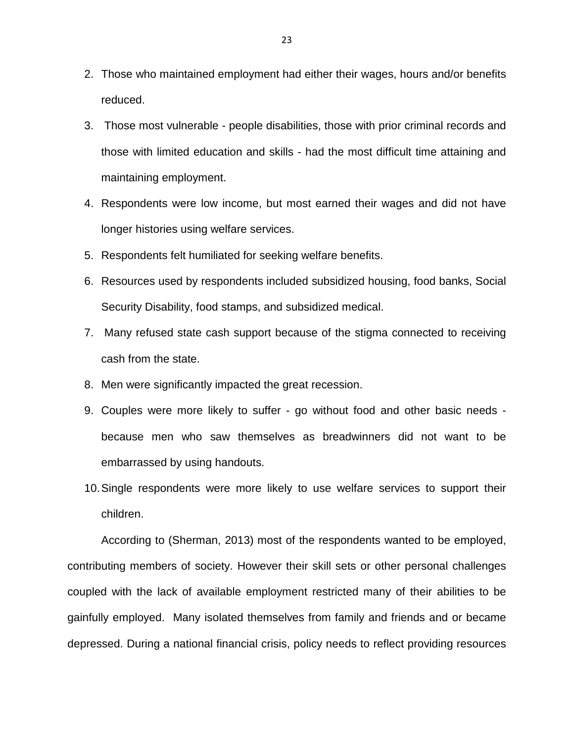- 2. Those who maintained employment had either their wages, hours and/or benefits reduced.
- 3. Those most vulnerable people disabilities, those with prior criminal records and those with limited education and skills - had the most difficult time attaining and maintaining employment.
- 4. Respondents were low income, but most earned their wages and did not have longer histories using welfare services.
- 5. Respondents felt humiliated for seeking welfare benefits.
- 6. Resources used by respondents included subsidized housing, food banks, Social Security Disability, food stamps, and subsidized medical.
- 7. Many refused state cash support because of the stigma connected to receiving cash from the state.
- 8. Men were significantly impacted the great recession.
- 9. Couples were more likely to suffer go without food and other basic needs because men who saw themselves as breadwinners did not want to be embarrassed by using handouts.
- 10. Single respondents were more likely to use welfare services to support their children.

According to (Sherman, 2013) most of the respondents wanted to be employed, contributing members of society. However their skill sets or other personal challenges coupled with the lack of available employment restricted many of their abilities to be gainfully employed. Many isolated themselves from family and friends and or became depressed. During a national financial crisis, policy needs to reflect providing resources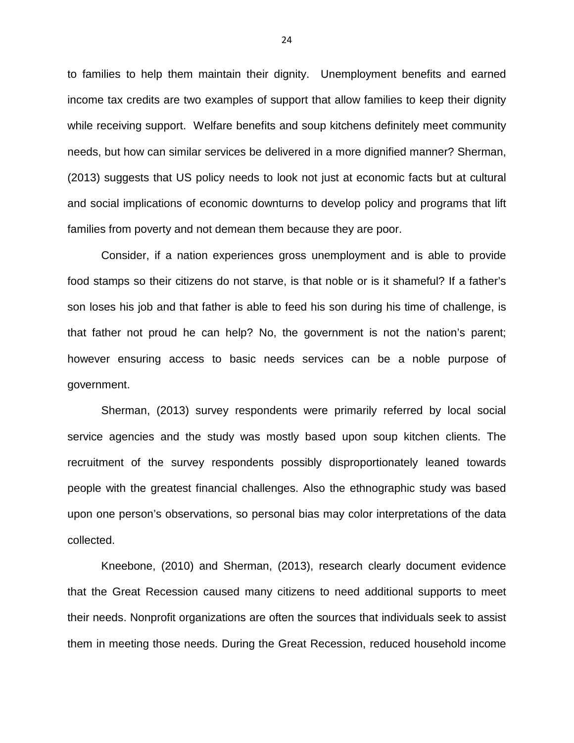to families to help them maintain their dignity. Unemployment benefits and earned income tax credits are two examples of support that allow families to keep their dignity while receiving support. Welfare benefits and soup kitchens definitely meet community needs, but how can similar services be delivered in a more dignified manner? Sherman, (2013) suggests that US policy needs to look not just at economic facts but at cultural and social implications of economic downturns to develop policy and programs that lift families from poverty and not demean them because they are poor.

Consider, if a nation experiences gross unemployment and is able to provide food stamps so their citizens do not starve, is that noble or is it shameful? If a father's son loses his job and that father is able to feed his son during his time of challenge, is that father not proud he can help? No, the government is not the nation's parent; however ensuring access to basic needs services can be a noble purpose of government.

Sherman, (2013) survey respondents were primarily referred by local social service agencies and the study was mostly based upon soup kitchen clients. The recruitment of the survey respondents possibly disproportionately leaned towards people with the greatest financial challenges. Also the ethnographic study was based upon one person's observations, so personal bias may color interpretations of the data collected.

Kneebone, (2010) and Sherman, (2013), research clearly document evidence that the Great Recession caused many citizens to need additional supports to meet their needs. Nonprofit organizations are often the sources that individuals seek to assist them in meeting those needs. During the Great Recession, reduced household income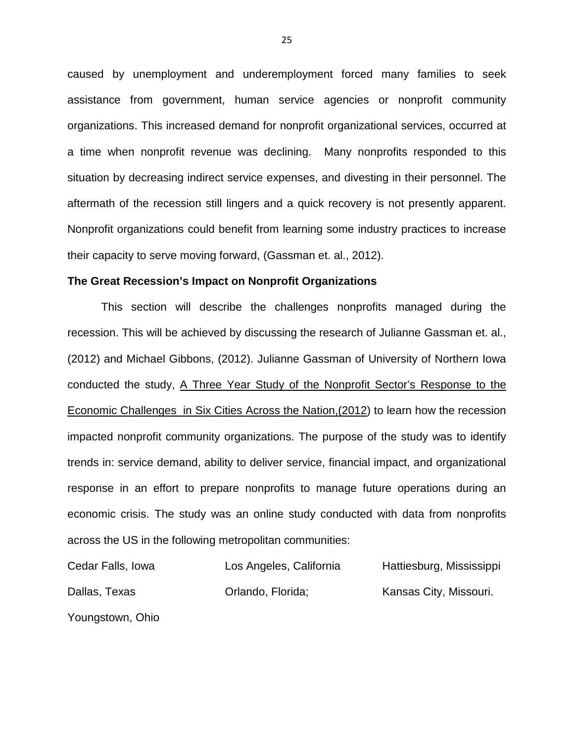caused by unemployment and underemployment forced many families to seek assistance from government, human service agencies or nonprofit community organizations. This increased demand for nonprofit organizational services, occurred at a time when nonprofit revenue was declining. Many nonprofits responded to this situation by decreasing indirect service expenses, and divesting in their personnel. The aftermath of the recession still lingers and a quick recovery is not presently apparent. Nonprofit organizations could benefit from learning some industry practices to increase their capacity to serve moving forward, (Gassman et. al., 2012).

#### **The Great Recession's Impact on Nonprofit Organizations**

This section will describe the challenges nonprofits managed during the recession. This will be achieved by discussing the research of Julianne Gassman et. al., (2012) and Michael Gibbons, (2012). Julianne Gassman of University of Northern Iowa conducted the study, A Three Year Study of the Nonprofit Sector's Response to the Economic Challenges in Six Cities Across the Nation,(2012) to learn how the recession impacted nonprofit community organizations. The purpose of the study was to identify trends in: service demand, ability to deliver service, financial impact, and organizational response in an effort to prepare nonprofits to manage future operations during an economic crisis. The study was an online study conducted with data from nonprofits across the US in the following metropolitan communities:

| Cedar Falls, Iowa | Los Angeles, California | Hattiesburg, Mississippi |
|-------------------|-------------------------|--------------------------|
| Dallas, Texas     | Orlando, Florida;       | Kansas City, Missouri.   |

Youngstown, Ohio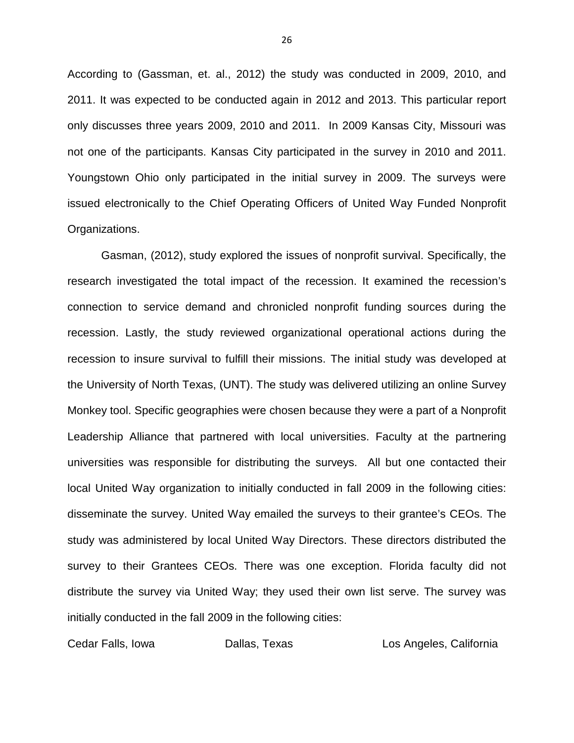According to (Gassman, et. al., 2012) the study was conducted in 2009, 2010, and 2011. It was expected to be conducted again in 2012 and 2013. This particular report only discusses three years 2009, 2010 and 2011. In 2009 Kansas City, Missouri was not one of the participants. Kansas City participated in the survey in 2010 and 2011. Youngstown Ohio only participated in the initial survey in 2009. The surveys were issued electronically to the Chief Operating Officers of United Way Funded Nonprofit Organizations.

Gasman, (2012), study explored the issues of nonprofit survival. Specifically, the research investigated the total impact of the recession. It examined the recession's connection to service demand and chronicled nonprofit funding sources during the recession. Lastly, the study reviewed organizational operational actions during the recession to insure survival to fulfill their missions. The initial study was developed at the University of North Texas, (UNT). The study was delivered utilizing an online Survey Monkey tool. Specific geographies were chosen because they were a part of a Nonprofit Leadership Alliance that partnered with local universities. Faculty at the partnering universities was responsible for distributing the surveys. All but one contacted their local United Way organization to initially conducted in fall 2009 in the following cities: disseminate the survey. United Way emailed the surveys to their grantee's CEOs. The study was administered by local United Way Directors. These directors distributed the survey to their Grantees CEOs. There was one exception. Florida faculty did not distribute the survey via United Way; they used their own list serve. The survey was initially conducted in the fall 2009 in the following cities:

Cedar Falls, Iowa **Dallas, Texas** Los Angeles, California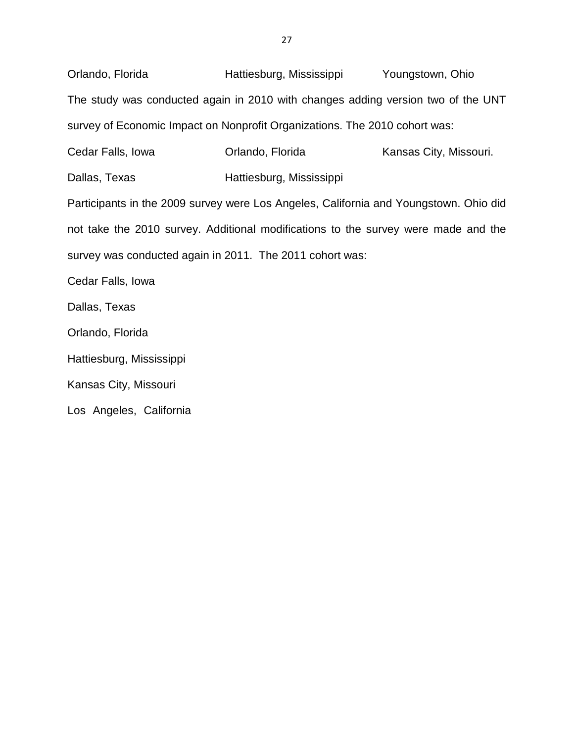Orlando, Florida Hattiesburg, Mississippi Youngstown, Ohio The study was conducted again in 2010 with changes adding version two of the UNT survey of Economic Impact on Nonprofit Organizations. The 2010 cohort was: Cedar Falls, Iowa Orlando, Florida Kansas City, Missouri.

Dallas, Texas Hattiesburg, Mississippi

Participants in the 2009 survey were Los Angeles, California and Youngstown. Ohio did not take the 2010 survey. Additional modifications to the survey were made and the survey was conducted again in 2011. The 2011 cohort was:

Cedar Falls, Iowa

Dallas, Texas

Orlando, Florida

Hattiesburg, Mississippi

Kansas City, Missouri

Los Angeles, California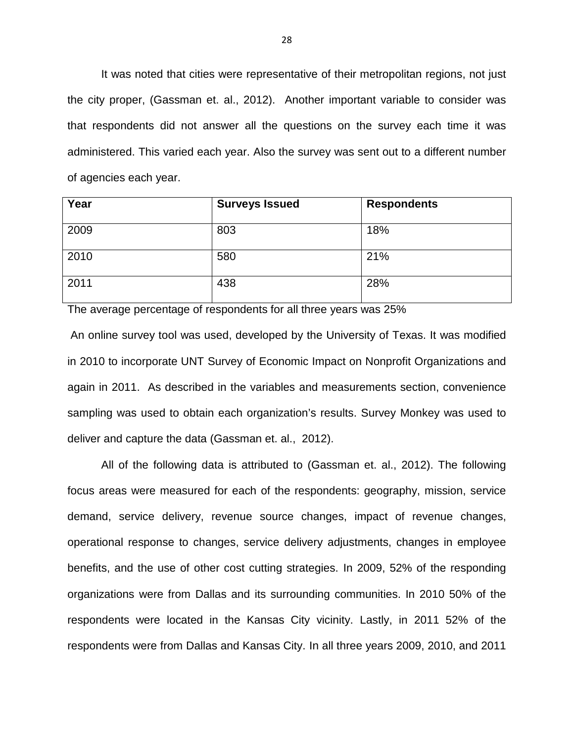It was noted that cities were representative of their metropolitan regions, not just the city proper, (Gassman et. al., 2012). Another important variable to consider was that respondents did not answer all the questions on the survey each time it was administered. This varied each year. Also the survey was sent out to a different number of agencies each year.

| Year | <b>Surveys Issued</b> | <b>Respondents</b> |
|------|-----------------------|--------------------|
| 2009 | 803                   | 18%                |
| 2010 | 580                   | 21%                |
| 2011 | 438                   | 28%                |

The average percentage of respondents for all three years was 25%

An online survey tool was used, developed by the University of Texas. It was modified in 2010 to incorporate UNT Survey of Economic Impact on Nonprofit Organizations and again in 2011. As described in the variables and measurements section, convenience sampling was used to obtain each organization's results. Survey Monkey was used to deliver and capture the data (Gassman et. al., 2012).

All of the following data is attributed to (Gassman et. al., 2012). The following focus areas were measured for each of the respondents: geography, mission, service demand, service delivery, revenue source changes, impact of revenue changes, operational response to changes, service delivery adjustments, changes in employee benefits, and the use of other cost cutting strategies. In 2009, 52% of the responding organizations were from Dallas and its surrounding communities. In 2010 50% of the respondents were located in the Kansas City vicinity. Lastly, in 2011 52% of the respondents were from Dallas and Kansas City. In all three years 2009, 2010, and 2011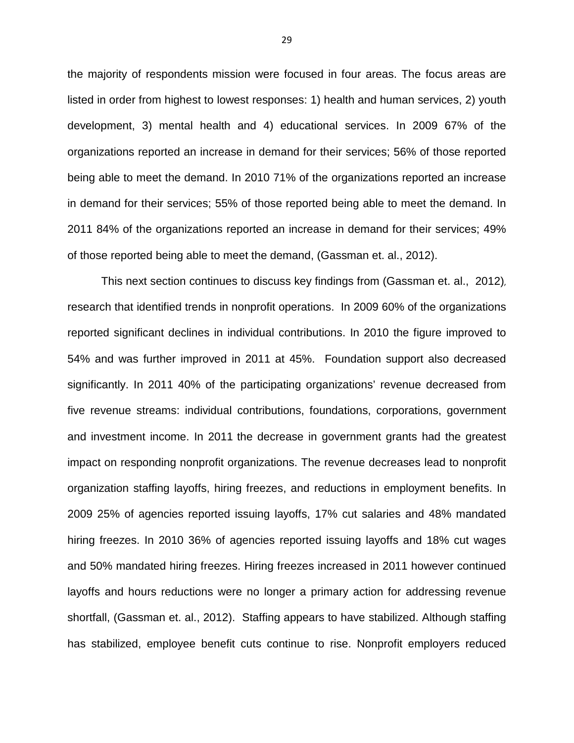the majority of respondents mission were focused in four areas. The focus areas are listed in order from highest to lowest responses: 1) health and human services, 2) youth development, 3) mental health and 4) educational services. In 2009 67% of the organizations reported an increase in demand for their services; 56% of those reported being able to meet the demand. In 2010 71% of the organizations reported an increase in demand for their services; 55% of those reported being able to meet the demand. In 2011 84% of the organizations reported an increase in demand for their services; 49% of those reported being able to meet the demand, (Gassman et. al., 2012).

This next section continues to discuss key findings from (Gassman et. al., 2012), research that identified trends in nonprofit operations. In 2009 60% of the organizations reported significant declines in individual contributions. In 2010 the figure improved to 54% and was further improved in 2011 at 45%. Foundation support also decreased significantly. In 2011 40% of the participating organizations' revenue decreased from five revenue streams: individual contributions, foundations, corporations, government and investment income. In 2011 the decrease in government grants had the greatest impact on responding nonprofit organizations. The revenue decreases lead to nonprofit organization staffing layoffs, hiring freezes, and reductions in employment benefits. In 2009 25% of agencies reported issuing layoffs, 17% cut salaries and 48% mandated hiring freezes. In 2010 36% of agencies reported issuing layoffs and 18% cut wages and 50% mandated hiring freezes. Hiring freezes increased in 2011 however continued layoffs and hours reductions were no longer a primary action for addressing revenue shortfall, (Gassman et. al., 2012). Staffing appears to have stabilized. Although staffing has stabilized, employee benefit cuts continue to rise. Nonprofit employers reduced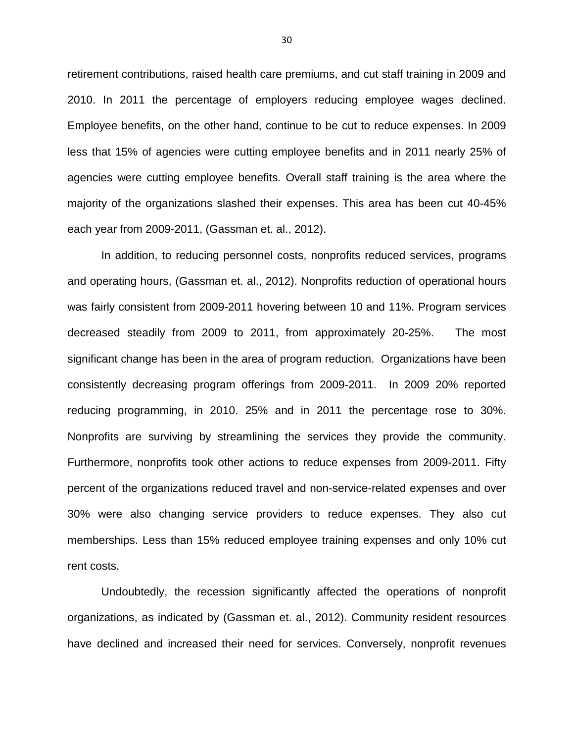retirement contributions, raised health care premiums, and cut staff training in 2009 and 2010. In 2011 the percentage of employers reducing employee wages declined. Employee benefits, on the other hand, continue to be cut to reduce expenses. In 2009 less that 15% of agencies were cutting employee benefits and in 2011 nearly 25% of agencies were cutting employee benefits. Overall staff training is the area where the majority of the organizations slashed their expenses. This area has been cut 40-45% each year from 2009-2011, (Gassman et. al., 2012).

In addition, to reducing personnel costs, nonprofits reduced services, programs and operating hours, (Gassman et. al., 2012). Nonprofits reduction of operational hours was fairly consistent from 2009-2011 hovering between 10 and 11%. Program services decreased steadily from 2009 to 2011, from approximately 20-25%. The most significant change has been in the area of program reduction. Organizations have been consistently decreasing program offerings from 2009-2011. In 2009 20% reported reducing programming, in 2010. 25% and in 2011 the percentage rose to 30%. Nonprofits are surviving by streamlining the services they provide the community. Furthermore, nonprofits took other actions to reduce expenses from 2009-2011. Fifty percent of the organizations reduced travel and non-service-related expenses and over 30% were also changing service providers to reduce expenses. They also cut memberships. Less than 15% reduced employee training expenses and only 10% cut rent costs.

Undoubtedly, the recession significantly affected the operations of nonprofit organizations, as indicated by (Gassman et. al., 2012). Community resident resources have declined and increased their need for services. Conversely, nonprofit revenues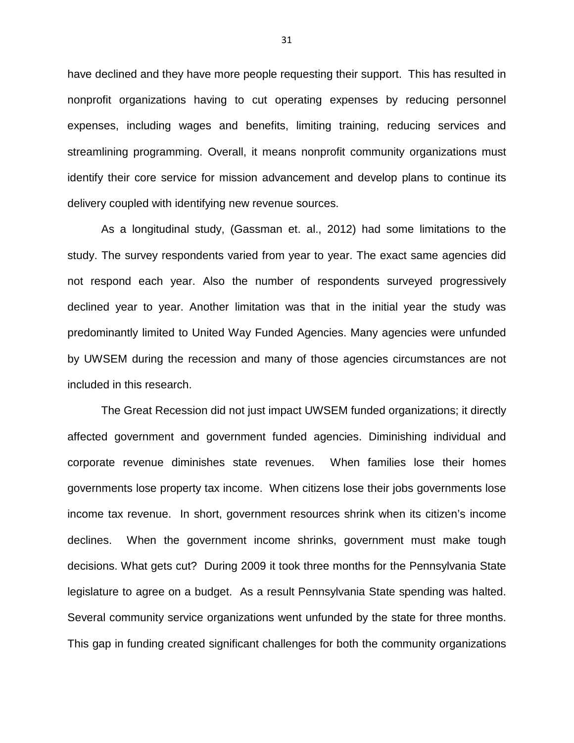have declined and they have more people requesting their support. This has resulted in nonprofit organizations having to cut operating expenses by reducing personnel expenses, including wages and benefits, limiting training, reducing services and streamlining programming. Overall, it means nonprofit community organizations must identify their core service for mission advancement and develop plans to continue its delivery coupled with identifying new revenue sources.

As a longitudinal study, (Gassman et. al., 2012) had some limitations to the study. The survey respondents varied from year to year. The exact same agencies did not respond each year. Also the number of respondents surveyed progressively declined year to year. Another limitation was that in the initial year the study was predominantly limited to United Way Funded Agencies. Many agencies were unfunded by UWSEM during the recession and many of those agencies circumstances are not included in this research.

The Great Recession did not just impact UWSEM funded organizations; it directly affected government and government funded agencies. Diminishing individual and corporate revenue diminishes state revenues. When families lose their homes governments lose property tax income. When citizens lose their jobs governments lose income tax revenue. In short, government resources shrink when its citizen's income declines. When the government income shrinks, government must make tough decisions. What gets cut? During 2009 it took three months for the Pennsylvania State legislature to agree on a budget. As a result Pennsylvania State spending was halted. Several community service organizations went unfunded by the state for three months. This gap in funding created significant challenges for both the community organizations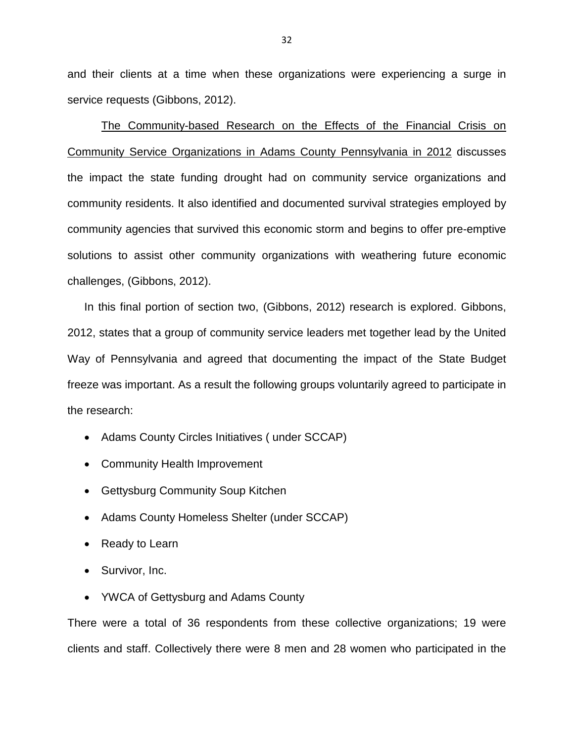and their clients at a time when these organizations were experiencing a surge in service requests (Gibbons, 2012).

The Community-based Research on the Effects of the Financial Crisis on Community Service Organizations in Adams County Pennsylvania in 2012 discusses the impact the state funding drought had on community service organizations and community residents. It also identified and documented survival strategies employed by community agencies that survived this economic storm and begins to offer pre-emptive solutions to assist other community organizations with weathering future economic challenges, (Gibbons, 2012).

In this final portion of section two, (Gibbons, 2012) research is explored. Gibbons, 2012, states that a group of community service leaders met together lead by the United Way of Pennsylvania and agreed that documenting the impact of the State Budget freeze was important. As a result the following groups voluntarily agreed to participate in the research:

- Adams County Circles Initiatives ( under SCCAP)
- Community Health Improvement
- Gettysburg Community Soup Kitchen
- Adams County Homeless Shelter (under SCCAP)
- Ready to Learn
- Survivor, Inc.
- YWCA of Gettysburg and Adams County

There were a total of 36 respondents from these collective organizations; 19 were clients and staff. Collectively there were 8 men and 28 women who participated in the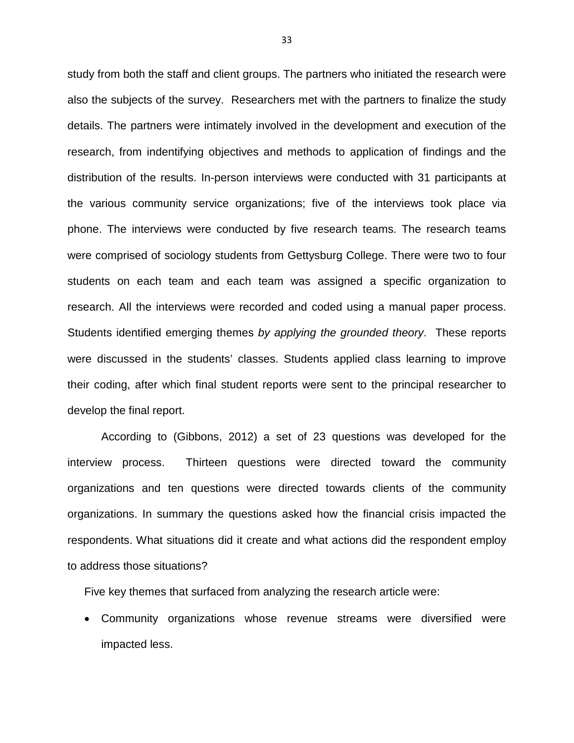study from both the staff and client groups. The partners who initiated the research were also the subjects of the survey. Researchers met with the partners to finalize the study details. The partners were intimately involved in the development and execution of the research, from indentifying objectives and methods to application of findings and the distribution of the results. In-person interviews were conducted with 31 participants at the various community service organizations; five of the interviews took place via phone. The interviews were conducted by five research teams. The research teams were comprised of sociology students from Gettysburg College. There were two to four students on each team and each team was assigned a specific organization to research. All the interviews were recorded and coded using a manual paper process. Students identified emerging themes by applying the grounded theory. These reports were discussed in the students' classes. Students applied class learning to improve their coding, after which final student reports were sent to the principal researcher to develop the final report.

According to (Gibbons, 2012) a set of 23 questions was developed for the interview process. Thirteen questions were directed toward the community organizations and ten questions were directed towards clients of the community organizations. In summary the questions asked how the financial crisis impacted the respondents. What situations did it create and what actions did the respondent employ to address those situations?

Five key themes that surfaced from analyzing the research article were:

• Community organizations whose revenue streams were diversified were impacted less.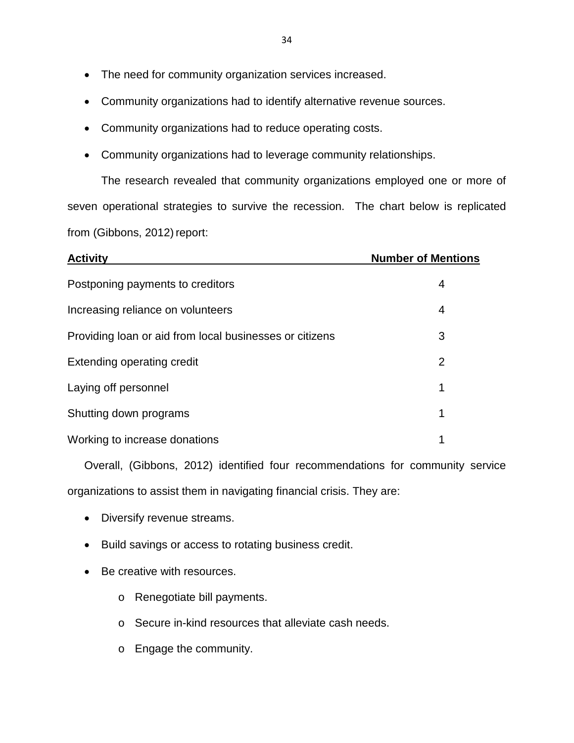- The need for community organization services increased.
- Community organizations had to identify alternative revenue sources.
- Community organizations had to reduce operating costs.
- Community organizations had to leverage community relationships.

The research revealed that community organizations employed one or more of seven operational strategies to survive the recession. The chart below is replicated from (Gibbons, 2012) report:

| <b>Activity</b>                                         | <b>Number of Mentions</b> |
|---------------------------------------------------------|---------------------------|
| Postponing payments to creditors                        | 4                         |
| Increasing reliance on volunteers                       | 4                         |
| Providing loan or aid from local businesses or citizens | 3                         |
| Extending operating credit                              | 2                         |
| Laying off personnel                                    | 1                         |
| Shutting down programs                                  |                           |
| Working to increase donations                           | 1                         |

Overall, (Gibbons, 2012) identified four recommendations for community service organizations to assist them in navigating financial crisis. They are:

- Diversify revenue streams.
- Build savings or access to rotating business credit.
- Be creative with resources.
	- o Renegotiate bill payments.
	- o Secure in-kind resources that alleviate cash needs.
	- o Engage the community.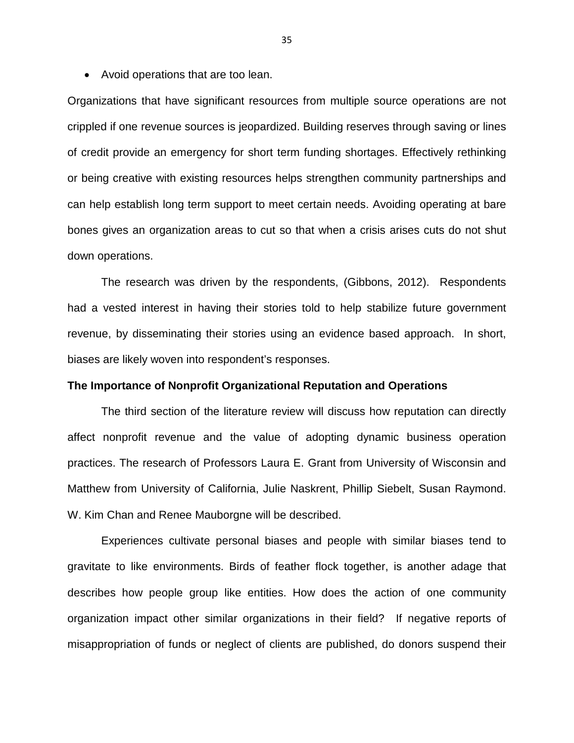• Avoid operations that are too lean.

Organizations that have significant resources from multiple source operations are not crippled if one revenue sources is jeopardized. Building reserves through saving or lines of credit provide an emergency for short term funding shortages. Effectively rethinking or being creative with existing resources helps strengthen community partnerships and can help establish long term support to meet certain needs. Avoiding operating at bare bones gives an organization areas to cut so that when a crisis arises cuts do not shut down operations.

The research was driven by the respondents, (Gibbons, 2012). Respondents had a vested interest in having their stories told to help stabilize future government revenue, by disseminating their stories using an evidence based approach. In short, biases are likely woven into respondent's responses.

# **The Importance of Nonprofit Organizational Reputation and Operations**

The third section of the literature review will discuss how reputation can directly affect nonprofit revenue and the value of adopting dynamic business operation practices. The research of Professors Laura E. Grant from University of Wisconsin and Matthew from University of California, Julie Naskrent, Phillip Siebelt, Susan Raymond. W. Kim Chan and Renee Mauborgne will be described.

Experiences cultivate personal biases and people with similar biases tend to gravitate to like environments. Birds of feather flock together, is another adage that describes how people group like entities. How does the action of one community organization impact other similar organizations in their field? If negative reports of misappropriation of funds or neglect of clients are published, do donors suspend their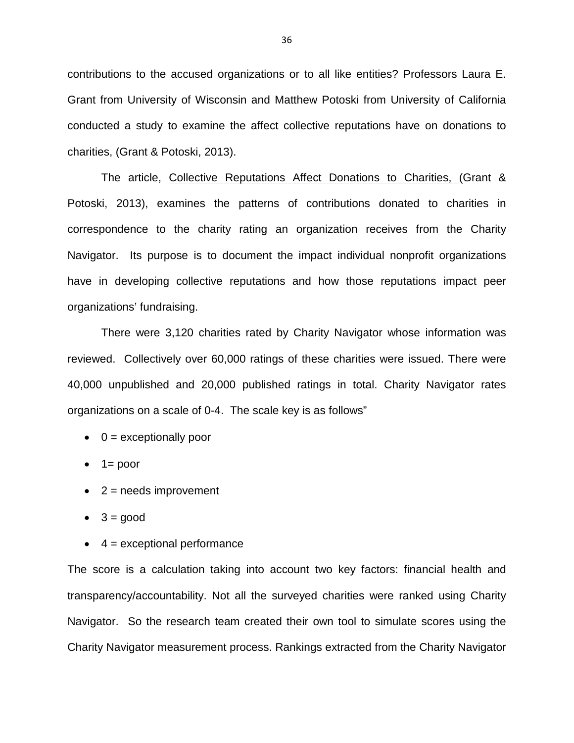contributions to the accused organizations or to all like entities? Professors Laura E. Grant from University of Wisconsin and Matthew Potoski from University of California conducted a study to examine the affect collective reputations have on donations to charities, (Grant & Potoski, 2013).

 The article, Collective Reputations Affect Donations to Charities, (Grant & Potoski, 2013), examines the patterns of contributions donated to charities in correspondence to the charity rating an organization receives from the Charity Navigator. Its purpose is to document the impact individual nonprofit organizations have in developing collective reputations and how those reputations impact peer organizations' fundraising.

There were 3,120 charities rated by Charity Navigator whose information was reviewed. Collectively over 60,000 ratings of these charities were issued. There were 40,000 unpublished and 20,000 published ratings in total. Charity Navigator rates organizations on a scale of 0-4. The scale key is as follows"

- $\bullet$  0 = exceptionally poor
- $\bullet$  1 = poor
- $\bullet$  2 = needs improvement
- $\bullet$  3 = good
- $\bullet$  4 = exceptional performance

The score is a calculation taking into account two key factors: financial health and transparency/accountability. Not all the surveyed charities were ranked using Charity Navigator. So the research team created their own tool to simulate scores using the Charity Navigator measurement process. Rankings extracted from the Charity Navigator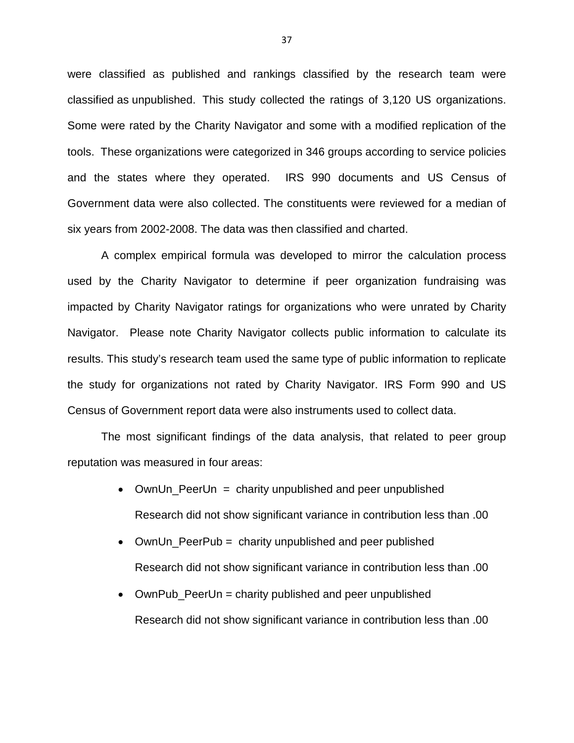were classified as published and rankings classified by the research team were classified as unpublished. This study collected the ratings of 3,120 US organizations. Some were rated by the Charity Navigator and some with a modified replication of the tools. These organizations were categorized in 346 groups according to service policies and the states where they operated. IRS 990 documents and US Census of Government data were also collected. The constituents were reviewed for a median of six years from 2002-2008. The data was then classified and charted.

A complex empirical formula was developed to mirror the calculation process used by the Charity Navigator to determine if peer organization fundraising was impacted by Charity Navigator ratings for organizations who were unrated by Charity Navigator. Please note Charity Navigator collects public information to calculate its results. This study's research team used the same type of public information to replicate the study for organizations not rated by Charity Navigator. IRS Form 990 and US Census of Government report data were also instruments used to collect data.

The most significant findings of the data analysis, that related to peer group reputation was measured in four areas:

- OwnUn\_PeerUn = charity unpublished and peer unpublished Research did not show significant variance in contribution less than .00
- OwnUn\_PeerPub = charity unpublished and peer published Research did not show significant variance in contribution less than .00
- OwnPub PeerUn = charity published and peer unpublished Research did not show significant variance in contribution less than .00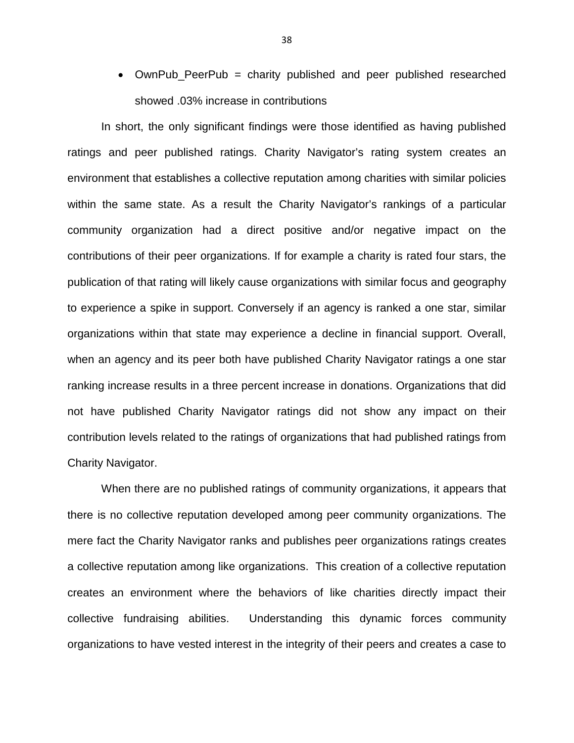• OwnPub\_PeerPub = charity published and peer published researched showed .03% increase in contributions

In short, the only significant findings were those identified as having published ratings and peer published ratings. Charity Navigator's rating system creates an environment that establishes a collective reputation among charities with similar policies within the same state. As a result the Charity Navigator's rankings of a particular community organization had a direct positive and/or negative impact on the contributions of their peer organizations. If for example a charity is rated four stars, the publication of that rating will likely cause organizations with similar focus and geography to experience a spike in support. Conversely if an agency is ranked a one star, similar organizations within that state may experience a decline in financial support. Overall, when an agency and its peer both have published Charity Navigator ratings a one star ranking increase results in a three percent increase in donations. Organizations that did not have published Charity Navigator ratings did not show any impact on their contribution levels related to the ratings of organizations that had published ratings from Charity Navigator.

When there are no published ratings of community organizations, it appears that there is no collective reputation developed among peer community organizations. The mere fact the Charity Navigator ranks and publishes peer organizations ratings creates a collective reputation among like organizations. This creation of a collective reputation creates an environment where the behaviors of like charities directly impact their collective fundraising abilities. Understanding this dynamic forces community organizations to have vested interest in the integrity of their peers and creates a case to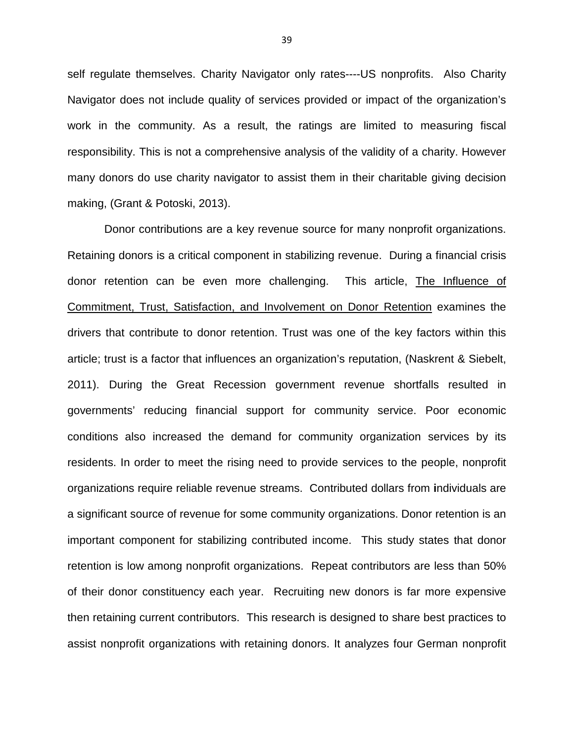self regulate themselves. Charity Navigator only rates----US nonprofits. Also Charity Navigator does not include quality of services provided or impact of the organization's work in the community. As a result, the ratings are limited to measuring fiscal responsibility. This is not a comprehensive analysis of the validity of a charity. However many donors do use charity navigator to assist them in their charitable giving decision making, (Grant & Potoski, 2013).

 Donor contributions are a key revenue source for many nonprofit organizations. Retaining donors is a critical component in stabilizing revenue. During a financial crisis donor retention can be even more challenging. This article, The Influence of Commitment, Trust, Satisfaction, and Involvement on Donor Retention examines the drivers that contribute to donor retention. Trust was one of the key factors within this article; trust is a factor that influences an organization's reputation, (Naskrent & Siebelt, 2011). During the Great Recession government revenue shortfalls resulted in governments' reducing financial support for community service. Poor economic conditions also increased the demand for community organization services by its residents. In order to meet the rising need to provide services to the people, nonprofit organizations require reliable revenue streams. Contributed dollars from **i**ndividuals are a significant source of revenue for some community organizations. Donor retention is an important component for stabilizing contributed income. This study states that donor retention is low among nonprofit organizations. Repeat contributors are less than 50% of their donor constituency each year. Recruiting new donors is far more expensive then retaining current contributors. This research is designed to share best practices to assist nonprofit organizations with retaining donors. It analyzes four German nonprofit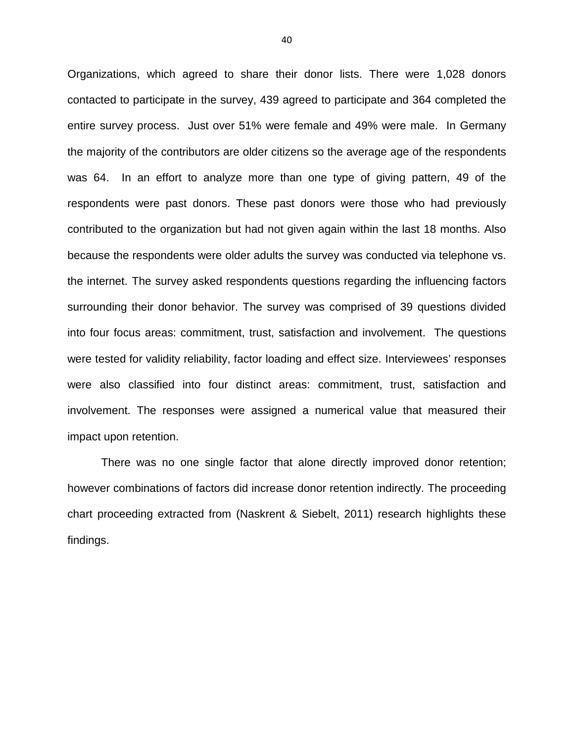Organizations, which agreed to share their donor lists. There were 1,028 donors contacted to participate in the survey, 439 agreed to participate and 364 completed the entire survey process. Just over 51% were female and 49% were male. In Germany the majority of the contributors are older citizens so the average age of the respondents was 64. In an effort to analyze more than one type of giving pattern, 49 of the respondents were past donors. These past donors were those who had previously contributed to the organization but had not given again within the last 18 months. Also because the respondents were older adults the survey was conducted via telephone vs. the internet. The survey asked respondents questions regarding the influencing factors surrounding their donor behavior. The survey was comprised of 39 questions divided into four focus areas: commitment, trust, satisfaction and involvement. The questions were tested for validity reliability, factor loading and effect size. Interviewees' responses were also classified into four distinct areas: commitment, trust, satisfaction and involvement. The responses were assigned a numerical value that measured their impact upon retention.

There was no one single factor that alone directly improved donor retention; however combinations of factors did increase donor retention indirectly. The proceeding chart proceeding extracted from (Naskrent & Siebelt, 2011) research highlights these findings.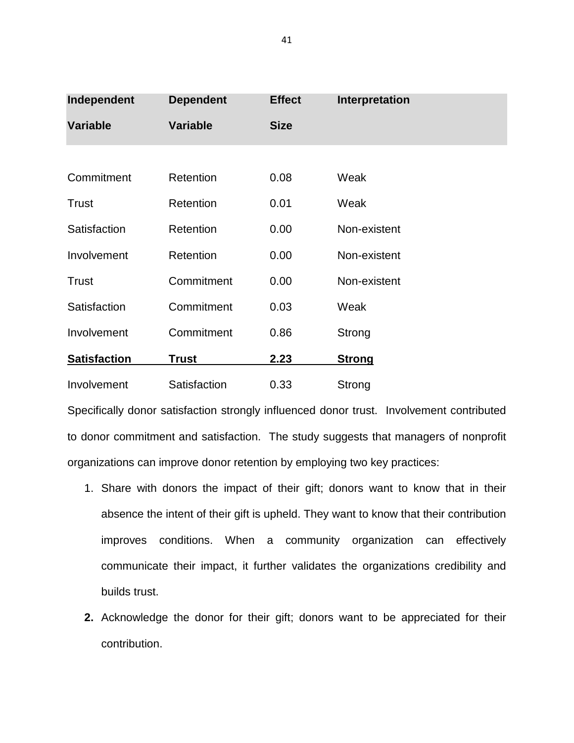| Independent         | <b>Dependent</b> | <b>Effect</b> | Interpretation |
|---------------------|------------------|---------------|----------------|
| <b>Variable</b>     | <b>Variable</b>  | <b>Size</b>   |                |
|                     |                  |               |                |
| Commitment          | Retention        | 0.08          | Weak           |
| <b>Trust</b>        | Retention        | 0.01          | Weak           |
| Satisfaction        | Retention        | 0.00          | Non-existent   |
| Involvement         | Retention        | 0.00          | Non-existent   |
| <b>Trust</b>        | Commitment       | 0.00          | Non-existent   |
| Satisfaction        | Commitment       | 0.03          | Weak           |
| Involvement         | Commitment       | 0.86          | Strong         |
| <b>Satisfaction</b> | <b>Trust</b>     | 2.23          | <b>Strong</b>  |
| Involvement         | Satisfaction     | 0.33          | Strong         |

Specifically donor satisfaction strongly influenced donor trust. Involvement contributed to donor commitment and satisfaction. The study suggests that managers of nonprofit organizations can improve donor retention by employing two key practices:

- 1. Share with donors the impact of their gift; donors want to know that in their absence the intent of their gift is upheld. They want to know that their contribution improves conditions. When a community organization can effectively communicate their impact, it further validates the organizations credibility and builds trust.
- **2.** Acknowledge the donor for their gift; donors want to be appreciated for their contribution.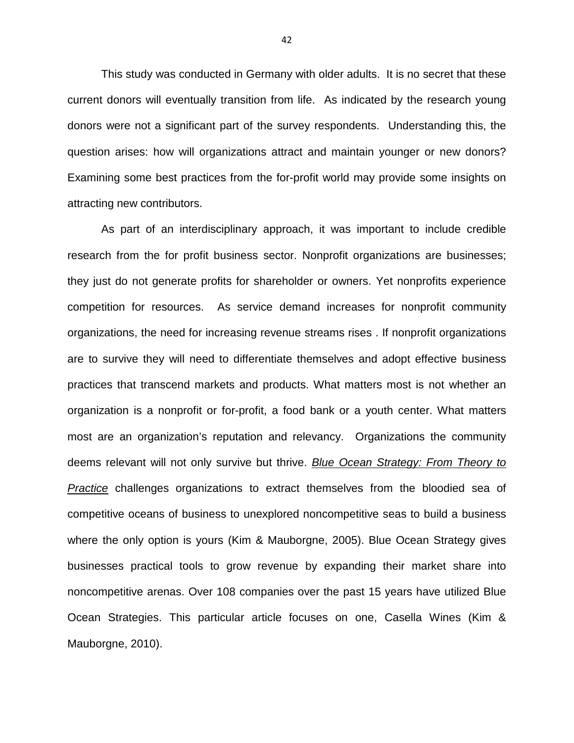This study was conducted in Germany with older adults. It is no secret that these current donors will eventually transition from life. As indicated by the research young donors were not a significant part of the survey respondents. Understanding this, the question arises: how will organizations attract and maintain younger or new donors? Examining some best practices from the for-profit world may provide some insights on attracting new contributors.

As part of an interdisciplinary approach, it was important to include credible research from the for profit business sector. Nonprofit organizations are businesses; they just do not generate profits for shareholder or owners. Yet nonprofits experience competition for resources. As service demand increases for nonprofit community organizations, the need for increasing revenue streams rises . If nonprofit organizations are to survive they will need to differentiate themselves and adopt effective business practices that transcend markets and products. What matters most is not whether an organization is a nonprofit or for-profit, a food bank or a youth center. What matters most are an organization's reputation and relevancy. Organizations the community deems relevant will not only survive but thrive. Blue Ocean Strategy: From Theory to Practice challenges organizations to extract themselves from the bloodied sea of competitive oceans of business to unexplored noncompetitive seas to build a business where the only option is yours (Kim & Mauborgne, 2005). Blue Ocean Strategy gives businesses practical tools to grow revenue by expanding their market share into noncompetitive arenas. Over 108 companies over the past 15 years have utilized Blue Ocean Strategies. This particular article focuses on one, Casella Wines (Kim & Mauborgne, 2010).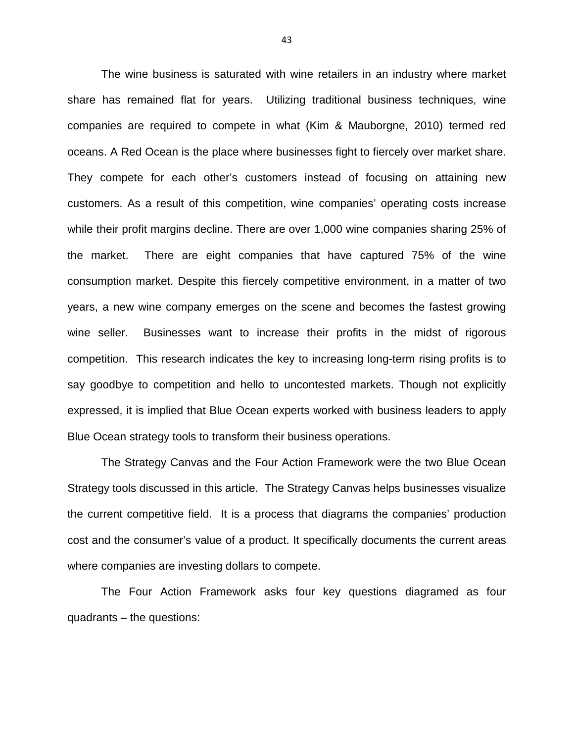The wine business is saturated with wine retailers in an industry where market share has remained flat for years. Utilizing traditional business techniques, wine companies are required to compete in what (Kim & Mauborgne, 2010) termed red oceans. A Red Ocean is the place where businesses fight to fiercely over market share. They compete for each other's customers instead of focusing on attaining new customers. As a result of this competition, wine companies' operating costs increase while their profit margins decline. There are over 1,000 wine companies sharing 25% of the market. There are eight companies that have captured 75% of the wine consumption market. Despite this fiercely competitive environment, in a matter of two years, a new wine company emerges on the scene and becomes the fastest growing wine seller. Businesses want to increase their profits in the midst of rigorous competition. This research indicates the key to increasing long-term rising profits is to say goodbye to competition and hello to uncontested markets. Though not explicitly expressed, it is implied that Blue Ocean experts worked with business leaders to apply Blue Ocean strategy tools to transform their business operations.

The Strategy Canvas and the Four Action Framework were the two Blue Ocean Strategy tools discussed in this article. The Strategy Canvas helps businesses visualize the current competitive field. It is a process that diagrams the companies' production cost and the consumer's value of a product. It specifically documents the current areas where companies are investing dollars to compete.

The Four Action Framework asks four key questions diagramed as four quadrants – the questions: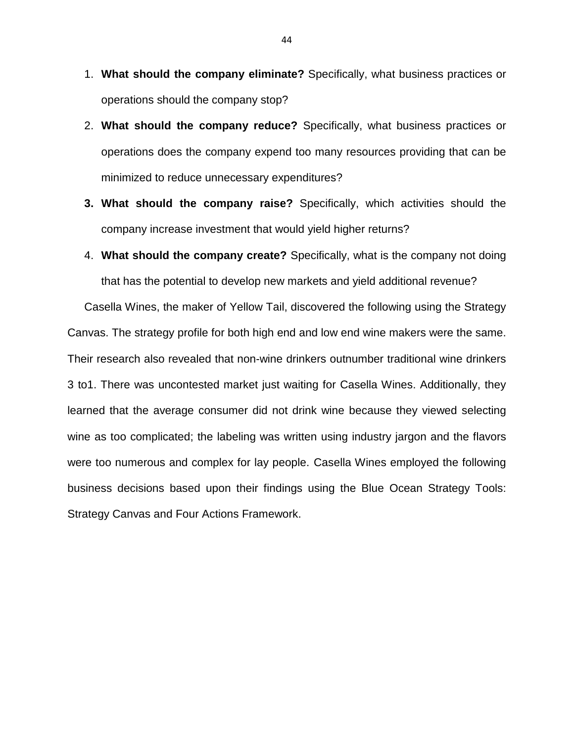- 1. **What should the company eliminate?** Specifically, what business practices or operations should the company stop?
- 2. **What should the company reduce?** Specifically, what business practices or operations does the company expend too many resources providing that can be minimized to reduce unnecessary expenditures?
- **3. What should the company raise?** Specifically, which activities should the company increase investment that would yield higher returns?
- 4. **What should the company create?** Specifically, what is the company not doing that has the potential to develop new markets and yield additional revenue?

Casella Wines, the maker of Yellow Tail, discovered the following using the Strategy Canvas. The strategy profile for both high end and low end wine makers were the same. Their research also revealed that non-wine drinkers outnumber traditional wine drinkers 3 to1. There was uncontested market just waiting for Casella Wines. Additionally, they learned that the average consumer did not drink wine because they viewed selecting wine as too complicated; the labeling was written using industry jargon and the flavors were too numerous and complex for lay people. Casella Wines employed the following business decisions based upon their findings using the Blue Ocean Strategy Tools: Strategy Canvas and Four Actions Framework.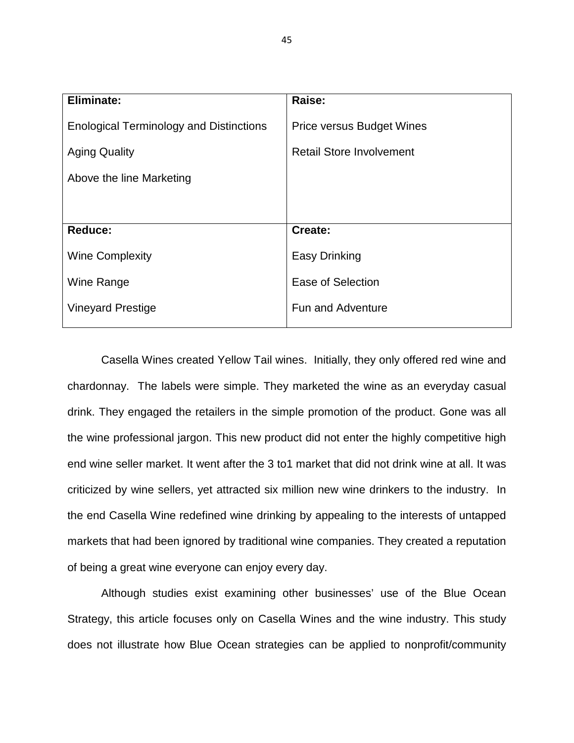| <b>Eliminate:</b>                              | Raise:                           |
|------------------------------------------------|----------------------------------|
| <b>Enological Terminology and Distinctions</b> | <b>Price versus Budget Wines</b> |
| <b>Aging Quality</b>                           | <b>Retail Store Involvement</b>  |
| Above the line Marketing                       |                                  |
|                                                |                                  |
| <b>Reduce:</b>                                 | Create:                          |
| <b>Wine Complexity</b>                         | <b>Easy Drinking</b>             |
| Wine Range                                     | Ease of Selection                |
| <b>Vineyard Prestige</b>                       | <b>Fun and Adventure</b>         |
|                                                |                                  |

Casella Wines created Yellow Tail wines. Initially, they only offered red wine and chardonnay. The labels were simple. They marketed the wine as an everyday casual drink. They engaged the retailers in the simple promotion of the product. Gone was all the wine professional jargon. This new product did not enter the highly competitive high end wine seller market. It went after the 3 to1 market that did not drink wine at all. It was criticized by wine sellers, yet attracted six million new wine drinkers to the industry. In the end Casella Wine redefined wine drinking by appealing to the interests of untapped markets that had been ignored by traditional wine companies. They created a reputation of being a great wine everyone can enjoy every day.

Although studies exist examining other businesses' use of the Blue Ocean Strategy, this article focuses only on Casella Wines and the wine industry. This study does not illustrate how Blue Ocean strategies can be applied to nonprofit/community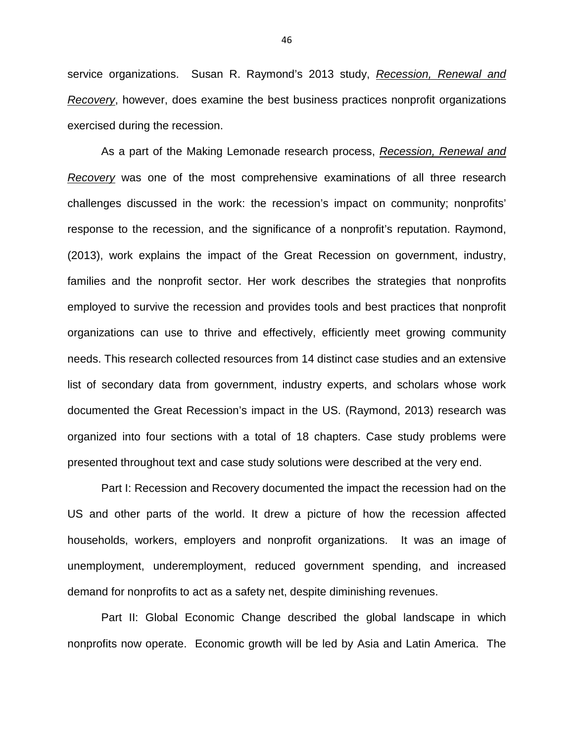service organizations. Susan R. Raymond's 2013 study, Recession, Renewal and Recovery, however, does examine the best business practices nonprofit organizations exercised during the recession.

As a part of the Making Lemonade research process, Recession, Renewal and Recovery was one of the most comprehensive examinations of all three research challenges discussed in the work: the recession's impact on community; nonprofits' response to the recession, and the significance of a nonprofit's reputation. Raymond, (2013), work explains the impact of the Great Recession on government, industry, families and the nonprofit sector. Her work describes the strategies that nonprofits employed to survive the recession and provides tools and best practices that nonprofit organizations can use to thrive and effectively, efficiently meet growing community needs. This research collected resources from 14 distinct case studies and an extensive list of secondary data from government, industry experts, and scholars whose work documented the Great Recession's impact in the US. (Raymond, 2013) research was organized into four sections with a total of 18 chapters. Case study problems were presented throughout text and case study solutions were described at the very end.

Part I: Recession and Recovery documented the impact the recession had on the US and other parts of the world. It drew a picture of how the recession affected households, workers, employers and nonprofit organizations. It was an image of unemployment, underemployment, reduced government spending, and increased demand for nonprofits to act as a safety net, despite diminishing revenues.

Part II: Global Economic Change described the global landscape in which nonprofits now operate. Economic growth will be led by Asia and Latin America. The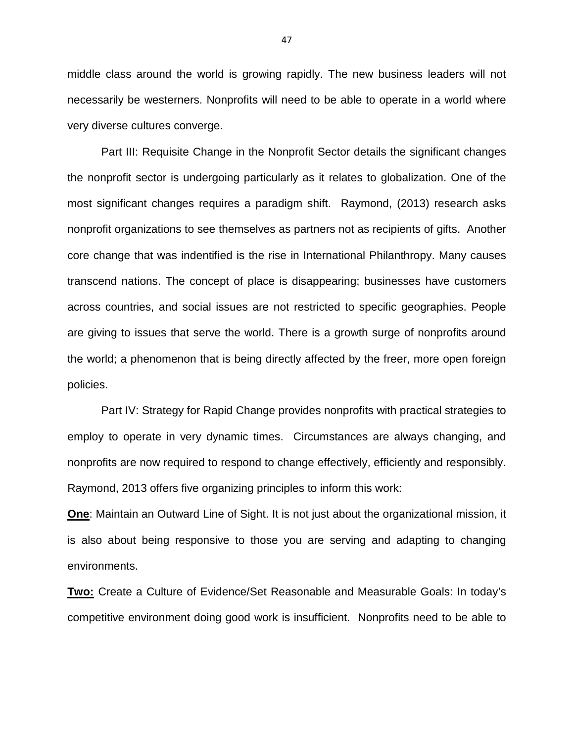middle class around the world is growing rapidly. The new business leaders will not necessarily be westerners. Nonprofits will need to be able to operate in a world where very diverse cultures converge.

Part III: Requisite Change in the Nonprofit Sector details the significant changes the nonprofit sector is undergoing particularly as it relates to globalization. One of the most significant changes requires a paradigm shift. Raymond, (2013) research asks nonprofit organizations to see themselves as partners not as recipients of gifts. Another core change that was indentified is the rise in International Philanthropy. Many causes transcend nations. The concept of place is disappearing; businesses have customers across countries, and social issues are not restricted to specific geographies. People are giving to issues that serve the world. There is a growth surge of nonprofits around the world; a phenomenon that is being directly affected by the freer, more open foreign policies.

Part IV: Strategy for Rapid Change provides nonprofits with practical strategies to employ to operate in very dynamic times. Circumstances are always changing, and nonprofits are now required to respond to change effectively, efficiently and responsibly. Raymond, 2013 offers five organizing principles to inform this work:

**One**: Maintain an Outward Line of Sight. It is not just about the organizational mission, it is also about being responsive to those you are serving and adapting to changing environments.

**Two:** Create a Culture of Evidence/Set Reasonable and Measurable Goals: In today's competitive environment doing good work is insufficient. Nonprofits need to be able to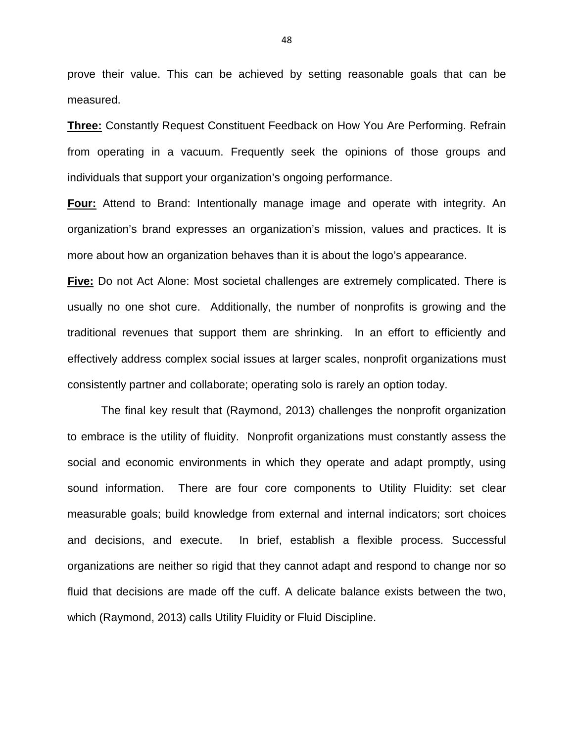prove their value. This can be achieved by setting reasonable goals that can be measured.

**Three:** Constantly Request Constituent Feedback on How You Are Performing. Refrain from operating in a vacuum. Frequently seek the opinions of those groups and individuals that support your organization's ongoing performance.

**Four:** Attend to Brand: Intentionally manage image and operate with integrity. An organization's brand expresses an organization's mission, values and practices. It is more about how an organization behaves than it is about the logo's appearance.

**Five:** Do not Act Alone: Most societal challenges are extremely complicated. There is usually no one shot cure. Additionally, the number of nonprofits is growing and the traditional revenues that support them are shrinking. In an effort to efficiently and effectively address complex social issues at larger scales, nonprofit organizations must consistently partner and collaborate; operating solo is rarely an option today.

The final key result that (Raymond, 2013) challenges the nonprofit organization to embrace is the utility of fluidity. Nonprofit organizations must constantly assess the social and economic environments in which they operate and adapt promptly, using sound information. There are four core components to Utility Fluidity: set clear measurable goals; build knowledge from external and internal indicators; sort choices and decisions, and execute. In brief, establish a flexible process. Successful organizations are neither so rigid that they cannot adapt and respond to change nor so fluid that decisions are made off the cuff. A delicate balance exists between the two, which (Raymond, 2013) calls Utility Fluidity or Fluid Discipline.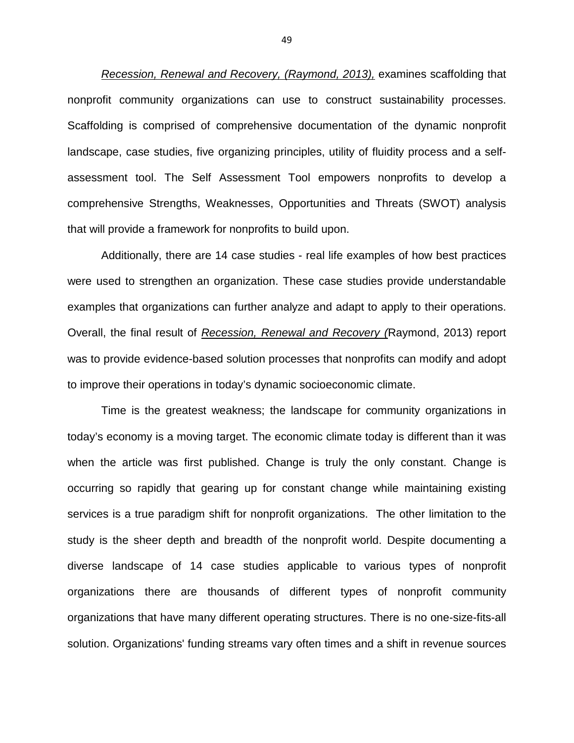Recession, Renewal and Recovery, (Raymond, 2013), examines scaffolding that nonprofit community organizations can use to construct sustainability processes. Scaffolding is comprised of comprehensive documentation of the dynamic nonprofit landscape, case studies, five organizing principles, utility of fluidity process and a selfassessment tool. The Self Assessment Tool empowers nonprofits to develop a comprehensive Strengths, Weaknesses, Opportunities and Threats (SWOT) analysis that will provide a framework for nonprofits to build upon.

Additionally, there are 14 case studies - real life examples of how best practices were used to strengthen an organization. These case studies provide understandable examples that organizations can further analyze and adapt to apply to their operations. Overall, the final result of Recession, Renewal and Recovery (Raymond, 2013) report was to provide evidence-based solution processes that nonprofits can modify and adopt to improve their operations in today's dynamic socioeconomic climate.

Time is the greatest weakness; the landscape for community organizations in today's economy is a moving target. The economic climate today is different than it was when the article was first published. Change is truly the only constant. Change is occurring so rapidly that gearing up for constant change while maintaining existing services is a true paradigm shift for nonprofit organizations. The other limitation to the study is the sheer depth and breadth of the nonprofit world. Despite documenting a diverse landscape of 14 case studies applicable to various types of nonprofit organizations there are thousands of different types of nonprofit community organizations that have many different operating structures. There is no one-size-fits-all solution. Organizations' funding streams vary often times and a shift in revenue sources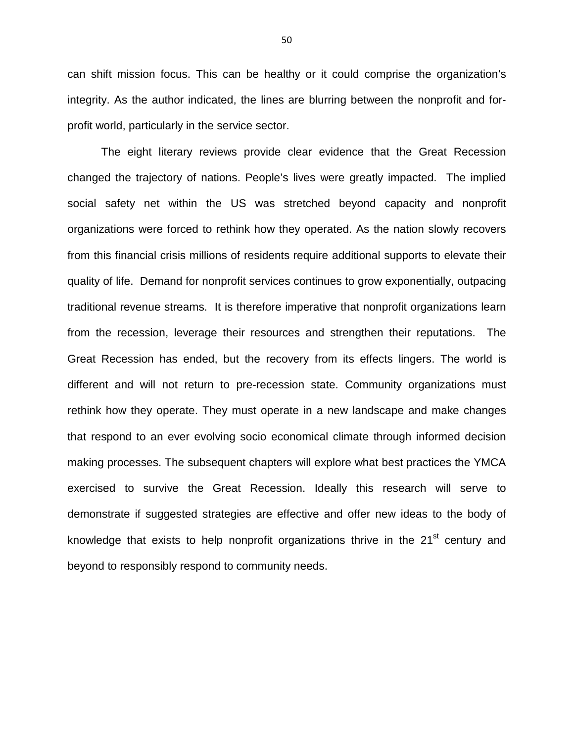can shift mission focus. This can be healthy or it could comprise the organization's integrity. As the author indicated, the lines are blurring between the nonprofit and forprofit world, particularly in the service sector.

The eight literary reviews provide clear evidence that the Great Recession changed the trajectory of nations. People's lives were greatly impacted. The implied social safety net within the US was stretched beyond capacity and nonprofit organizations were forced to rethink how they operated. As the nation slowly recovers from this financial crisis millions of residents require additional supports to elevate their quality of life. Demand for nonprofit services continues to grow exponentially, outpacing traditional revenue streams. It is therefore imperative that nonprofit organizations learn from the recession, leverage their resources and strengthen their reputations. The Great Recession has ended, but the recovery from its effects lingers. The world is different and will not return to pre-recession state. Community organizations must rethink how they operate. They must operate in a new landscape and make changes that respond to an ever evolving socio economical climate through informed decision making processes. The subsequent chapters will explore what best practices the YMCA exercised to survive the Great Recession. Ideally this research will serve to demonstrate if suggested strategies are effective and offer new ideas to the body of knowledge that exists to help nonprofit organizations thrive in the 21<sup>st</sup> century and beyond to responsibly respond to community needs.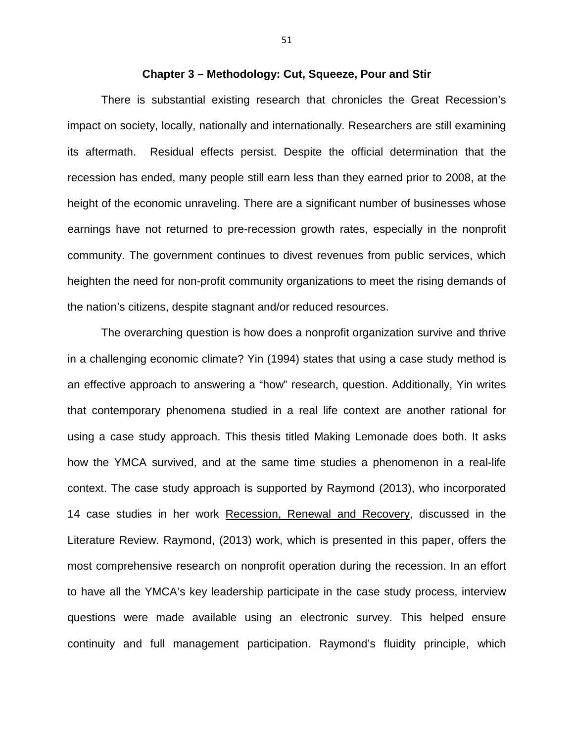#### **Chapter 3 – Methodology: Cut, Squeeze, Pour and Stir**

There is substantial existing research that chronicles the Great Recession's impact on society, locally, nationally and internationally. Researchers are still examining its aftermath. Residual effects persist. Despite the official determination that the recession has ended, many people still earn less than they earned prior to 2008, at the height of the economic unraveling. There are a significant number of businesses whose earnings have not returned to pre-recession growth rates, especially in the nonprofit community. The government continues to divest revenues from public services, which heighten the need for non-profit community organizations to meet the rising demands of the nation's citizens, despite stagnant and/or reduced resources.

The overarching question is how does a nonprofit organization survive and thrive in a challenging economic climate? Yin (1994) states that using a case study method is an effective approach to answering a "how" research, question. Additionally, Yin writes that contemporary phenomena studied in a real life context are another rational for using a case study approach. This thesis titled Making Lemonade does both. It asks how the YMCA survived, and at the same time studies a phenomenon in a real-life context. The case study approach is supported by Raymond (2013), who incorporated 14 case studies in her work Recession, Renewal and Recovery, discussed in the Literature Review. Raymond, (2013) work, which is presented in this paper, offers the most comprehensive research on nonprofit operation during the recession. In an effort to have all the YMCA's key leadership participate in the case study process, interview questions were made available using an electronic survey. This helped ensure continuity and full management participation. Raymond's fluidity principle, which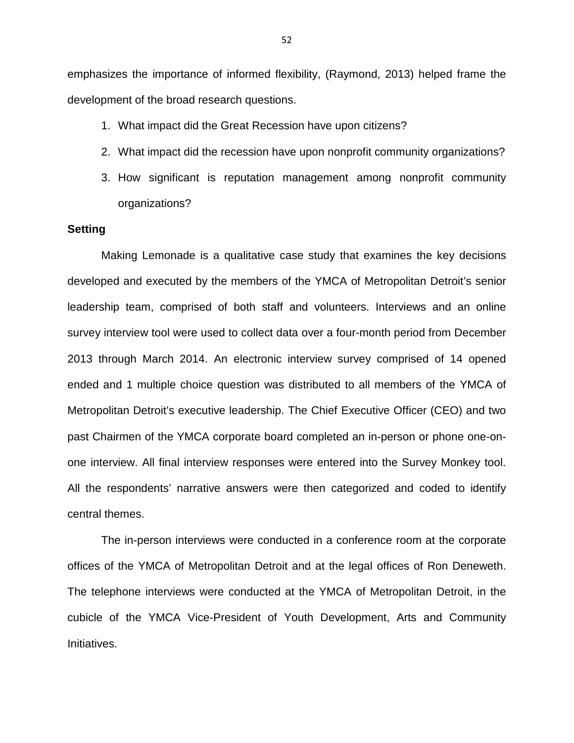emphasizes the importance of informed flexibility, (Raymond, 2013) helped frame the development of the broad research questions.

- 1. What impact did the Great Recession have upon citizens?
- 2. What impact did the recession have upon nonprofit community organizations?
- 3. How significant is reputation management among nonprofit community organizations?

# **Setting**

Making Lemonade is a qualitative case study that examines the key decisions developed and executed by the members of the YMCA of Metropolitan Detroit's senior leadership team, comprised of both staff and volunteers. Interviews and an online survey interview tool were used to collect data over a four-month period from December 2013 through March 2014. An electronic interview survey comprised of 14 opened ended and 1 multiple choice question was distributed to all members of the YMCA of Metropolitan Detroit's executive leadership. The Chief Executive Officer (CEO) and two past Chairmen of the YMCA corporate board completed an in-person or phone one-onone interview. All final interview responses were entered into the Survey Monkey tool. All the respondents' narrative answers were then categorized and coded to identify central themes.

The in-person interviews were conducted in a conference room at the corporate offices of the YMCA of Metropolitan Detroit and at the legal offices of Ron Deneweth. The telephone interviews were conducted at the YMCA of Metropolitan Detroit, in the cubicle of the YMCA Vice-President of Youth Development, Arts and Community Initiatives.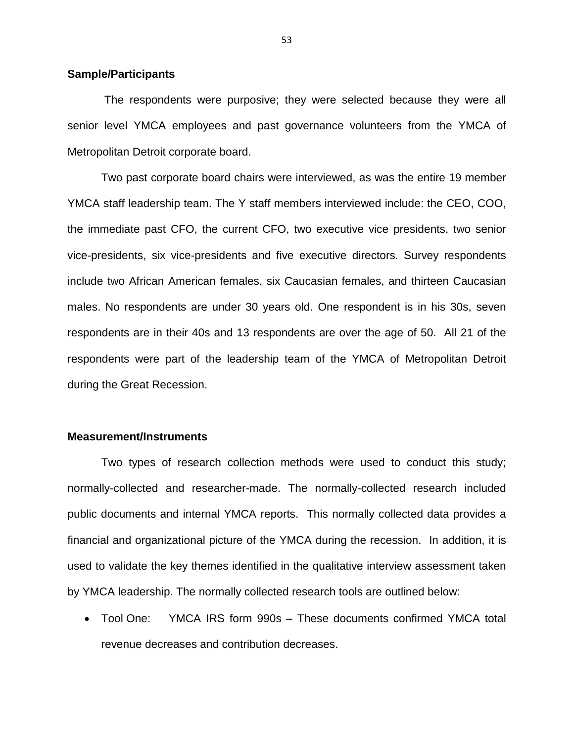# **Sample/Participants**

 The respondents were purposive; they were selected because they were all senior level YMCA employees and past governance volunteers from the YMCA of Metropolitan Detroit corporate board.

Two past corporate board chairs were interviewed, as was the entire 19 member YMCA staff leadership team. The Y staff members interviewed include: the CEO, COO, the immediate past CFO, the current CFO, two executive vice presidents, two senior vice-presidents, six vice-presidents and five executive directors. Survey respondents include two African American females, six Caucasian females, and thirteen Caucasian males. No respondents are under 30 years old. One respondent is in his 30s, seven respondents are in their 40s and 13 respondents are over the age of 50. All 21 of the respondents were part of the leadership team of the YMCA of Metropolitan Detroit during the Great Recession.

#### **Measurement/Instruments**

Two types of research collection methods were used to conduct this study; normally-collected and researcher-made. The normally-collected research included public documents and internal YMCA reports. This normally collected data provides a financial and organizational picture of the YMCA during the recession. In addition, it is used to validate the key themes identified in the qualitative interview assessment taken by YMCA leadership. The normally collected research tools are outlined below:

• Tool One: YMCA IRS form 990s – These documents confirmed YMCA total revenue decreases and contribution decreases.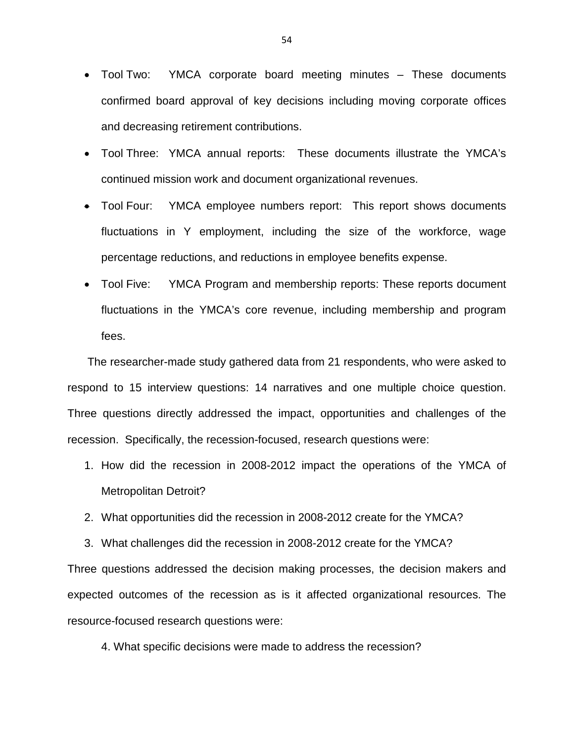- Tool Two: YMCA corporate board meeting minutes These documents confirmed board approval of key decisions including moving corporate offices and decreasing retirement contributions.
- Tool Three: YMCA annual reports: These documents illustrate the YMCA's continued mission work and document organizational revenues.
- Tool Four: YMCA employee numbers report: This report shows documents fluctuations in Y employment, including the size of the workforce, wage percentage reductions, and reductions in employee benefits expense.
- Tool Five: YMCA Program and membership reports: These reports document fluctuations in the YMCA's core revenue, including membership and program fees.

 The researcher-made study gathered data from 21 respondents, who were asked to respond to 15 interview questions: 14 narratives and one multiple choice question. Three questions directly addressed the impact, opportunities and challenges of the recession. Specifically, the recession-focused, research questions were:

- 1. How did the recession in 2008-2012 impact the operations of the YMCA of Metropolitan Detroit?
- 2. What opportunities did the recession in 2008-2012 create for the YMCA?
- 3. What challenges did the recession in 2008-2012 create for the YMCA?

Three questions addressed the decision making processes, the decision makers and expected outcomes of the recession as is it affected organizational resources. The resource-focused research questions were:

4. What specific decisions were made to address the recession?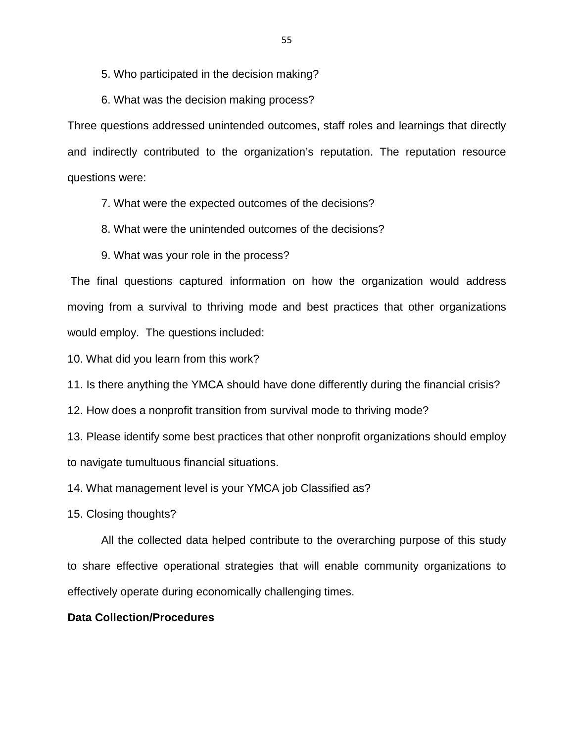5. Who participated in the decision making?

6. What was the decision making process?

Three questions addressed unintended outcomes, staff roles and learnings that directly and indirectly contributed to the organization's reputation. The reputation resource questions were:

7. What were the expected outcomes of the decisions?

8. What were the unintended outcomes of the decisions?

9. What was your role in the process?

 The final questions captured information on how the organization would address moving from a survival to thriving mode and best practices that other organizations would employ. The questions included:

10. What did you learn from this work?

11. Is there anything the YMCA should have done differently during the financial crisis?

12. How does a nonprofit transition from survival mode to thriving mode?

13. Please identify some best practices that other nonprofit organizations should employ to navigate tumultuous financial situations.

14. What management level is your YMCA job Classified as?

15. Closing thoughts?

All the collected data helped contribute to the overarching purpose of this study to share effective operational strategies that will enable community organizations to effectively operate during economically challenging times.

# **Data Collection/Procedures**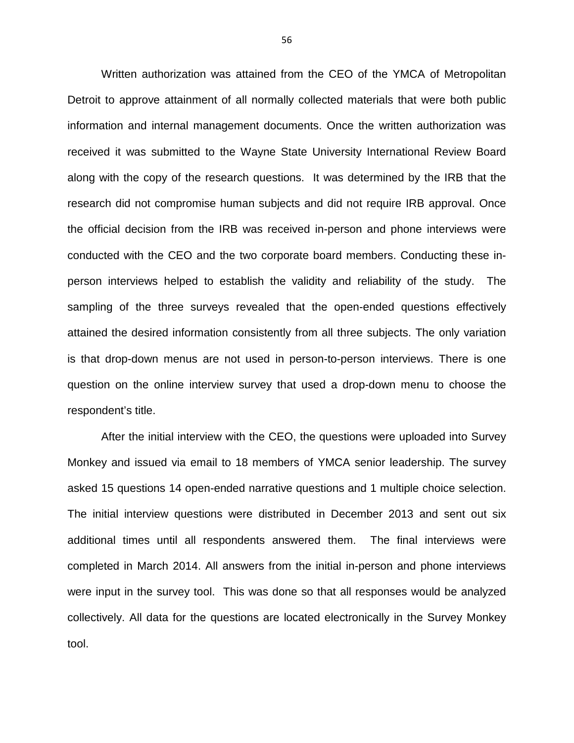Written authorization was attained from the CEO of the YMCA of Metropolitan Detroit to approve attainment of all normally collected materials that were both public information and internal management documents. Once the written authorization was received it was submitted to the Wayne State University International Review Board along with the copy of the research questions. It was determined by the IRB that the research did not compromise human subjects and did not require IRB approval. Once the official decision from the IRB was received in-person and phone interviews were conducted with the CEO and the two corporate board members. Conducting these inperson interviews helped to establish the validity and reliability of the study. The sampling of the three surveys revealed that the open-ended questions effectively attained the desired information consistently from all three subjects. The only variation is that drop-down menus are not used in person-to-person interviews. There is one question on the online interview survey that used a drop-down menu to choose the respondent's title.

 After the initial interview with the CEO, the questions were uploaded into Survey Monkey and issued via email to 18 members of YMCA senior leadership. The survey asked 15 questions 14 open-ended narrative questions and 1 multiple choice selection. The initial interview questions were distributed in December 2013 and sent out six additional times until all respondents answered them. The final interviews were completed in March 2014. All answers from the initial in-person and phone interviews were input in the survey tool. This was done so that all responses would be analyzed collectively. All data for the questions are located electronically in the Survey Monkey tool.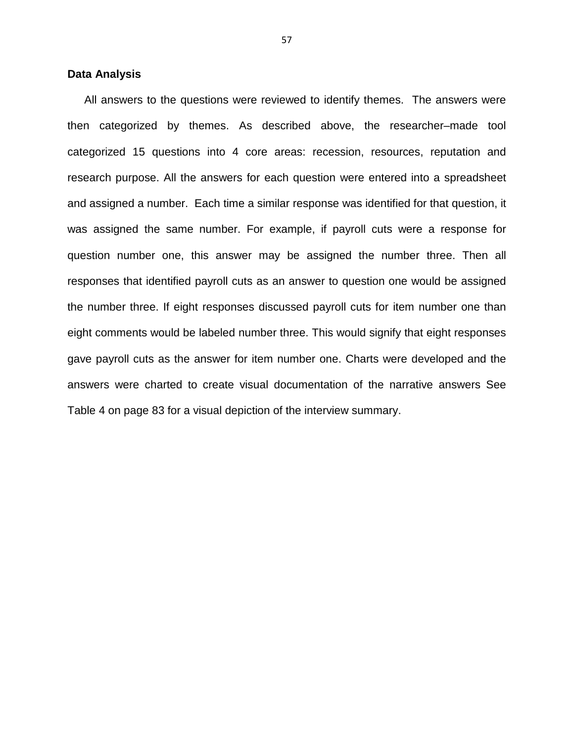### **Data Analysis**

All answers to the questions were reviewed to identify themes. The answers were then categorized by themes. As described above, the researcher–made tool categorized 15 questions into 4 core areas: recession, resources, reputation and research purpose. All the answers for each question were entered into a spreadsheet and assigned a number. Each time a similar response was identified for that question, it was assigned the same number. For example, if payroll cuts were a response for question number one, this answer may be assigned the number three. Then all responses that identified payroll cuts as an answer to question one would be assigned the number three. If eight responses discussed payroll cuts for item number one than eight comments would be labeled number three. This would signify that eight responses gave payroll cuts as the answer for item number one. Charts were developed and the answers were charted to create visual documentation of the narrative answers See Table 4 on page 83 for a visual depiction of the interview summary.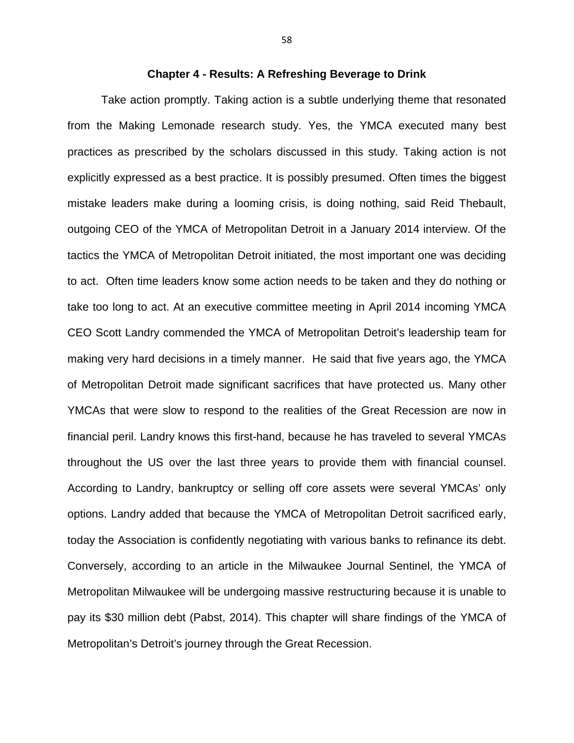### **Chapter 4 - Results: A Refreshing Beverage to Drink**

Take action promptly. Taking action is a subtle underlying theme that resonated from the Making Lemonade research study. Yes, the YMCA executed many best practices as prescribed by the scholars discussed in this study. Taking action is not explicitly expressed as a best practice. It is possibly presumed. Often times the biggest mistake leaders make during a looming crisis, is doing nothing, said Reid Thebault, outgoing CEO of the YMCA of Metropolitan Detroit in a January 2014 interview. Of the tactics the YMCA of Metropolitan Detroit initiated, the most important one was deciding to act. Often time leaders know some action needs to be taken and they do nothing or take too long to act. At an executive committee meeting in April 2014 incoming YMCA CEO Scott Landry commended the YMCA of Metropolitan Detroit's leadership team for making very hard decisions in a timely manner. He said that five years ago, the YMCA of Metropolitan Detroit made significant sacrifices that have protected us. Many other YMCAs that were slow to respond to the realities of the Great Recession are now in financial peril. Landry knows this first-hand, because he has traveled to several YMCAs throughout the US over the last three years to provide them with financial counsel. According to Landry, bankruptcy or selling off core assets were several YMCAs' only options. Landry added that because the YMCA of Metropolitan Detroit sacrificed early, today the Association is confidently negotiating with various banks to refinance its debt. Conversely, according to an article in the Milwaukee Journal Sentinel, the YMCA of Metropolitan Milwaukee will be undergoing massive restructuring because it is unable to pay its \$30 million debt (Pabst, 2014). This chapter will share findings of the YMCA of Metropolitan's Detroit's journey through the Great Recession.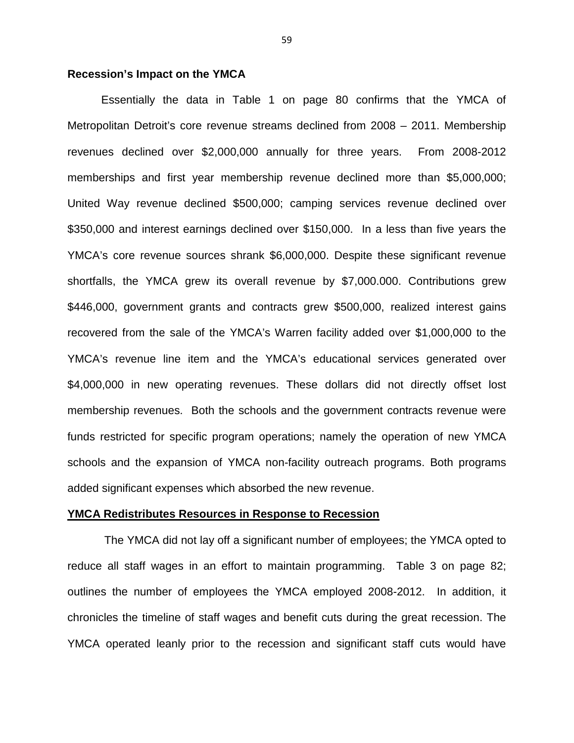# **Recession's Impact on the YMCA**

Essentially the data in Table 1 on page 80 confirms that the YMCA of Metropolitan Detroit's core revenue streams declined from 2008 – 2011. Membership revenues declined over \$2,000,000 annually for three years. From 2008-2012 memberships and first year membership revenue declined more than \$5,000,000; United Way revenue declined \$500,000; camping services revenue declined over \$350,000 and interest earnings declined over \$150,000. In a less than five years the YMCA's core revenue sources shrank \$6,000,000. Despite these significant revenue shortfalls, the YMCA grew its overall revenue by \$7,000.000. Contributions grew \$446,000, government grants and contracts grew \$500,000, realized interest gains recovered from the sale of the YMCA's Warren facility added over \$1,000,000 to the YMCA's revenue line item and the YMCA's educational services generated over \$4,000,000 in new operating revenues. These dollars did not directly offset lost membership revenues. Both the schools and the government contracts revenue were funds restricted for specific program operations; namely the operation of new YMCA schools and the expansion of YMCA non-facility outreach programs. Both programs added significant expenses which absorbed the new revenue.

#### **YMCA Redistributes Resources in Response to Recession**

 The YMCA did not lay off a significant number of employees; the YMCA opted to reduce all staff wages in an effort to maintain programming. Table 3 on page 82; outlines the number of employees the YMCA employed 2008-2012. In addition, it chronicles the timeline of staff wages and benefit cuts during the great recession. The YMCA operated leanly prior to the recession and significant staff cuts would have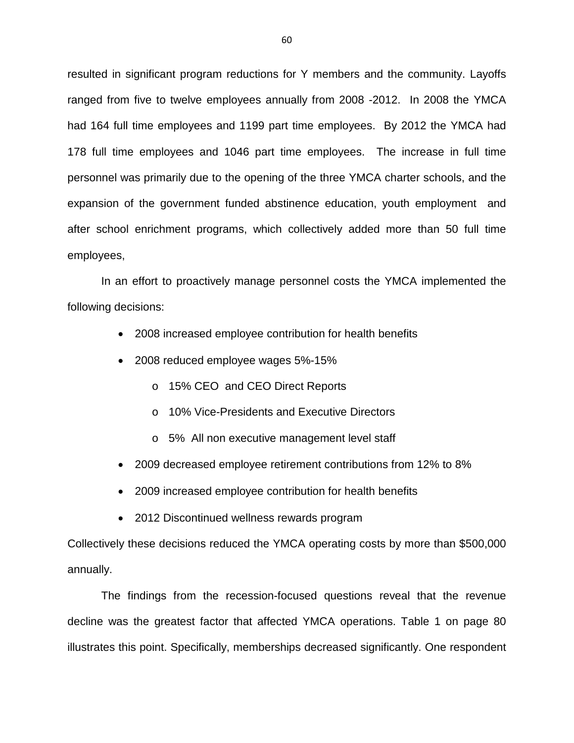resulted in significant program reductions for Y members and the community. Layoffs ranged from five to twelve employees annually from 2008 -2012. In 2008 the YMCA had 164 full time employees and 1199 part time employees. By 2012 the YMCA had 178 full time employees and 1046 part time employees. The increase in full time personnel was primarily due to the opening of the three YMCA charter schools, and the expansion of the government funded abstinence education, youth employment and after school enrichment programs, which collectively added more than 50 full time employees,

In an effort to proactively manage personnel costs the YMCA implemented the following decisions:

- 2008 increased employee contribution for health benefits
- 2008 reduced employee wages 5%-15%
	- o 15% CEO and CEO Direct Reports
	- o 10% Vice-Presidents and Executive Directors
	- o 5% All non executive management level staff
- 2009 decreased employee retirement contributions from 12% to 8%
- 2009 increased employee contribution for health benefits
- 2012 Discontinued wellness rewards program

Collectively these decisions reduced the YMCA operating costs by more than \$500,000 annually.

 The findings from the recession-focused questions reveal that the revenue decline was the greatest factor that affected YMCA operations. Table 1 on page 80 illustrates this point. Specifically, memberships decreased significantly. One respondent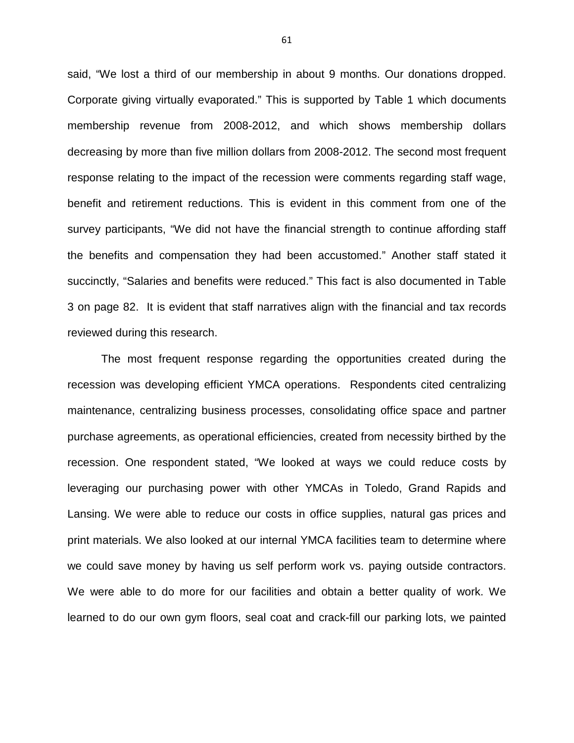said, "We lost a third of our membership in about 9 months. Our donations dropped. Corporate giving virtually evaporated." This is supported by Table 1 which documents membership revenue from 2008-2012, and which shows membership dollars decreasing by more than five million dollars from 2008-2012. The second most frequent response relating to the impact of the recession were comments regarding staff wage, benefit and retirement reductions. This is evident in this comment from one of the survey participants, "We did not have the financial strength to continue affording staff the benefits and compensation they had been accustomed." Another staff stated it succinctly, "Salaries and benefits were reduced." This fact is also documented in Table 3 on page 82. It is evident that staff narratives align with the financial and tax records reviewed during this research.

The most frequent response regarding the opportunities created during the recession was developing efficient YMCA operations. Respondents cited centralizing maintenance, centralizing business processes, consolidating office space and partner purchase agreements, as operational efficiencies, created from necessity birthed by the recession. One respondent stated, "We looked at ways we could reduce costs by leveraging our purchasing power with other YMCAs in Toledo, Grand Rapids and Lansing. We were able to reduce our costs in office supplies, natural gas prices and print materials. We also looked at our internal YMCA facilities team to determine where we could save money by having us self perform work vs. paying outside contractors. We were able to do more for our facilities and obtain a better quality of work. We learned to do our own gym floors, seal coat and crack-fill our parking lots, we painted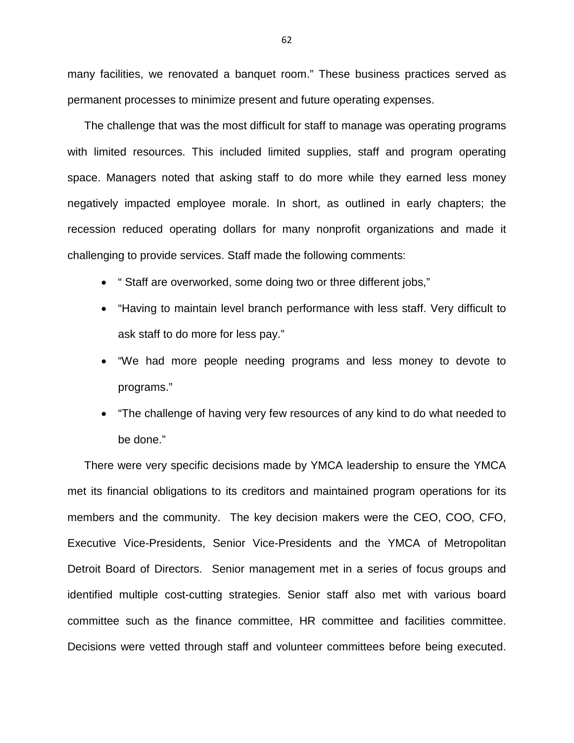many facilities, we renovated a banquet room." These business practices served as permanent processes to minimize present and future operating expenses.

The challenge that was the most difficult for staff to manage was operating programs with limited resources. This included limited supplies, staff and program operating space. Managers noted that asking staff to do more while they earned less money negatively impacted employee morale. In short, as outlined in early chapters; the recession reduced operating dollars for many nonprofit organizations and made it challenging to provide services. Staff made the following comments:

- " Staff are overworked, some doing two or three different jobs,"
- "Having to maintain level branch performance with less staff. Very difficult to ask staff to do more for less pay."
- "We had more people needing programs and less money to devote to programs."
- "The challenge of having very few resources of any kind to do what needed to be done."

There were very specific decisions made by YMCA leadership to ensure the YMCA met its financial obligations to its creditors and maintained program operations for its members and the community. The key decision makers were the CEO, COO, CFO, Executive Vice-Presidents, Senior Vice-Presidents and the YMCA of Metropolitan Detroit Board of Directors. Senior management met in a series of focus groups and identified multiple cost-cutting strategies. Senior staff also met with various board committee such as the finance committee, HR committee and facilities committee. Decisions were vetted through staff and volunteer committees before being executed.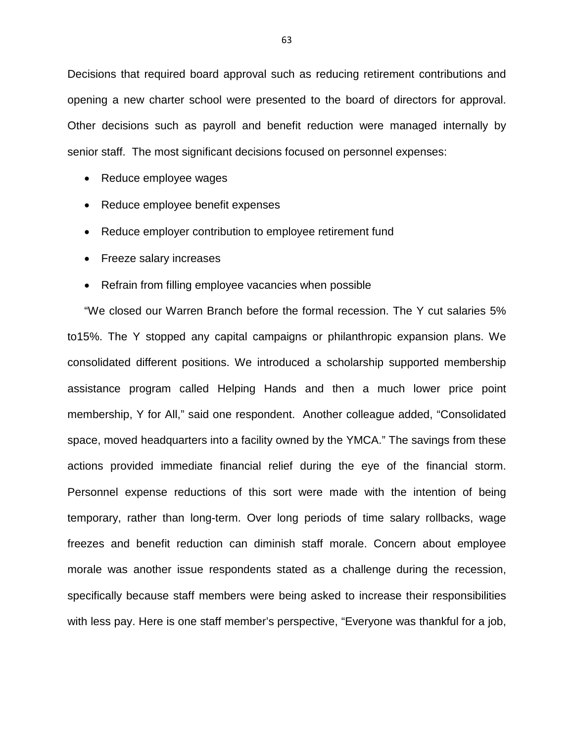Decisions that required board approval such as reducing retirement contributions and opening a new charter school were presented to the board of directors for approval. Other decisions such as payroll and benefit reduction were managed internally by senior staff. The most significant decisions focused on personnel expenses:

- Reduce employee wages
- Reduce employee benefit expenses
- Reduce employer contribution to employee retirement fund
- Freeze salary increases
- Refrain from filling employee vacancies when possible

"We closed our Warren Branch before the formal recession. The Y cut salaries 5% to15%. The Y stopped any capital campaigns or philanthropic expansion plans. We consolidated different positions. We introduced a scholarship supported membership assistance program called Helping Hands and then a much lower price point membership, Y for All," said one respondent. Another colleague added, "Consolidated space, moved headquarters into a facility owned by the YMCA." The savings from these actions provided immediate financial relief during the eye of the financial storm. Personnel expense reductions of this sort were made with the intention of being temporary, rather than long-term. Over long periods of time salary rollbacks, wage freezes and benefit reduction can diminish staff morale. Concern about employee morale was another issue respondents stated as a challenge during the recession, specifically because staff members were being asked to increase their responsibilities with less pay. Here is one staff member's perspective, "Everyone was thankful for a job,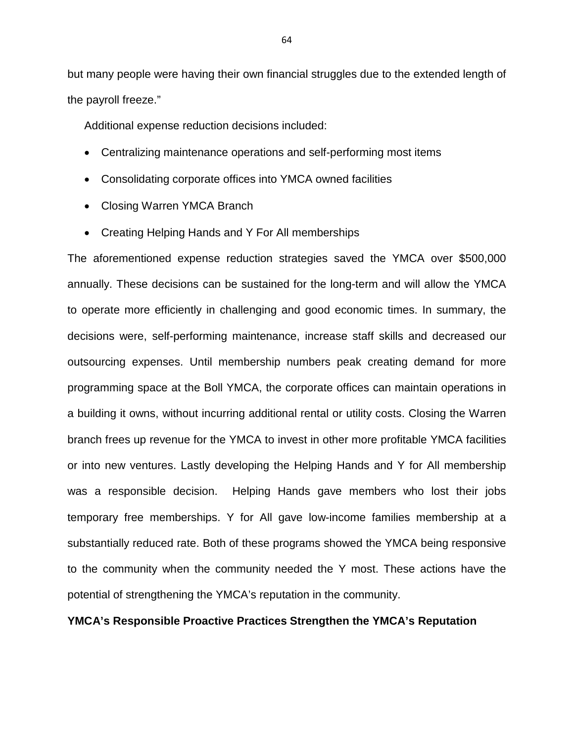but many people were having their own financial struggles due to the extended length of the payroll freeze."

Additional expense reduction decisions included:

- Centralizing maintenance operations and self-performing most items
- Consolidating corporate offices into YMCA owned facilities
- Closing Warren YMCA Branch
- Creating Helping Hands and Y For All memberships

The aforementioned expense reduction strategies saved the YMCA over \$500,000 annually. These decisions can be sustained for the long-term and will allow the YMCA to operate more efficiently in challenging and good economic times. In summary, the decisions were, self-performing maintenance, increase staff skills and decreased our outsourcing expenses. Until membership numbers peak creating demand for more programming space at the Boll YMCA, the corporate offices can maintain operations in a building it owns, without incurring additional rental or utility costs. Closing the Warren branch frees up revenue for the YMCA to invest in other more profitable YMCA facilities or into new ventures. Lastly developing the Helping Hands and Y for All membership was a responsible decision. Helping Hands gave members who lost their jobs temporary free memberships. Y for All gave low-income families membership at a substantially reduced rate. Both of these programs showed the YMCA being responsive to the community when the community needed the Y most. These actions have the potential of strengthening the YMCA's reputation in the community.

# **YMCA's Responsible Proactive Practices Strengthen the YMCA's Reputation**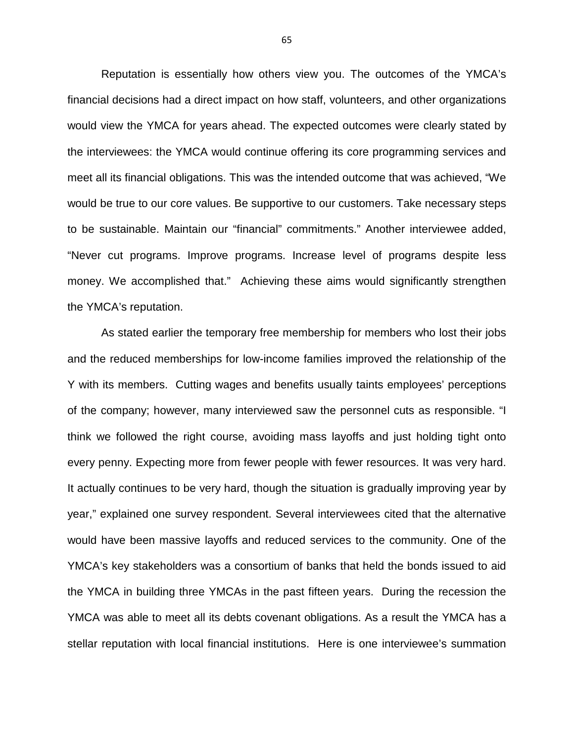Reputation is essentially how others view you. The outcomes of the YMCA's financial decisions had a direct impact on how staff, volunteers, and other organizations would view the YMCA for years ahead. The expected outcomes were clearly stated by the interviewees: the YMCA would continue offering its core programming services and meet all its financial obligations. This was the intended outcome that was achieved, "We would be true to our core values. Be supportive to our customers. Take necessary steps to be sustainable. Maintain our "financial" commitments." Another interviewee added, "Never cut programs. Improve programs. Increase level of programs despite less money. We accomplished that." Achieving these aims would significantly strengthen the YMCA's reputation.

As stated earlier the temporary free membership for members who lost their jobs and the reduced memberships for low-income families improved the relationship of the Y with its members. Cutting wages and benefits usually taints employees' perceptions of the company; however, many interviewed saw the personnel cuts as responsible. "I think we followed the right course, avoiding mass layoffs and just holding tight onto every penny. Expecting more from fewer people with fewer resources. It was very hard. It actually continues to be very hard, though the situation is gradually improving year by year," explained one survey respondent. Several interviewees cited that the alternative would have been massive layoffs and reduced services to the community. One of the YMCA's key stakeholders was a consortium of banks that held the bonds issued to aid the YMCA in building three YMCAs in the past fifteen years. During the recession the YMCA was able to meet all its debts covenant obligations. As a result the YMCA has a stellar reputation with local financial institutions. Here is one interviewee's summation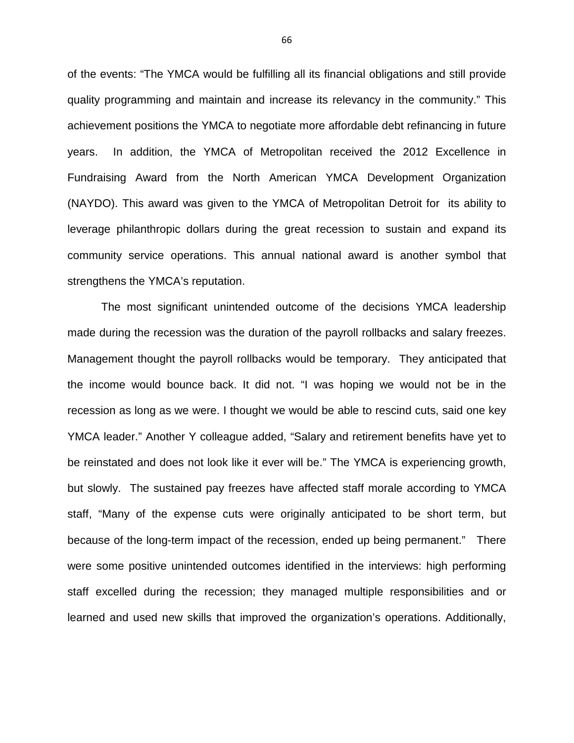of the events: "The YMCA would be fulfilling all its financial obligations and still provide quality programming and maintain and increase its relevancy in the community." This achievement positions the YMCA to negotiate more affordable debt refinancing in future years. In addition, the YMCA of Metropolitan received the 2012 Excellence in Fundraising Award from the North American YMCA Development Organization (NAYDO). This award was given to the YMCA of Metropolitan Detroit for its ability to leverage philanthropic dollars during the great recession to sustain and expand its community service operations. This annual national award is another symbol that strengthens the YMCA's reputation.

The most significant unintended outcome of the decisions YMCA leadership made during the recession was the duration of the payroll rollbacks and salary freezes. Management thought the payroll rollbacks would be temporary. They anticipated that the income would bounce back. It did not. "I was hoping we would not be in the recession as long as we were. I thought we would be able to rescind cuts, said one key YMCA leader." Another Y colleague added, "Salary and retirement benefits have yet to be reinstated and does not look like it ever will be." The YMCA is experiencing growth, but slowly. The sustained pay freezes have affected staff morale according to YMCA staff, "Many of the expense cuts were originally anticipated to be short term, but because of the long-term impact of the recession, ended up being permanent." There were some positive unintended outcomes identified in the interviews: high performing staff excelled during the recession; they managed multiple responsibilities and or learned and used new skills that improved the organization's operations. Additionally,

66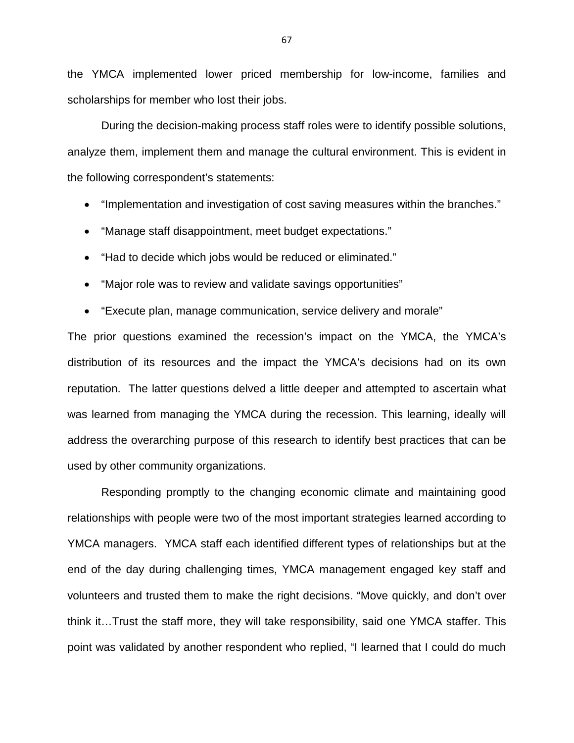the YMCA implemented lower priced membership for low-income, families and scholarships for member who lost their jobs.

During the decision-making process staff roles were to identify possible solutions, analyze them, implement them and manage the cultural environment. This is evident in the following correspondent's statements:

- "Implementation and investigation of cost saving measures within the branches."
- "Manage staff disappointment, meet budget expectations."
- "Had to decide which jobs would be reduced or eliminated."
- "Major role was to review and validate savings opportunities"
- "Execute plan, manage communication, service delivery and morale"

The prior questions examined the recession's impact on the YMCA, the YMCA's distribution of its resources and the impact the YMCA's decisions had on its own reputation. The latter questions delved a little deeper and attempted to ascertain what was learned from managing the YMCA during the recession. This learning, ideally will address the overarching purpose of this research to identify best practices that can be used by other community organizations.

Responding promptly to the changing economic climate and maintaining good relationships with people were two of the most important strategies learned according to YMCA managers. YMCA staff each identified different types of relationships but at the end of the day during challenging times, YMCA management engaged key staff and volunteers and trusted them to make the right decisions. "Move quickly, and don't over think it…Trust the staff more, they will take responsibility, said one YMCA staffer. This point was validated by another respondent who replied, "I learned that I could do much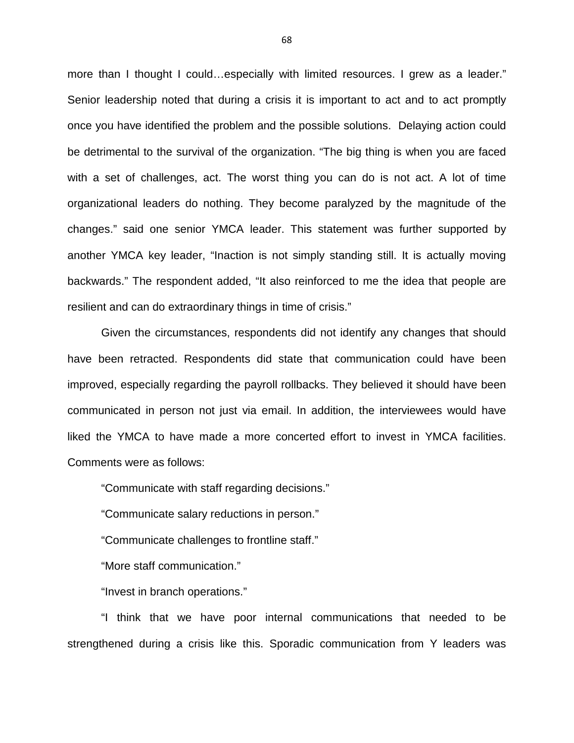more than I thought I could…especially with limited resources. I grew as a leader." Senior leadership noted that during a crisis it is important to act and to act promptly once you have identified the problem and the possible solutions. Delaying action could be detrimental to the survival of the organization. "The big thing is when you are faced with a set of challenges, act. The worst thing you can do is not act. A lot of time organizational leaders do nothing. They become paralyzed by the magnitude of the changes." said one senior YMCA leader. This statement was further supported by another YMCA key leader, "Inaction is not simply standing still. It is actually moving backwards." The respondent added, "It also reinforced to me the idea that people are resilient and can do extraordinary things in time of crisis."

Given the circumstances, respondents did not identify any changes that should have been retracted. Respondents did state that communication could have been improved, especially regarding the payroll rollbacks. They believed it should have been communicated in person not just via email. In addition, the interviewees would have liked the YMCA to have made a more concerted effort to invest in YMCA facilities. Comments were as follows:

"Communicate with staff regarding decisions."

"Communicate salary reductions in person."

"Communicate challenges to frontline staff."

"More staff communication."

"Invest in branch operations."

"I think that we have poor internal communications that needed to be strengthened during a crisis like this. Sporadic communication from Y leaders was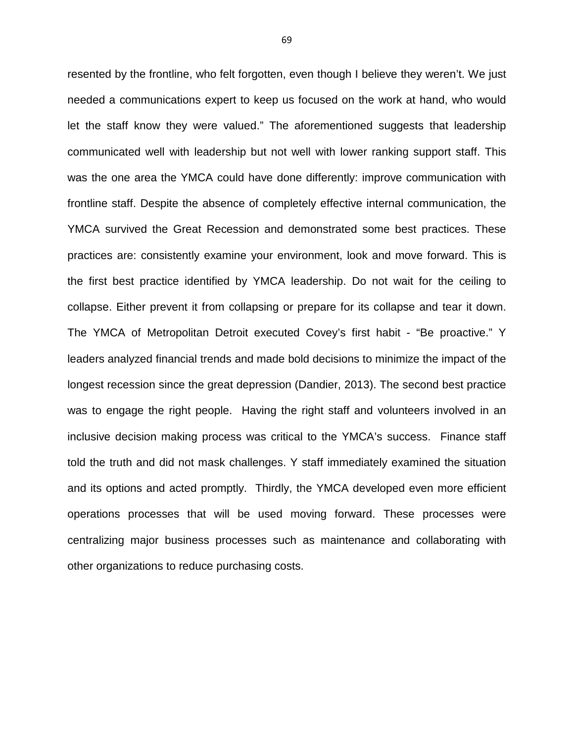resented by the frontline, who felt forgotten, even though I believe they weren't. We just needed a communications expert to keep us focused on the work at hand, who would let the staff know they were valued." The aforementioned suggests that leadership communicated well with leadership but not well with lower ranking support staff. This was the one area the YMCA could have done differently: improve communication with frontline staff. Despite the absence of completely effective internal communication, the YMCA survived the Great Recession and demonstrated some best practices. These practices are: consistently examine your environment, look and move forward. This is the first best practice identified by YMCA leadership. Do not wait for the ceiling to collapse. Either prevent it from collapsing or prepare for its collapse and tear it down. The YMCA of Metropolitan Detroit executed Covey's first habit - "Be proactive." Y leaders analyzed financial trends and made bold decisions to minimize the impact of the longest recession since the great depression (Dandier, 2013). The second best practice was to engage the right people. Having the right staff and volunteers involved in an inclusive decision making process was critical to the YMCA's success. Finance staff told the truth and did not mask challenges. Y staff immediately examined the situation and its options and acted promptly. Thirdly, the YMCA developed even more efficient operations processes that will be used moving forward. These processes were centralizing major business processes such as maintenance and collaborating with other organizations to reduce purchasing costs.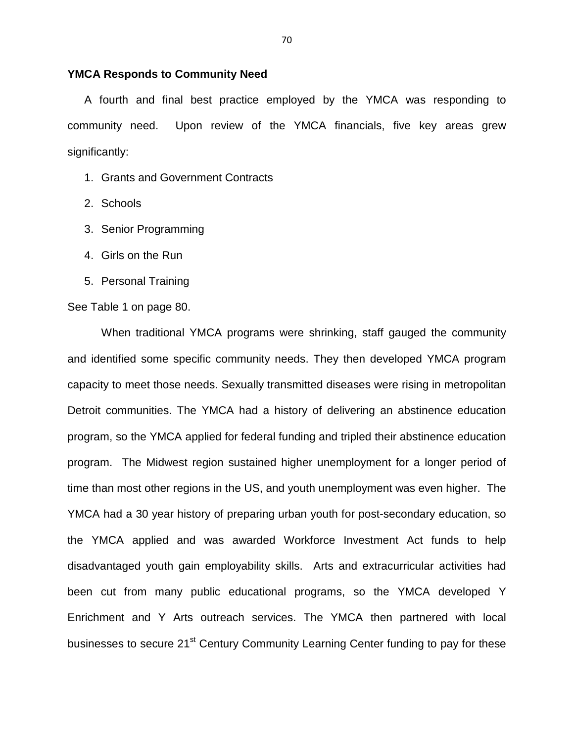#### **YMCA Responds to Community Need**

A fourth and final best practice employed by the YMCA was responding to community need. Upon review of the YMCA financials, five key areas grew significantly:

- 1. Grants and Government Contracts
- 2. Schools
- 3. Senior Programming
- 4. Girls on the Run
- 5. Personal Training

#### See Table 1 on page 80.

When traditional YMCA programs were shrinking, staff gauged the community and identified some specific community needs. They then developed YMCA program capacity to meet those needs. Sexually transmitted diseases were rising in metropolitan Detroit communities. The YMCA had a history of delivering an abstinence education program, so the YMCA applied for federal funding and tripled their abstinence education program. The Midwest region sustained higher unemployment for a longer period of time than most other regions in the US, and youth unemployment was even higher. The YMCA had a 30 year history of preparing urban youth for post-secondary education, so the YMCA applied and was awarded Workforce Investment Act funds to help disadvantaged youth gain employability skills. Arts and extracurricular activities had been cut from many public educational programs, so the YMCA developed Y Enrichment and Y Arts outreach services. The YMCA then partnered with local businesses to secure 21<sup>st</sup> Century Community Learning Center funding to pay for these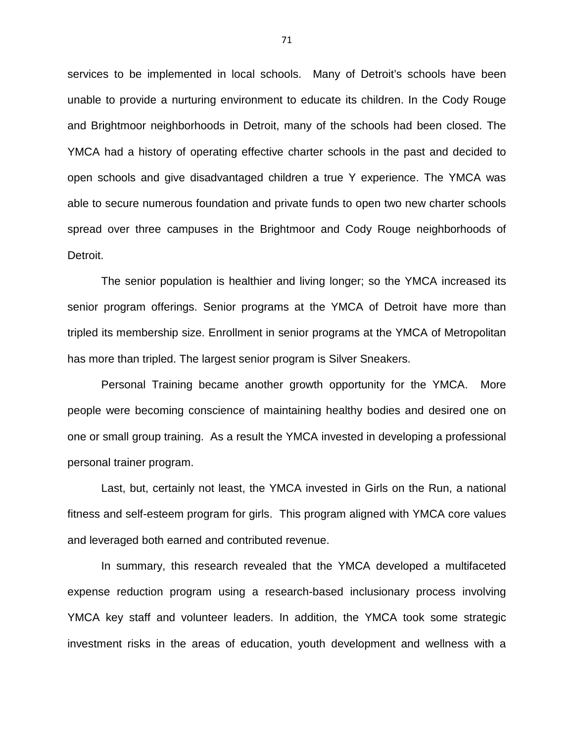services to be implemented in local schools. Many of Detroit's schools have been unable to provide a nurturing environment to educate its children. In the Cody Rouge and Brightmoor neighborhoods in Detroit, many of the schools had been closed. The YMCA had a history of operating effective charter schools in the past and decided to open schools and give disadvantaged children a true Y experience. The YMCA was able to secure numerous foundation and private funds to open two new charter schools spread over three campuses in the Brightmoor and Cody Rouge neighborhoods of Detroit.

 The senior population is healthier and living longer; so the YMCA increased its senior program offerings. Senior programs at the YMCA of Detroit have more than tripled its membership size. Enrollment in senior programs at the YMCA of Metropolitan has more than tripled. The largest senior program is Silver Sneakers.

 Personal Training became another growth opportunity for the YMCA. More people were becoming conscience of maintaining healthy bodies and desired one on one or small group training. As a result the YMCA invested in developing a professional personal trainer program.

 Last, but, certainly not least, the YMCA invested in Girls on the Run, a national fitness and self-esteem program for girls. This program aligned with YMCA core values and leveraged both earned and contributed revenue.

 In summary, this research revealed that the YMCA developed a multifaceted expense reduction program using a research-based inclusionary process involving YMCA key staff and volunteer leaders. In addition, the YMCA took some strategic investment risks in the areas of education, youth development and wellness with a

71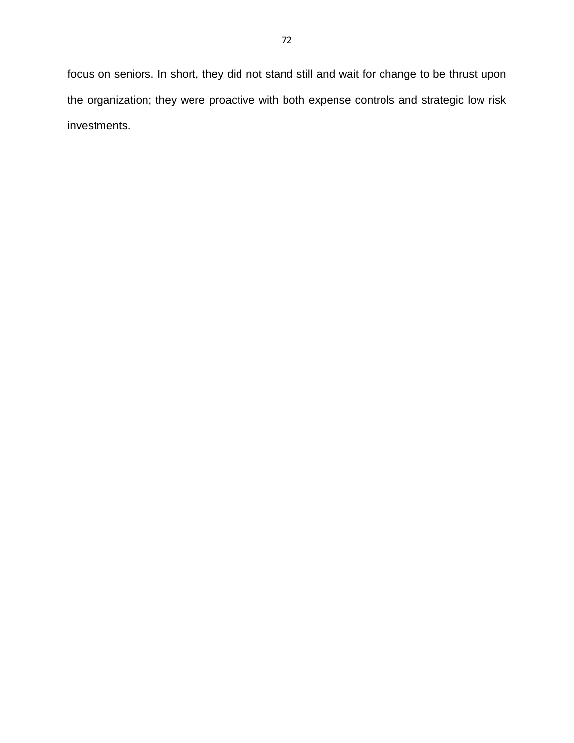72

focus on seniors. In short, they did not stand still and wait for change to be thrust upon the organization; they were proactive with both expense controls and strategic low risk investments.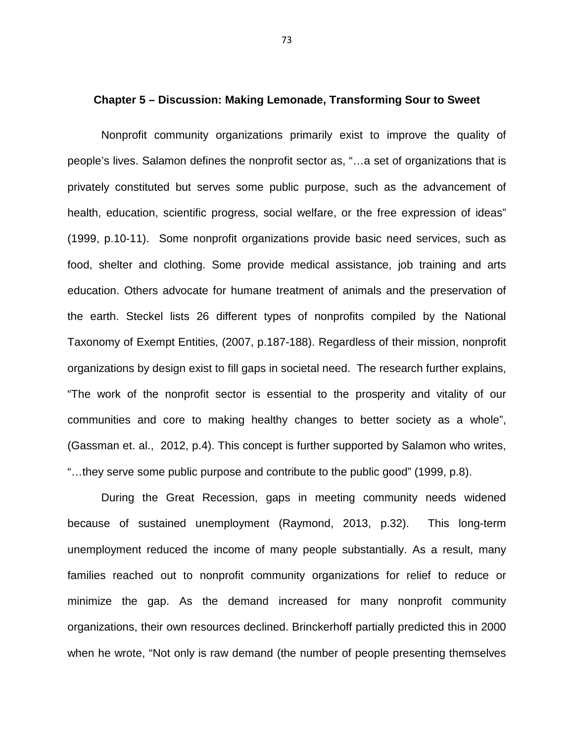#### **Chapter 5 – Discussion: Making Lemonade, Transforming Sour to Sweet**

Nonprofit community organizations primarily exist to improve the quality of people's lives. Salamon defines the nonprofit sector as, "…a set of organizations that is privately constituted but serves some public purpose, such as the advancement of health, education, scientific progress, social welfare, or the free expression of ideas" (1999, p.10-11). Some nonprofit organizations provide basic need services, such as food, shelter and clothing. Some provide medical assistance, job training and arts education. Others advocate for humane treatment of animals and the preservation of the earth. Steckel lists 26 different types of nonprofits compiled by the National Taxonomy of Exempt Entities, (2007, p.187-188). Regardless of their mission, nonprofit organizations by design exist to fill gaps in societal need. The research further explains, "The work of the nonprofit sector is essential to the prosperity and vitality of our communities and core to making healthy changes to better society as a whole", (Gassman et. al., 2012, p.4). This concept is further supported by Salamon who writes, "…they serve some public purpose and contribute to the public good" (1999, p.8).

During the Great Recession, gaps in meeting community needs widened because of sustained unemployment (Raymond, 2013, p.32). This long-term unemployment reduced the income of many people substantially. As a result, many families reached out to nonprofit community organizations for relief to reduce or minimize the gap. As the demand increased for many nonprofit community organizations, their own resources declined. Brinckerhoff partially predicted this in 2000 when he wrote, "Not only is raw demand (the number of people presenting themselves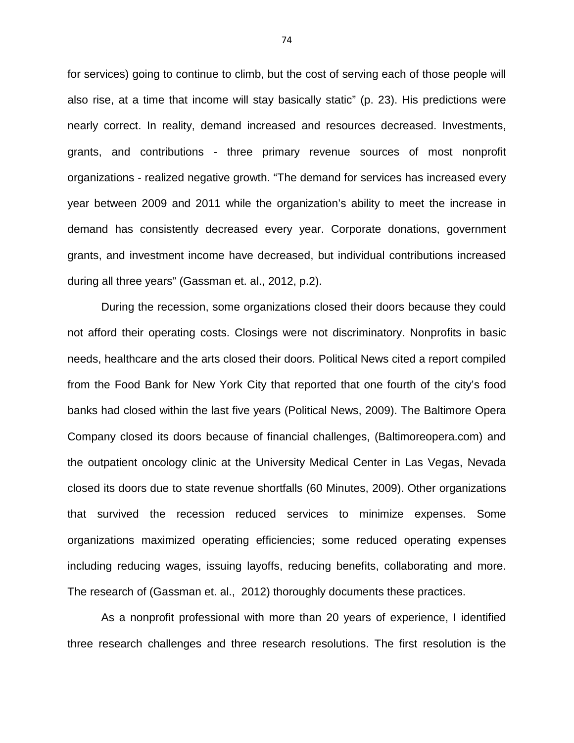for services) going to continue to climb, but the cost of serving each of those people will also rise, at a time that income will stay basically static" (p. 23). His predictions were nearly correct. In reality, demand increased and resources decreased. Investments, grants, and contributions - three primary revenue sources of most nonprofit organizations - realized negative growth. "The demand for services has increased every year between 2009 and 2011 while the organization's ability to meet the increase in demand has consistently decreased every year. Corporate donations, government grants, and investment income have decreased, but individual contributions increased during all three years" (Gassman et. al., 2012, p.2).

During the recession, some organizations closed their doors because they could not afford their operating costs. Closings were not discriminatory. Nonprofits in basic needs, healthcare and the arts closed their doors. Political News cited a report compiled from the Food Bank for New York City that reported that one fourth of the city's food banks had closed within the last five years (Political News, 2009). The Baltimore Opera Company closed its doors because of financial challenges, (Baltimoreopera.com) and the outpatient oncology clinic at the University Medical Center in Las Vegas, Nevada closed its doors due to state revenue shortfalls (60 Minutes, 2009). Other organizations that survived the recession reduced services to minimize expenses. Some organizations maximized operating efficiencies; some reduced operating expenses including reducing wages, issuing layoffs, reducing benefits, collaborating and more. The research of (Gassman et. al., 2012) thoroughly documents these practices.

As a nonprofit professional with more than 20 years of experience, I identified three research challenges and three research resolutions. The first resolution is the

74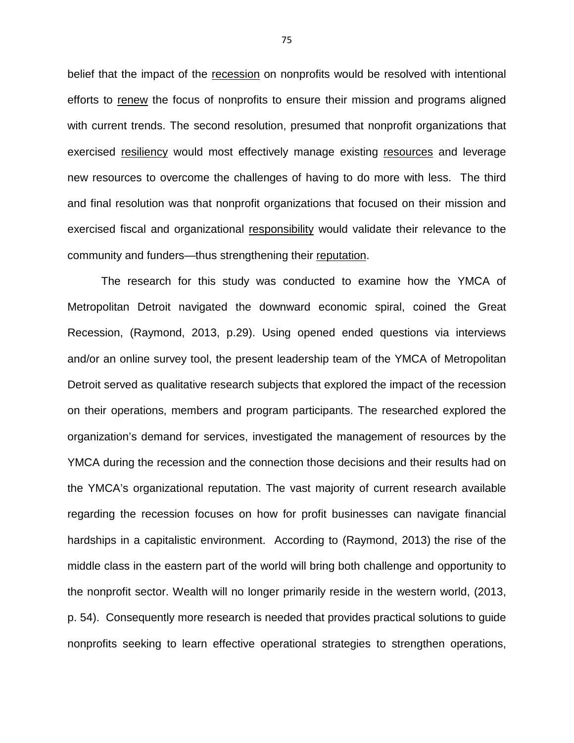belief that the impact of the recession on nonprofits would be resolved with intentional efforts to renew the focus of nonprofits to ensure their mission and programs aligned with current trends. The second resolution, presumed that nonprofit organizations that exercised resiliency would most effectively manage existing resources and leverage new resources to overcome the challenges of having to do more with less. The third and final resolution was that nonprofit organizations that focused on their mission and exercised fiscal and organizational responsibility would validate their relevance to the community and funders—thus strengthening their reputation.

The research for this study was conducted to examine how the YMCA of Metropolitan Detroit navigated the downward economic spiral, coined the Great Recession, (Raymond, 2013, p.29). Using opened ended questions via interviews and/or an online survey tool, the present leadership team of the YMCA of Metropolitan Detroit served as qualitative research subjects that explored the impact of the recession on their operations, members and program participants. The researched explored the organization's demand for services, investigated the management of resources by the YMCA during the recession and the connection those decisions and their results had on the YMCA's organizational reputation. The vast majority of current research available regarding the recession focuses on how for profit businesses can navigate financial hardships in a capitalistic environment. According to (Raymond, 2013) the rise of the middle class in the eastern part of the world will bring both challenge and opportunity to the nonprofit sector. Wealth will no longer primarily reside in the western world, (2013, p. 54). Consequently more research is needed that provides practical solutions to guide nonprofits seeking to learn effective operational strategies to strengthen operations,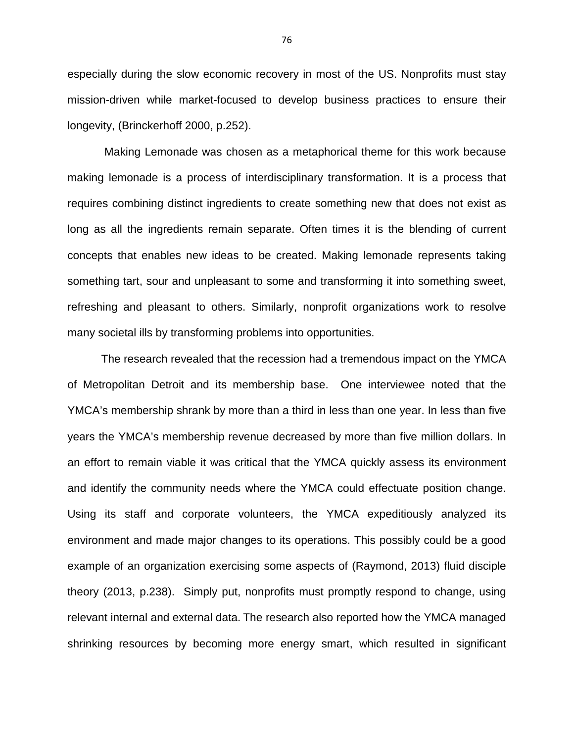especially during the slow economic recovery in most of the US. Nonprofits must stay mission-driven while market-focused to develop business practices to ensure their longevity, (Brinckerhoff 2000, p.252).

 Making Lemonade was chosen as a metaphorical theme for this work because making lemonade is a process of interdisciplinary transformation. It is a process that requires combining distinct ingredients to create something new that does not exist as long as all the ingredients remain separate. Often times it is the blending of current concepts that enables new ideas to be created. Making lemonade represents taking something tart, sour and unpleasant to some and transforming it into something sweet, refreshing and pleasant to others. Similarly, nonprofit organizations work to resolve many societal ills by transforming problems into opportunities.

 The research revealed that the recession had a tremendous impact on the YMCA of Metropolitan Detroit and its membership base. One interviewee noted that the YMCA's membership shrank by more than a third in less than one year. In less than five years the YMCA's membership revenue decreased by more than five million dollars. In an effort to remain viable it was critical that the YMCA quickly assess its environment and identify the community needs where the YMCA could effectuate position change. Using its staff and corporate volunteers, the YMCA expeditiously analyzed its environment and made major changes to its operations. This possibly could be a good example of an organization exercising some aspects of (Raymond, 2013) fluid disciple theory (2013, p.238). Simply put, nonprofits must promptly respond to change, using relevant internal and external data. The research also reported how the YMCA managed shrinking resources by becoming more energy smart, which resulted in significant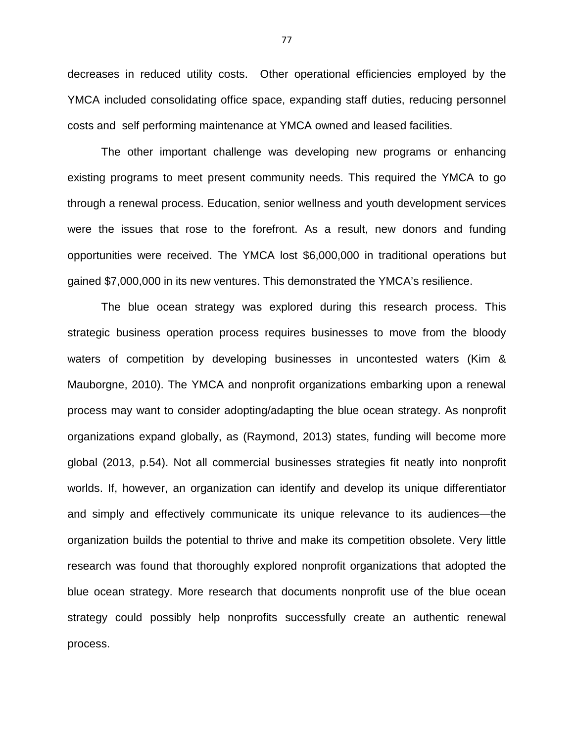decreases in reduced utility costs. Other operational efficiencies employed by the YMCA included consolidating office space, expanding staff duties, reducing personnel costs and self performing maintenance at YMCA owned and leased facilities.

The other important challenge was developing new programs or enhancing existing programs to meet present community needs. This required the YMCA to go through a renewal process. Education, senior wellness and youth development services were the issues that rose to the forefront. As a result, new donors and funding opportunities were received. The YMCA lost \$6,000,000 in traditional operations but gained \$7,000,000 in its new ventures. This demonstrated the YMCA's resilience.

The blue ocean strategy was explored during this research process. This strategic business operation process requires businesses to move from the bloody waters of competition by developing businesses in uncontested waters (Kim & Mauborgne, 2010). The YMCA and nonprofit organizations embarking upon a renewal process may want to consider adopting/adapting the blue ocean strategy. As nonprofit organizations expand globally, as (Raymond, 2013) states, funding will become more global (2013, p.54). Not all commercial businesses strategies fit neatly into nonprofit worlds. If, however, an organization can identify and develop its unique differentiator and simply and effectively communicate its unique relevance to its audiences—the organization builds the potential to thrive and make its competition obsolete. Very little research was found that thoroughly explored nonprofit organizations that adopted the blue ocean strategy. More research that documents nonprofit use of the blue ocean strategy could possibly help nonprofits successfully create an authentic renewal process.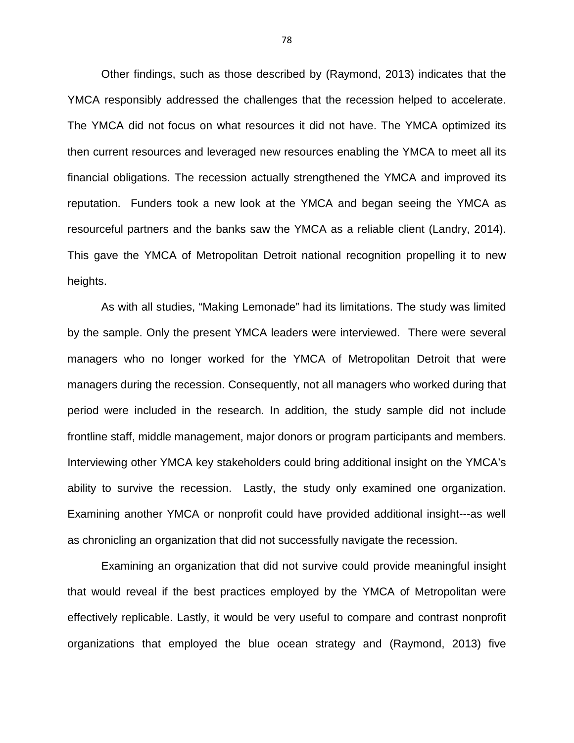Other findings, such as those described by (Raymond, 2013) indicates that the YMCA responsibly addressed the challenges that the recession helped to accelerate. The YMCA did not focus on what resources it did not have. The YMCA optimized its then current resources and leveraged new resources enabling the YMCA to meet all its financial obligations. The recession actually strengthened the YMCA and improved its reputation. Funders took a new look at the YMCA and began seeing the YMCA as resourceful partners and the banks saw the YMCA as a reliable client (Landry, 2014). This gave the YMCA of Metropolitan Detroit national recognition propelling it to new heights.

As with all studies, "Making Lemonade" had its limitations. The study was limited by the sample. Only the present YMCA leaders were interviewed. There were several managers who no longer worked for the YMCA of Metropolitan Detroit that were managers during the recession. Consequently, not all managers who worked during that period were included in the research. In addition, the study sample did not include frontline staff, middle management, major donors or program participants and members. Interviewing other YMCA key stakeholders could bring additional insight on the YMCA's ability to survive the recession. Lastly, the study only examined one organization. Examining another YMCA or nonprofit could have provided additional insight---as well as chronicling an organization that did not successfully navigate the recession.

Examining an organization that did not survive could provide meaningful insight that would reveal if the best practices employed by the YMCA of Metropolitan were effectively replicable. Lastly, it would be very useful to compare and contrast nonprofit organizations that employed the blue ocean strategy and (Raymond, 2013) five

78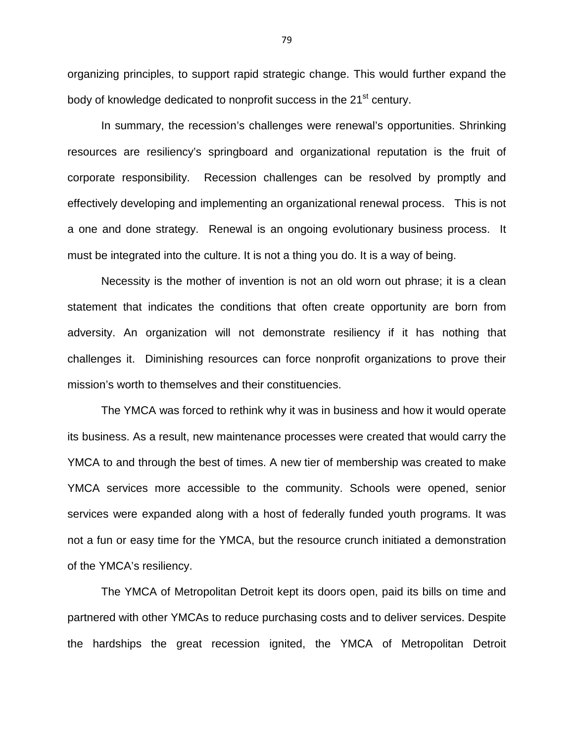organizing principles, to support rapid strategic change. This would further expand the body of knowledge dedicated to nonprofit success in the 21<sup>st</sup> century.

In summary, the recession's challenges were renewal's opportunities. Shrinking resources are resiliency's springboard and organizational reputation is the fruit of corporate responsibility. Recession challenges can be resolved by promptly and effectively developing and implementing an organizational renewal process. This is not a one and done strategy. Renewal is an ongoing evolutionary business process. It must be integrated into the culture. It is not a thing you do. It is a way of being.

Necessity is the mother of invention is not an old worn out phrase; it is a clean statement that indicates the conditions that often create opportunity are born from adversity. An organization will not demonstrate resiliency if it has nothing that challenges it. Diminishing resources can force nonprofit organizations to prove their mission's worth to themselves and their constituencies.

The YMCA was forced to rethink why it was in business and how it would operate its business. As a result, new maintenance processes were created that would carry the YMCA to and through the best of times. A new tier of membership was created to make YMCA services more accessible to the community. Schools were opened, senior services were expanded along with a host of federally funded youth programs. It was not a fun or easy time for the YMCA, but the resource crunch initiated a demonstration of the YMCA's resiliency.

The YMCA of Metropolitan Detroit kept its doors open, paid its bills on time and partnered with other YMCAs to reduce purchasing costs and to deliver services. Despite the hardships the great recession ignited, the YMCA of Metropolitan Detroit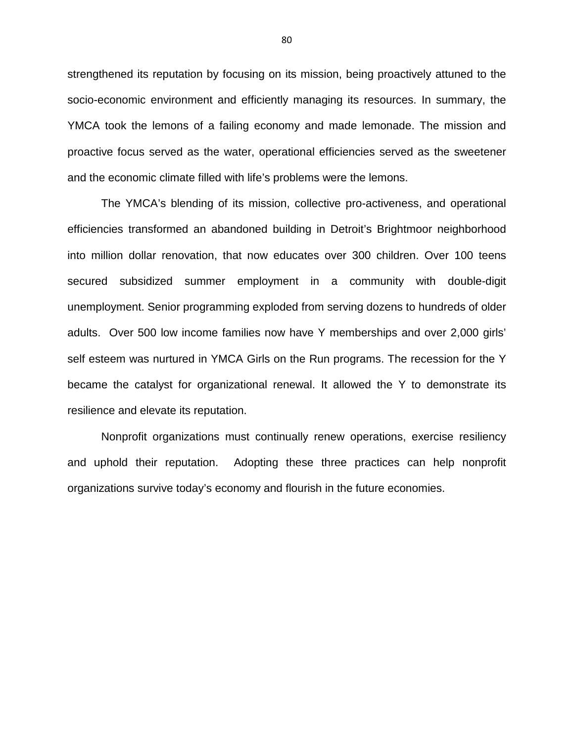strengthened its reputation by focusing on its mission, being proactively attuned to the socio-economic environment and efficiently managing its resources. In summary, the YMCA took the lemons of a failing economy and made lemonade. The mission and proactive focus served as the water, operational efficiencies served as the sweetener and the economic climate filled with life's problems were the lemons.

The YMCA's blending of its mission, collective pro-activeness, and operational efficiencies transformed an abandoned building in Detroit's Brightmoor neighborhood into million dollar renovation, that now educates over 300 children. Over 100 teens secured subsidized summer employment in a community with double-digit unemployment. Senior programming exploded from serving dozens to hundreds of older adults. Over 500 low income families now have Y memberships and over 2,000 girls' self esteem was nurtured in YMCA Girls on the Run programs. The recession for the Y became the catalyst for organizational renewal. It allowed the Y to demonstrate its resilience and elevate its reputation.

Nonprofit organizations must continually renew operations, exercise resiliency and uphold their reputation. Adopting these three practices can help nonprofit organizations survive today's economy and flourish in the future economies.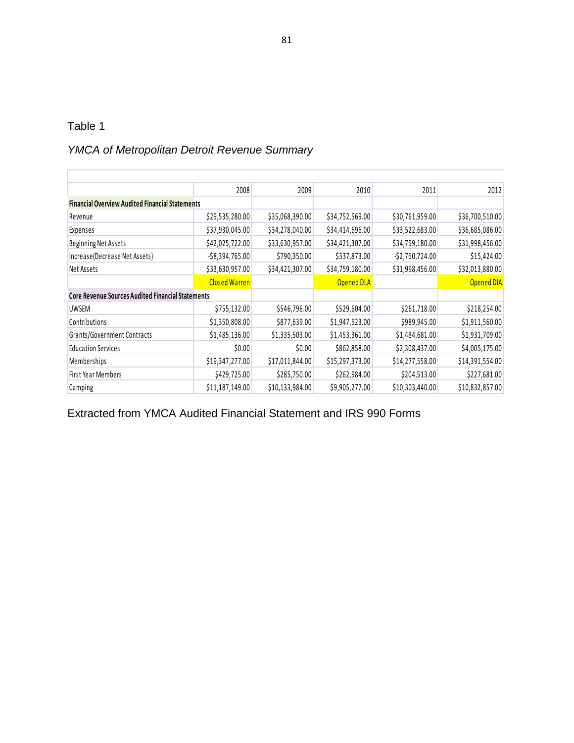Г

# YMCA of Metropolitan Detroit Revenue Summary

|                                                          | 2008                 | 2009            | 2010            | 2011               | 2012            |
|----------------------------------------------------------|----------------------|-----------------|-----------------|--------------------|-----------------|
| <b>Financial Overview Audited Financial Statements</b>   |                      |                 |                 |                    |                 |
| Revenue                                                  | \$29,535,280.00      | \$35,068,390.00 | \$34,752,569.00 | \$30,761,959.00    | \$36,700,510.00 |
| Expenses                                                 | \$37,930,045.00      | \$34,278,040.00 | \$34,414,696.00 | \$33,522,683.00    | \$36,685,086.00 |
| <b>Beginning Net Assets</b>                              | \$42,025,722.00      | \$33,630,957.00 | \$34,421,307.00 | \$34,759,180.00    | \$31,998,456.00 |
| Increase(Decrease Net Assets)                            | $-$ \$8,394,765.00   | \$790,350.00    | \$337,873.00    | $-$ \$2,760,724.00 | \$15,424.00     |
| Net Assets                                               | \$33,630,957.00      | \$34,421,307.00 | \$34,759,180.00 | \$31,998,456.00    | \$32,013,880.00 |
|                                                          | <b>Closed Warren</b> |                 | Opened DLA      |                    | Opened DIA      |
| <b>Core Revenue Sources Audited Financial Statements</b> |                      |                 |                 |                    |                 |
| <b>UWSEM</b>                                             | \$755,132.00         | \$546,796.00    | \$529,604.00    | \$261,718.00       | \$218,254.00    |
| Contributions                                            | \$1,350,808.00       | \$877,639.00    | \$1,947,523.00  | \$989,945.00       | \$1,911,560.00  |
| <b>Grants/Government Contracts</b>                       | \$1,485,136.00       | \$1,335,503.00  | \$1,453,361.00  | \$1,484,681.00     | \$1,931,709.00  |
| <b>Education Services</b>                                | \$0.00               | \$0.00          | \$862,858.00    | \$2,308,437.00     | \$4,005,175.00  |
| Memberships                                              | \$19,347,277.00      | \$17,011,844.00 | \$15,297,373.00 | \$14,277,558.00    | \$14,391,554.00 |
| First Year Members                                       | \$429,725.00         | \$285,750.00    | \$262,984.00    | \$204,513.00       | \$227,681.00    |
| Camping                                                  | \$11,187,149.00      | \$10,133,984.00 | \$9,905,277.00  | \$10,303,440.00    | \$10,832,857.00 |

Extracted from YMCA Audited Financial Statement and IRS 990 Forms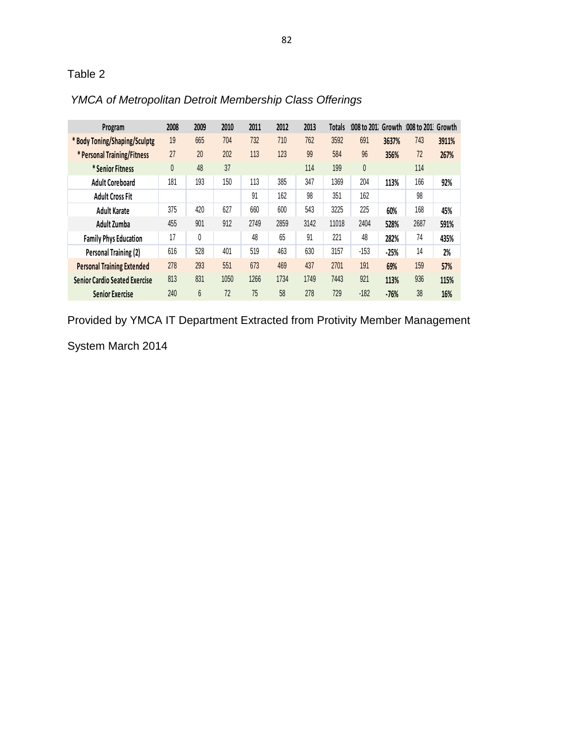| Program                              | 2008 | 2009 | 2010 | 2011 | 2012 | 2013 | Totals |        |        | '008 to 201 Growth 008 to 201 Growth |       |
|--------------------------------------|------|------|------|------|------|------|--------|--------|--------|--------------------------------------|-------|
| *Body Toning/Shaping/Sculptg         | 19   | 665  | 704  | 732  | 710  | 762  | 3592   | 691    | 3637%  | 743                                  | 3911% |
| * Personal Training/Fitness          | 27   | 20   | 202  | 113  | 123  | 99   | 584    | 96     | 356%   | 72                                   | 267%  |
| * Senior Fitness                     | 0    | 48   | 37   |      |      | 114  | 199    | 0      |        | 114                                  |       |
| <b>Adult Coreboard</b>               | 181  | 193  | 150  | 113  | 385  | 347  | 1369   | 204    | 113%   | 166                                  | 92%   |
| <b>Adult Cross Fit</b>               |      |      |      | 91   | 162  | 98   | 351    | 162    |        | 98                                   |       |
| <b>Adult Karate</b>                  | 375  | 420  | 627  | 660  | 600  | 543  | 3225   | 225    | 60%    | 168                                  | 45%   |
| Adult Zumba                          | 455  | 901  | 912  | 2749 | 2859 | 3142 | 11018  | 2404   | 528%   | 2687                                 | 591%  |
| <b>Family Phys Education</b>         | 17   | 0    |      | 48   | 65   | 91   | 221    | 48     | 282%   | 74                                   | 435%  |
| Personal Training (2)                | 616  | 528  | 401  | 519  | 463  | 630  | 3157   | $-153$ | $-25%$ | 14                                   | 2%    |
| <b>Personal Training Extended</b>    | 278  | 293  | 551  | 673  | 469  | 437  | 2701   | 191    | 69%    | 159                                  | 57%   |
| <b>Senior Cardio Seated Exercise</b> | 813  | 831  | 1050 | 1266 | 1734 | 1749 | 7443   | 921    | 113%   | 936                                  | 115%  |
| <b>Senior Exercise</b>               | 240  | 6    | 72   | 75   | 58   | 278  | 729    | $-182$ | $-76%$ | 38                                   | 16%   |

# YMCA of Metropolitan Detroit Membership Class Offerings

Provided by YMCA IT Department Extracted from Protivity Member Management

System March 2014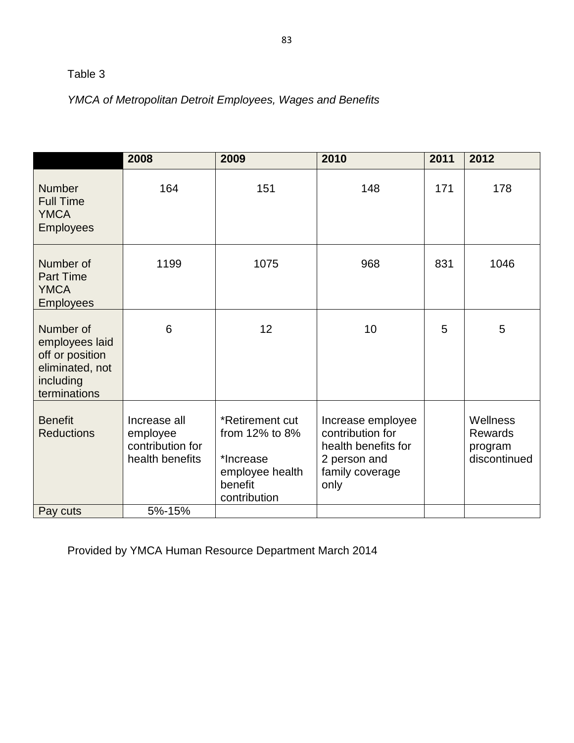# YMCA of Metropolitan Detroit Employees, Wages and Benefits

|                                                                                                | 2008                                                            | 2009                                                                                         | 2010                                                                                                    | 2011 | 2012                                                  |
|------------------------------------------------------------------------------------------------|-----------------------------------------------------------------|----------------------------------------------------------------------------------------------|---------------------------------------------------------------------------------------------------------|------|-------------------------------------------------------|
| <b>Number</b><br><b>Full Time</b><br><b>YMCA</b><br><b>Employees</b>                           | 164                                                             | 151                                                                                          | 148                                                                                                     | 171  | 178                                                   |
| Number of<br><b>Part Time</b><br><b>YMCA</b><br><b>Employees</b>                               | 1199                                                            | 1075                                                                                         | 968                                                                                                     | 831  | 1046                                                  |
| Number of<br>employees laid<br>off or position<br>eliminated, not<br>including<br>terminations | 6                                                               | 12                                                                                           | 10                                                                                                      | 5    | 5                                                     |
| <b>Benefit</b><br><b>Reductions</b>                                                            | Increase all<br>employee<br>contribution for<br>health benefits | *Retirement cut<br>from 12% to 8%<br>*Increase<br>employee health<br>benefit<br>contribution | Increase employee<br>contribution for<br>health benefits for<br>2 person and<br>family coverage<br>only |      | Wellness<br><b>Rewards</b><br>program<br>discontinued |
| Pay cuts                                                                                       | 5%-15%                                                          |                                                                                              |                                                                                                         |      |                                                       |

Provided by YMCA Human Resource Department March 2014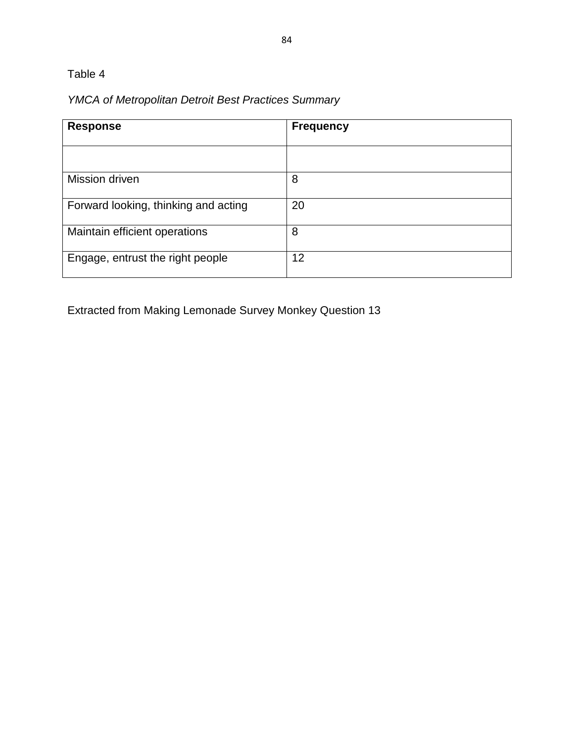# YMCA of Metropolitan Detroit Best Practices Summary

| <b>Response</b>                      | <b>Frequency</b> |
|--------------------------------------|------------------|
|                                      |                  |
| Mission driven                       | 8                |
| Forward looking, thinking and acting | 20               |
| Maintain efficient operations        | 8                |
| Engage, entrust the right people     | 12               |

Extracted from Making Lemonade Survey Monkey Question 13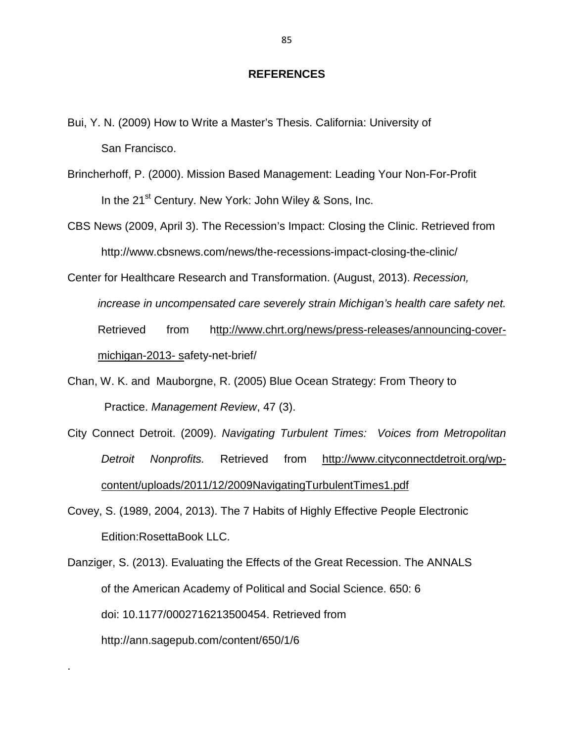### **REFERENCES**

- Bui, Y. N. (2009) How to Write a Master's Thesis. California: University of San Francisco.
- Brincherhoff, P. (2000). Mission Based Management: Leading Your Non-For-Profit In the 21<sup>st</sup> Century. New York: John Wiley & Sons, Inc.
- CBS News (2009, April 3). The Recession's Impact: Closing the Clinic. Retrieved from http://www.cbsnews.com/news/the-recessions-impact-closing-the-clinic/

Center for Healthcare Research and Transformation. (August, 2013). Recession,

increase in uncompensated care severely strain Michigan's health care safety net.

Retrieved from http://www.chrt.org/news/press-releases/announcing-covermichigan-2013- safety-net-brief/

- Chan, W. K. and Mauborgne, R. (2005) Blue Ocean Strategy: From Theory to Practice. Management Review, 47 (3).
- City Connect Detroit. (2009). Navigating Turbulent Times: Voices from Metropolitan Detroit Nonprofits. Retrieved from http://www.cityconnectdetroit.org/wp content/uploads/2011/12/2009NavigatingTurbulentTimes1.pdf
- Covey, S. (1989, 2004, 2013). The 7 Habits of Highly Effective People Electronic Edition:RosettaBook LLC.

Danziger, S. (2013). Evaluating the Effects of the Great Recession. The ANNALS of the American Academy of Political and Social Science. 650: 6 doi: 10.1177/0002716213500454. Retrieved from http://ann.sagepub.com/content/650/1/6

.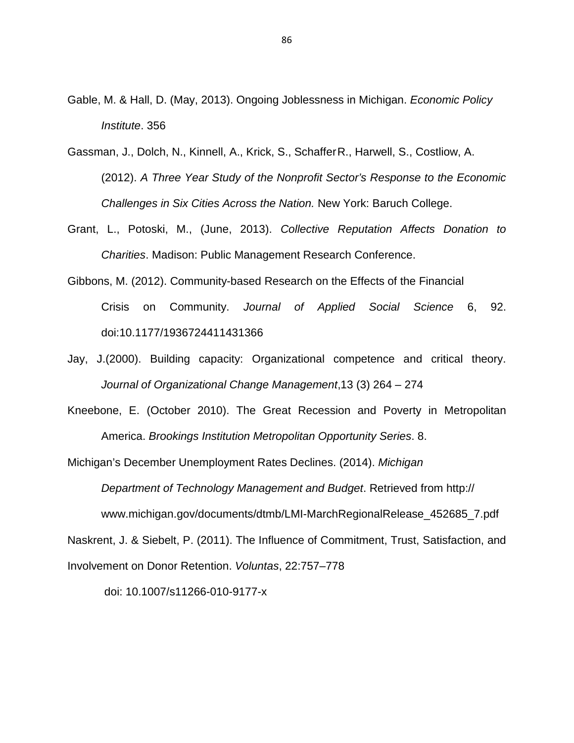- Gable, M. & Hall, D. (May, 2013). Ongoing Joblessness in Michigan. Economic Policy Institute. 356
- Gassman, J., Dolch, N., Kinnell, A., Krick, S., Schaffer R., Harwell, S., Costliow, A. (2012). A Three Year Study of the Nonprofit Sector's Response to the Economic Challenges in Six Cities Across the Nation. New York: Baruch College.
- Grant, L., Potoski, M., (June, 2013). Collective Reputation Affects Donation to Charities. Madison: Public Management Research Conference.
- Gibbons, M. (2012). Community-based Research on the Effects of the Financial Crisis on Community. Journal of Applied Social Science 6, 92. doi:10.1177/1936724411431366
- Jay, J.(2000). Building capacity: Organizational competence and critical theory. Journal of Organizational Change Management,13 (3) 264 – 274
- Kneebone, E. (October 2010). The Great Recession and Poverty in Metropolitan America. Brookings Institution Metropolitan Opportunity Series. 8.

Michigan's December Unemployment Rates Declines. (2014). Michigan Department of Technology Management and Budget. Retrieved from http:// www.michigan.gov/documents/dtmb/LMI-MarchRegionalRelease\_452685\_7.pdf Naskrent, J. & Siebelt, P. (2011). The Influence of Commitment, Trust, Satisfaction, and Involvement on Donor Retention. Voluntas, 22:757–778

doi: 10.1007/s11266-010-9177-x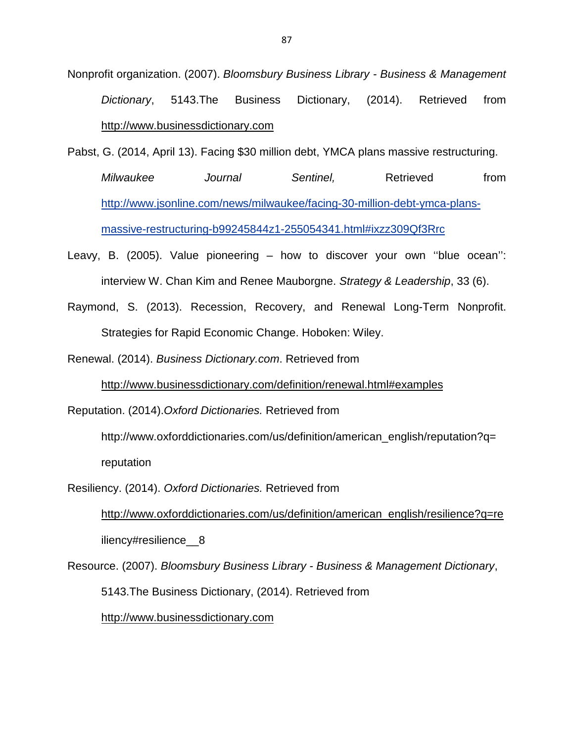- Nonprofit organization. (2007). Bloomsbury Business Library Business & Management Dictionary, 5143.The Business Dictionary, (2014). Retrieved from http://www.businessdictionary.com
- Pabst, G. (2014, April 13). Facing \$30 million debt, YMCA plans massive restructuring. Milwaukee Journal Sentinel, Retrieved from http://www.jsonline.com/news/milwaukee/facing-30-million-debt-ymca-plansmassive-restructuring-b99245844z1-255054341.html#ixzz309Qf3Rrc
- Leavy, B. (2005). Value pioneering how to discover your own ''blue ocean'': interview W. Chan Kim and Renee Mauborgne. Strategy & Leadership, 33 (6).
- Raymond, S. (2013). Recession, Recovery, and Renewal Long-Term Nonprofit. Strategies for Rapid Economic Change. Hoboken: Wiley.

Renewal. (2014). Business Dictionary.com. Retrieved from

http://www.businessdictionary.com/definition/renewal.html#examples

Reputation. (2014).Oxford Dictionaries. Retrieved from

 http://www.oxforddictionaries.com/us/definition/american\_english/reputation?q= reputation

Resiliency. (2014). Oxford Dictionaries. Retrieved from

http://www.oxforddictionaries.com/us/definition/american\_english/resilience?q=re iliency#resilience 8

Resource. (2007). Bloomsbury Business Library - Business & Management Dictionary, 5143.The Business Dictionary, (2014). Retrieved from http://www.businessdictionary.com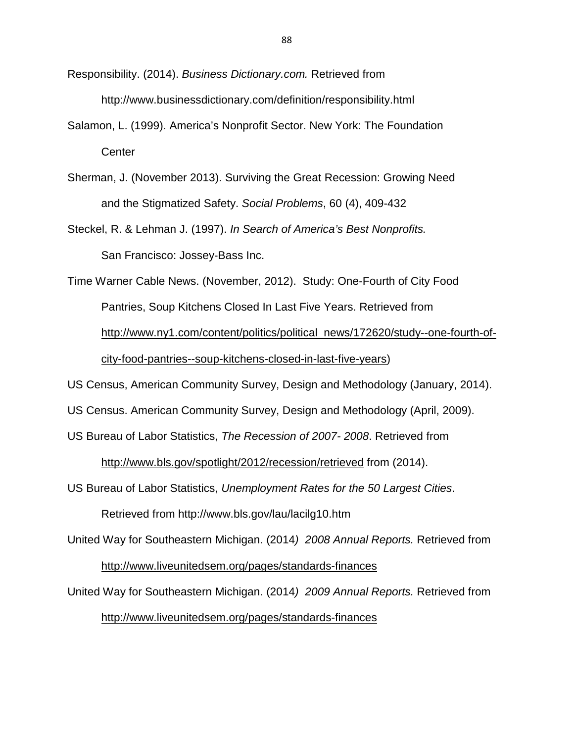- Responsibility. (2014). Business Dictionary.com. Retrieved from http://www.businessdictionary.com/definition/responsibility.html
- Salamon, L. (1999). America's Nonprofit Sector. New York: The Foundation **Center**
- Sherman, J. (November 2013). Surviving the Great Recession: Growing Need and the Stigmatized Safety. Social Problems, 60 (4), 409-432
- Steckel, R. & Lehman J. (1997). In Search of America's Best Nonprofits. San Francisco: Jossey-Bass Inc.

Time Warner Cable News. (November, 2012). Study: One-Fourth of City Food Pantries, Soup Kitchens Closed In Last Five Years. Retrieved from http://www.ny1.com/content/politics/political\_news/172620/study--one-fourth-ofcity-food-pantries--soup-kitchens-closed-in-last-five-years)

US Census, American Community Survey, Design and Methodology (January, 2014).

US Census. American Community Survey, Design and Methodology (April, 2009).

US Bureau of Labor Statistics, The Recession of 2007- 2008. Retrieved from

http://www.bls.gov/spotlight/2012/recession/retrieved from (2014).

US Bureau of Labor Statistics, Unemployment Rates for the 50 Largest Cities.

Retrieved from http://www.bls.gov/lau/lacilg10.htm

United Way for Southeastern Michigan. (2014) 2008 Annual Reports. Retrieved from http://www.liveunitedsem.org/pages/standards-finances

United Way for Southeastern Michigan. (2014) 2009 Annual Reports. Retrieved from http://www.liveunitedsem.org/pages/standards-finances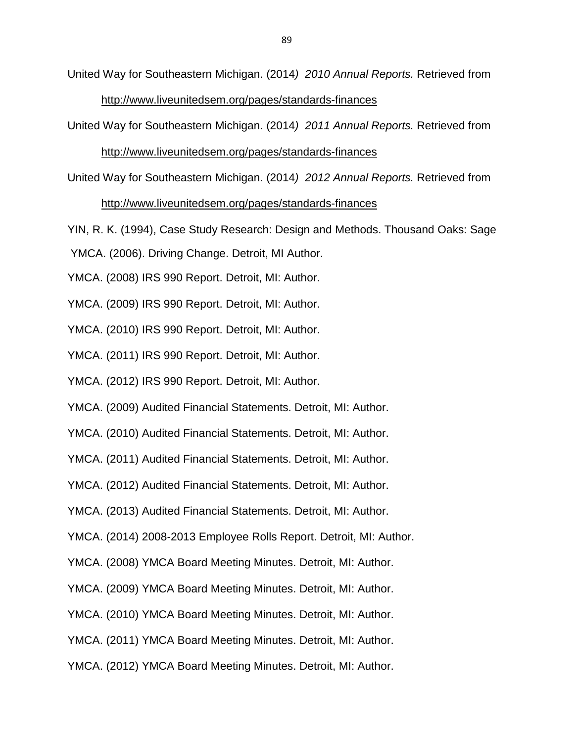United Way for Southeastern Michigan. (2014) 2010 Annual Reports. Retrieved from http://www.liveunitedsem.org/pages/standards-finances

United Way for Southeastern Michigan. (2014) 2011 Annual Reports. Retrieved from

### http://www.liveunitedsem.org/pages/standards-finances

United Way for Southeastern Michigan. (2014) 2012 Annual Reports. Retrieved from

### http://www.liveunitedsem.org/pages/standards-finances

YIN, R. K. (1994), Case Study Research: Design and Methods. Thousand Oaks: Sage

YMCA. (2006). Driving Change. Detroit, MI Author.

YMCA. (2008) IRS 990 Report. Detroit, MI: Author.

YMCA. (2009) IRS 990 Report. Detroit, MI: Author.

YMCA. (2010) IRS 990 Report. Detroit, MI: Author.

YMCA. (2011) IRS 990 Report. Detroit, MI: Author.

YMCA. (2012) IRS 990 Report. Detroit, MI: Author.

YMCA. (2009) Audited Financial Statements. Detroit, MI: Author.

YMCA. (2010) Audited Financial Statements. Detroit, MI: Author.

YMCA. (2011) Audited Financial Statements. Detroit, MI: Author.

YMCA. (2012) Audited Financial Statements. Detroit, MI: Author.

YMCA. (2013) Audited Financial Statements. Detroit, MI: Author.

YMCA. (2014) 2008-2013 Employee Rolls Report. Detroit, MI: Author.

YMCA. (2008) YMCA Board Meeting Minutes. Detroit, MI: Author.

YMCA. (2009) YMCA Board Meeting Minutes. Detroit, MI: Author.

YMCA. (2010) YMCA Board Meeting Minutes. Detroit, MI: Author.

YMCA. (2011) YMCA Board Meeting Minutes. Detroit, MI: Author.

YMCA. (2012) YMCA Board Meeting Minutes. Detroit, MI: Author.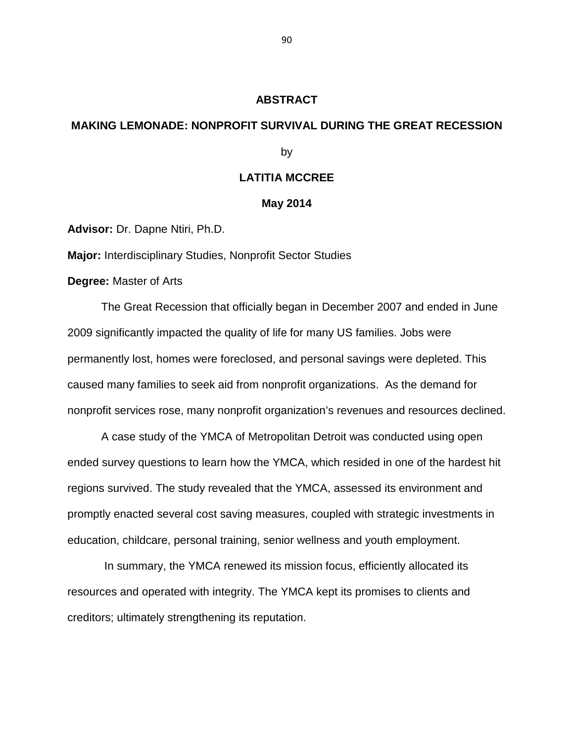### **ABSTRACT**

### **MAKING LEMONADE: NONPROFIT SURVIVAL DURING THE GREAT RECESSION**

by

### **LATITIA MCCREE**

#### **May 2014**

**Advisor:** Dr. Dapne Ntiri, Ph.D.

**Major:** Interdisciplinary Studies, Nonprofit Sector Studies

**Degree:** Master of Arts

The Great Recession that officially began in December 2007 and ended in June 2009 significantly impacted the quality of life for many US families. Jobs were permanently lost, homes were foreclosed, and personal savings were depleted. This caused many families to seek aid from nonprofit organizations. As the demand for nonprofit services rose, many nonprofit organization's revenues and resources declined.

A case study of the YMCA of Metropolitan Detroit was conducted using open ended survey questions to learn how the YMCA, which resided in one of the hardest hit regions survived. The study revealed that the YMCA, assessed its environment and promptly enacted several cost saving measures, coupled with strategic investments in education, childcare, personal training, senior wellness and youth employment.

 In summary, the YMCA renewed its mission focus, efficiently allocated its resources and operated with integrity. The YMCA kept its promises to clients and creditors; ultimately strengthening its reputation.